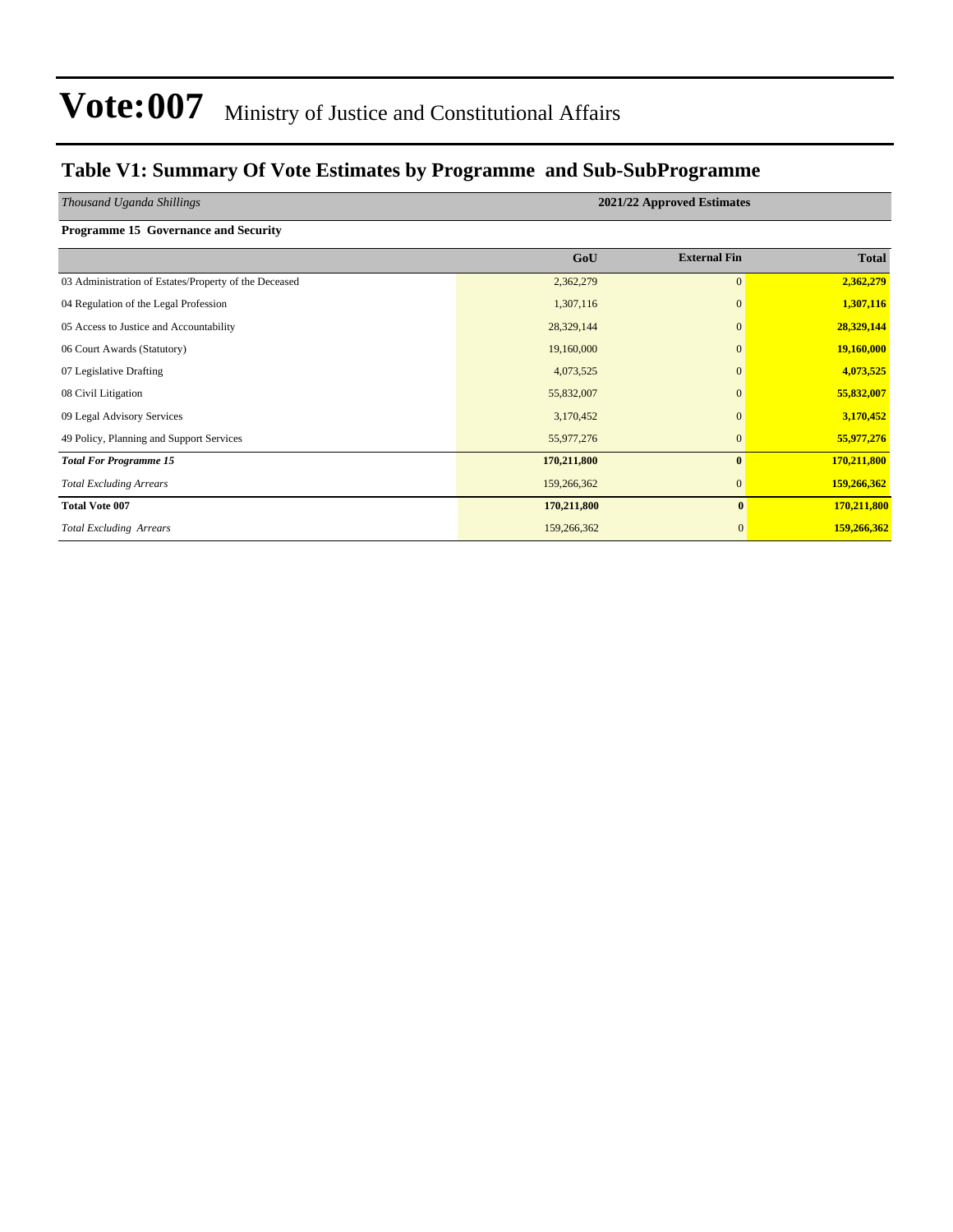### **Table V1: Summary Of Vote Estimates by Programme and Sub-SubProgramme**

| Thousand Uganda Shillings                             |             | 2021/22 Approved Estimates |              |
|-------------------------------------------------------|-------------|----------------------------|--------------|
| <b>Programme 15 Governance and Security</b>           |             |                            |              |
|                                                       | GoU         | <b>External Fin</b>        | <b>Total</b> |
| 03 Administration of Estates/Property of the Deceased | 2,362,279   | $\overline{0}$             | 2,362,279    |
| 04 Regulation of the Legal Profession                 | 1,307,116   | $\mathbf{0}$               | 1,307,116    |
| 05 Access to Justice and Accountability               | 28,329,144  | $\Omega$                   | 28,329,144   |
| 06 Court Awards (Statutory)                           | 19,160,000  | $\mathbf{0}$               | 19,160,000   |
| 07 Legislative Drafting                               | 4,073,525   | $\mathbf{0}$               | 4,073,525    |
| 08 Civil Litigation                                   | 55,832,007  | $\mathbf{0}$               | 55,832,007   |
| 09 Legal Advisory Services                            | 3,170,452   | $\Omega$                   | 3,170,452    |
| 49 Policy, Planning and Support Services              | 55,977,276  | $\mathbf{0}$               | 55,977,276   |
| <b>Total For Programme 15</b>                         | 170,211,800 | $\bf{0}$                   | 170,211,800  |
| <b>Total Excluding Arrears</b>                        | 159,266,362 | $\mathbf{0}$               | 159,266,362  |
| <b>Total Vote 007</b>                                 | 170,211,800 | $\bf{0}$                   | 170,211,800  |
| <b>Total Excluding Arrears</b>                        | 159,266,362 | $\boldsymbol{0}$           | 159,266,362  |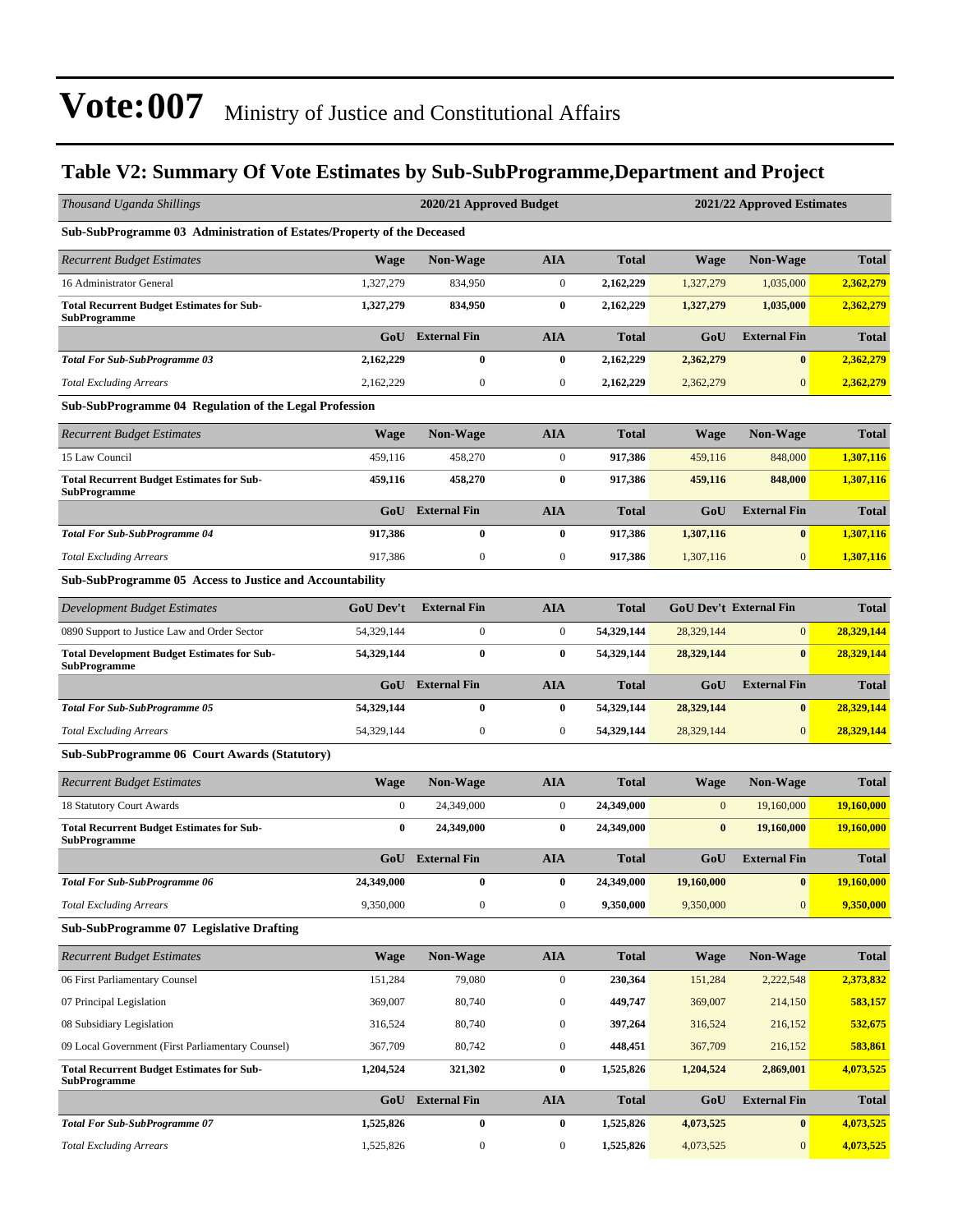### **Table V2: Summary Of Vote Estimates by Sub-SubProgramme,Department and Project**

| Thousand Uganda Shillings                                                 |                  | 2020/21 Approved Budget |                  | 2021/22 Approved Estimates |              |                               |              |  |
|---------------------------------------------------------------------------|------------------|-------------------------|------------------|----------------------------|--------------|-------------------------------|--------------|--|
| Sub-SubProgramme 03 Administration of Estates/Property of the Deceased    |                  |                         |                  |                            |              |                               |              |  |
| <b>Recurrent Budget Estimates</b>                                         | <b>Wage</b>      | <b>Non-Wage</b>         | <b>AIA</b>       | <b>Total</b>               | <b>Wage</b>  | <b>Non-Wage</b>               | <b>Total</b> |  |
| 16 Administrator General                                                  | 1,327,279        | 834,950                 | $\boldsymbol{0}$ | 2,162,229                  | 1,327,279    | 1,035,000                     | 2,362,279    |  |
| <b>Total Recurrent Budget Estimates for Sub-</b><br><b>SubProgramme</b>   | 1,327,279        | 834,950                 | $\bf{0}$         | 2,162,229                  | 1,327,279    | 1,035,000                     | 2,362,279    |  |
|                                                                           | GoU              | <b>External Fin</b>     | <b>AIA</b>       | <b>Total</b>               | GoU          | <b>External Fin</b>           | <b>Total</b> |  |
| <b>Total For Sub-SubProgramme 03</b>                                      | 2,162,229        | $\bf{0}$                | $\bf{0}$         | 2,162,229                  | 2,362,279    | $\bf{0}$                      | 2,362,279    |  |
| <b>Total Excluding Arrears</b>                                            | 2,162,229        | $\boldsymbol{0}$        | $\boldsymbol{0}$ | 2,162,229                  | 2,362,279    | $\overline{0}$                | 2,362,279    |  |
| <b>Sub-SubProgramme 04 Regulation of the Legal Profession</b>             |                  |                         |                  |                            |              |                               |              |  |
| <b>Recurrent Budget Estimates</b>                                         | <b>Wage</b>      | <b>Non-Wage</b>         | <b>AIA</b>       | <b>Total</b>               | <b>Wage</b>  | <b>Non-Wage</b>               | <b>Total</b> |  |
| 15 Law Council                                                            | 459,116          | 458,270                 | $\boldsymbol{0}$ | 917,386                    | 459,116      | 848,000                       | 1,307,116    |  |
| <b>Total Recurrent Budget Estimates for Sub-</b><br><b>SubProgramme</b>   | 459,116          | 458,270                 | $\bf{0}$         | 917,386                    | 459,116      | 848,000                       | 1,307,116    |  |
|                                                                           | GoU              | <b>External Fin</b>     | <b>AIA</b>       | <b>Total</b>               | GoU          | <b>External Fin</b>           | <b>Total</b> |  |
| <b>Total For Sub-SubProgramme 04</b>                                      | 917,386          | $\bf{0}$                | $\bf{0}$         | 917,386                    | 1,307,116    | $\bf{0}$                      | 1,307,116    |  |
| <b>Total Excluding Arrears</b>                                            | 917,386          | $\boldsymbol{0}$        | $\boldsymbol{0}$ | 917,386                    | 1,307,116    | $\mathbf{0}$                  | 1,307,116    |  |
| Sub-SubProgramme 05 Access to Justice and Accountability                  |                  |                         |                  |                            |              |                               |              |  |
| Development Budget Estimates                                              | <b>GoU Dev't</b> | <b>External Fin</b>     | <b>AIA</b>       | <b>Total</b>               |              | <b>GoU Dev't External Fin</b> | <b>Total</b> |  |
| 0890 Support to Justice Law and Order Sector                              | 54,329,144       | $\mathbf{0}$            | $\boldsymbol{0}$ | 54,329,144                 | 28,329,144   | $\vert 0 \vert$               | 28,329,144   |  |
| <b>Total Development Budget Estimates for Sub-</b><br><b>SubProgramme</b> | 54,329,144       | $\bf{0}$                | $\bf{0}$         | 54,329,144                 | 28,329,144   | $\bf{0}$                      | 28,329,144   |  |
|                                                                           | GoU              | <b>External Fin</b>     | <b>AIA</b>       | <b>Total</b>               | GoU          | <b>External Fin</b>           | <b>Total</b> |  |
| <b>Total For Sub-SubProgramme 05</b>                                      | 54,329,144       | $\bf{0}$                | $\bf{0}$         | 54,329,144                 | 28,329,144   | $\bf{0}$                      | 28,329,144   |  |
| <b>Total Excluding Arrears</b>                                            | 54,329,144       | $\mathbf{0}$            | $\boldsymbol{0}$ | 54,329,144                 | 28,329,144   | $\mathbf{0}$                  | 28,329,144   |  |
| <b>Sub-SubProgramme 06 Court Awards (Statutory)</b>                       |                  |                         |                  |                            |              |                               |              |  |
| <b>Recurrent Budget Estimates</b>                                         | <b>Wage</b>      | <b>Non-Wage</b>         | <b>AIA</b>       | <b>Total</b>               | <b>Wage</b>  | Non-Wage                      | <b>Total</b> |  |
| 18 Statutory Court Awards                                                 | $\overline{0}$   | 24,349,000              | $\boldsymbol{0}$ | 24,349,000                 | $\mathbf{0}$ | 19,160,000                    | 19,160,000   |  |
| <b>Total Recurrent Budget Estimates for Sub-</b><br><b>SubProgramme</b>   | $\bf{0}$         | 24,349,000              | $\bf{0}$         | 24,349,000                 | $\bf{0}$     | 19,160,000                    | 19,160,000   |  |
|                                                                           | GoU              | <b>External Fin</b>     | <b>AIA</b>       | <b>Total</b>               | GoU          | <b>External Fin</b>           | <b>Total</b> |  |
| <b>Total For Sub-SubProgramme 06</b>                                      | 24,349,000       | $\bf{0}$                | $\bf{0}$         | 24,349,000                 | 19,160,000   | $\bf{0}$                      | 19,160,000   |  |
| <b>Total Excluding Arrears</b>                                            | 9,350,000        | $\boldsymbol{0}$        | $\boldsymbol{0}$ | 9,350,000                  | 9,350,000    | $\mathbf{0}$                  | 9,350,000    |  |
| <b>Sub-SubProgramme 07 Legislative Drafting</b>                           |                  |                         |                  |                            |              |                               |              |  |
| <b>Recurrent Budget Estimates</b>                                         | <b>Wage</b>      | Non-Wage                | <b>AIA</b>       | <b>Total</b>               | Wage         | Non-Wage                      | <b>Total</b> |  |
| 06 First Parliamentary Counsel                                            | 151,284          | 79,080                  | $\boldsymbol{0}$ | 230,364                    | 151,284      | 2,222,548                     | 2,373,832    |  |
| 07 Principal Legislation                                                  | 369,007          | 80,740                  | $\boldsymbol{0}$ | 449,747                    | 369,007      | 214,150                       | 583,157      |  |
| 08 Subsidiary Legislation                                                 | 316,524          | 80,740                  | $\boldsymbol{0}$ | 397,264                    | 316,524      | 216,152                       | 532,675      |  |
| 09 Local Government (First Parliamentary Counsel)                         | 367,709          | 80,742                  | $\boldsymbol{0}$ | 448,451                    | 367,709      | 216,152                       | 583,861      |  |
| <b>Total Recurrent Budget Estimates for Sub-</b><br><b>SubProgramme</b>   | 1,204,524        | 321,302                 | $\bf{0}$         | 1,525,826                  | 1,204,524    | 2,869,001                     | 4,073,525    |  |
|                                                                           | GoU              | <b>External Fin</b>     | <b>AIA</b>       | <b>Total</b>               | GoU          | <b>External Fin</b>           | <b>Total</b> |  |
| <b>Total For Sub-SubProgramme 07</b>                                      | 1,525,826        | $\bf{0}$                | $\bf{0}$         | 1,525,826                  | 4,073,525    | $\bf{0}$                      | 4,073,525    |  |
| <b>Total Excluding Arrears</b>                                            | 1,525,826        | $\boldsymbol{0}$        | $\boldsymbol{0}$ | 1,525,826                  | 4,073,525    | $\mathbf{0}$                  | 4,073,525    |  |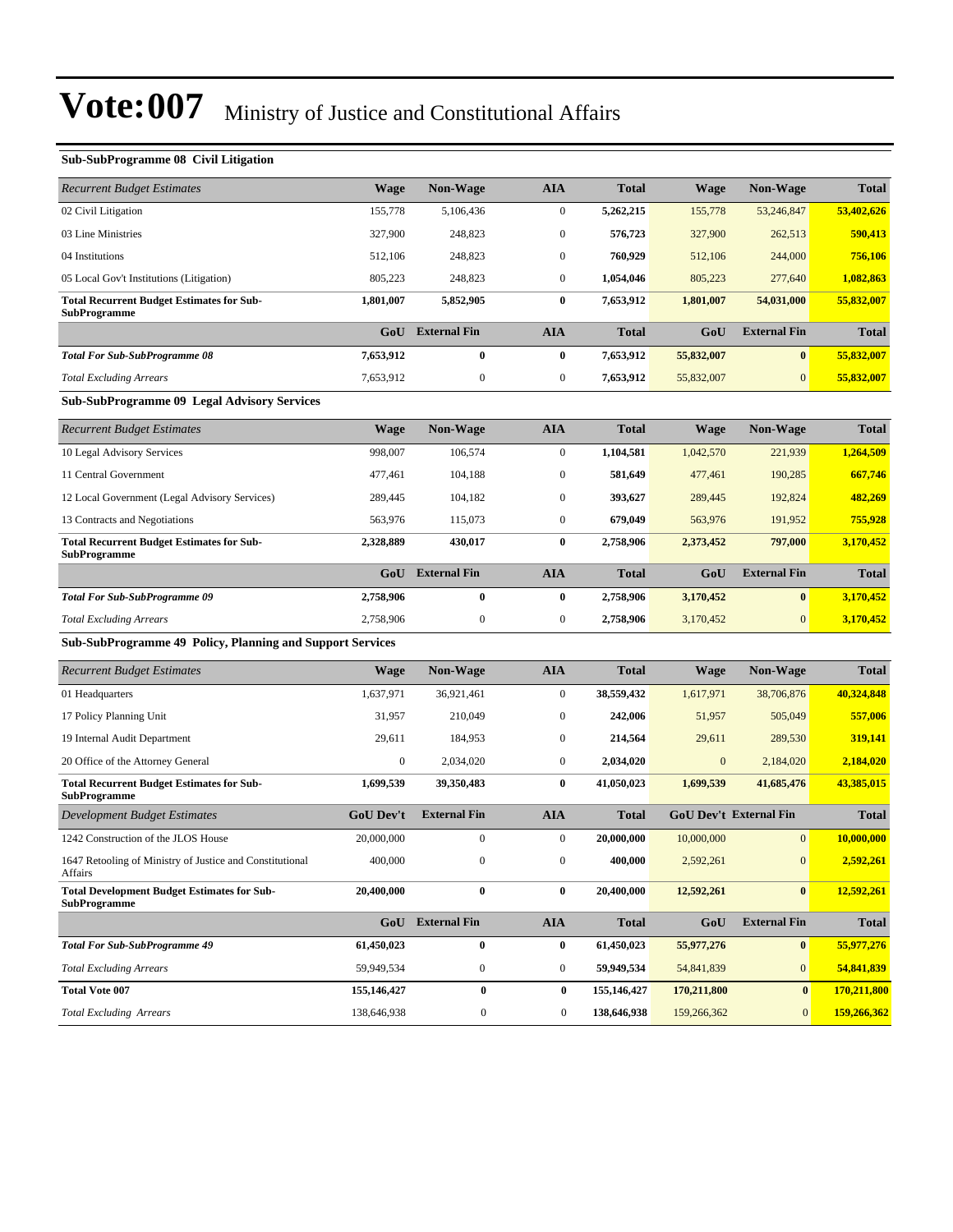| <b>Sub-SubProgramme 08 Civil Litigation</b>                             |             |                     |              |              |             |                     |              |
|-------------------------------------------------------------------------|-------------|---------------------|--------------|--------------|-------------|---------------------|--------------|
| <b>Recurrent Budget Estimates</b>                                       | <b>Wage</b> | <b>Non-Wage</b>     | <b>AIA</b>   | <b>Total</b> | <b>Wage</b> | <b>Non-Wage</b>     | <b>Total</b> |
| 02 Civil Litigation                                                     | 155,778     | 5,106,436           | $\mathbf{0}$ | 5,262,215    | 155,778     | 53,246,847          | 53,402,626   |
| 03 Line Ministries                                                      | 327,900     | 248,823             | $\mathbf{0}$ | 576,723      | 327,900     | 262,513             | 590,413      |
| 04 Institutions                                                         | 512.106     | 248,823             | $\mathbf{0}$ | 760,929      | 512,106     | 244,000             | 756,106      |
| 05 Local Gov't Institutions (Litigation)                                | 805,223     | 248,823             | $\mathbf{0}$ | 1,054,046    | 805,223     | 277,640             | 1,082,863    |
| <b>Total Recurrent Budget Estimates for Sub-</b><br><b>SubProgramme</b> | 1,801,007   | 5,852,905           | $\bf{0}$     | 7,653,912    | 1,801,007   | 54,031,000          | 55,832,007   |
|                                                                         | GoU         | <b>External Fin</b> | <b>AIA</b>   | <b>Total</b> | GoU         | <b>External Fin</b> | <b>Total</b> |
| <b>Total For Sub-SubProgramme 08</b>                                    | 7,653,912   | $\bf{0}$            | $\bf{0}$     | 7,653,912    | 55,832,007  | $\bf{0}$            | 55,832,007   |
| <b>Total Excluding Arrears</b>                                          | 7,653,912   | 0                   | $\mathbf{0}$ | 7,653,912    | 55,832,007  | $\overline{0}$      | 55,832,007   |
| <b>Sub-SubProgramme 09 Legal Advisory Services</b>                      |             |                     |              |              |             |                     |              |
| <b>Recurrent Budget Estimates</b>                                       | Wage        | <b>Non-Wage</b>     | <b>AIA</b>   | <b>Total</b> | Wage        | Non-Wage            | <b>Total</b> |
| 10 Legal Advisory Services                                              | 998,007     | 106,574             | $\mathbf{0}$ | 1,104,581    | 1,042,570   | 221,939             | 1,264,509    |
| 11 Central Government                                                   | 477,461     | 104,188             | $\mathbf{0}$ | 581,649      | 477,461     | 190,285             | 667,746      |
| 12 Local Government (Legal Advisory Services)                           | 289,445     | 104,182             | $\mathbf{0}$ | 393,627      | 289,445     | 192,824             | 482,269      |
| 13 Contracts and Negotiations                                           | 563,976     | 115,073             | $\mathbf{0}$ | 679,049      | 563,976     | 191,952             | 755,928      |
| <b>Total Recurrent Budget Estimates for Sub-</b><br><b>SubProgramme</b> | 2,328,889   | 430,017             | $\bf{0}$     | 2,758,906    | 2,373,452   | 797,000             | 3,170,452    |

| эцит годганние                       |           |                     |     |              |           |                     |              |
|--------------------------------------|-----------|---------------------|-----|--------------|-----------|---------------------|--------------|
|                                      | GoU       | <b>External Fin</b> | AIA | <b>Total</b> | GoU       | <b>External Fin</b> | <b>Total</b> |
| <b>Total For Sub-SubProgramme 09</b> | 2,758,906 |                     |     | 2,758,906    | 3,170,452 | $\bf{0}$            | 3,170,452    |
| <b>Total Excluding Arrears</b>       | 2,758,906 |                     |     | 2,758,906    | 3.170.452 | $\Omega$            | 3,170,452    |

#### **Sub-SubProgramme 49 Policy, Planning and Support Services**

| <b>Recurrent Budget Estimates</b>                                         | <b>Wage</b>      | <b>Non-Wage</b>     | <b>AIA</b>       | <b>Total</b> | Wage         | Non-Wage                      | <b>Total</b> |
|---------------------------------------------------------------------------|------------------|---------------------|------------------|--------------|--------------|-------------------------------|--------------|
| 01 Headquarters                                                           | 1,637,971        | 36,921,461          | $\boldsymbol{0}$ | 38,559,432   | 1,617,971    | 38,706,876                    | 40,324,848   |
| 17 Policy Planning Unit                                                   | 31,957           | 210,049             | $\mathbf{0}$     | 242,006      | 51,957       | 505,049                       | 557,006      |
| 19 Internal Audit Department                                              | 29,611           | 184,953             | $\mathbf{0}$     | 214,564      | 29,611       | 289,530                       | 319,141      |
| 20 Office of the Attorney General                                         | $\mathbf{0}$     | 2.034.020           | $\mathbf{0}$     | 2,034,020    | $\mathbf{0}$ | 2,184,020                     | 2,184,020    |
| <b>Total Recurrent Budget Estimates for Sub-</b><br><b>SubProgramme</b>   | 1,699,539        | 39,350,483          | $\bf{0}$         | 41,050,023   | 1,699,539    | 41,685,476                    | 43,385,015   |
| Development Budget Estimates                                              | <b>GoU Dev't</b> | <b>External Fin</b> | <b>AIA</b>       | <b>Total</b> |              | <b>GoU Dev't External Fin</b> | <b>Total</b> |
| 1242 Construction of the JLOS House                                       | 20,000,000       | $\mathbf{0}$        | $\mathbf{0}$     | 20,000,000   | 10,000,000   | $\overline{0}$                | 10,000,000   |
| 1647 Retooling of Ministry of Justice and Constitutional<br>Affairs       | 400,000          | $\mathbf{0}$        | $\boldsymbol{0}$ | 400.000      | 2,592,261    | $\mathbf{0}$                  | 2,592,261    |
| <b>Total Development Budget Estimates for Sub-</b><br><b>SubProgramme</b> | 20,400,000       | $\bf{0}$            | $\bf{0}$         | 20,400,000   | 12,592,261   | $\bf{0}$                      | 12,592,261   |
|                                                                           | GoU              | <b>External Fin</b> | <b>AIA</b>       | <b>Total</b> | GoU          | <b>External Fin</b>           | <b>Total</b> |
| <b>Total For Sub-SubProgramme 49</b>                                      | 61,450,023       | $\bf{0}$            | $\bf{0}$         | 61,450,023   | 55,977,276   | $\mathbf{0}$                  | 55,977,276   |
| <b>Total Excluding Arrears</b>                                            | 59,949,534       | $\mathbf{0}$        | $\mathbf{0}$     | 59,949,534   | 54,841,839   | $\mathbf{0}$                  | 54,841,839   |
| <b>Total Vote 007</b>                                                     | 155,146,427      | $\bf{0}$            | $\bf{0}$         | 155,146,427  | 170,211,800  | $\bf{0}$                      | 170,211,800  |
| <b>Total Excluding Arrears</b>                                            | 138,646,938      | $\mathbf{0}$        | $\mathbf{0}$     | 138,646,938  | 159,266,362  | $\mathbf{0}$                  | 159,266,362  |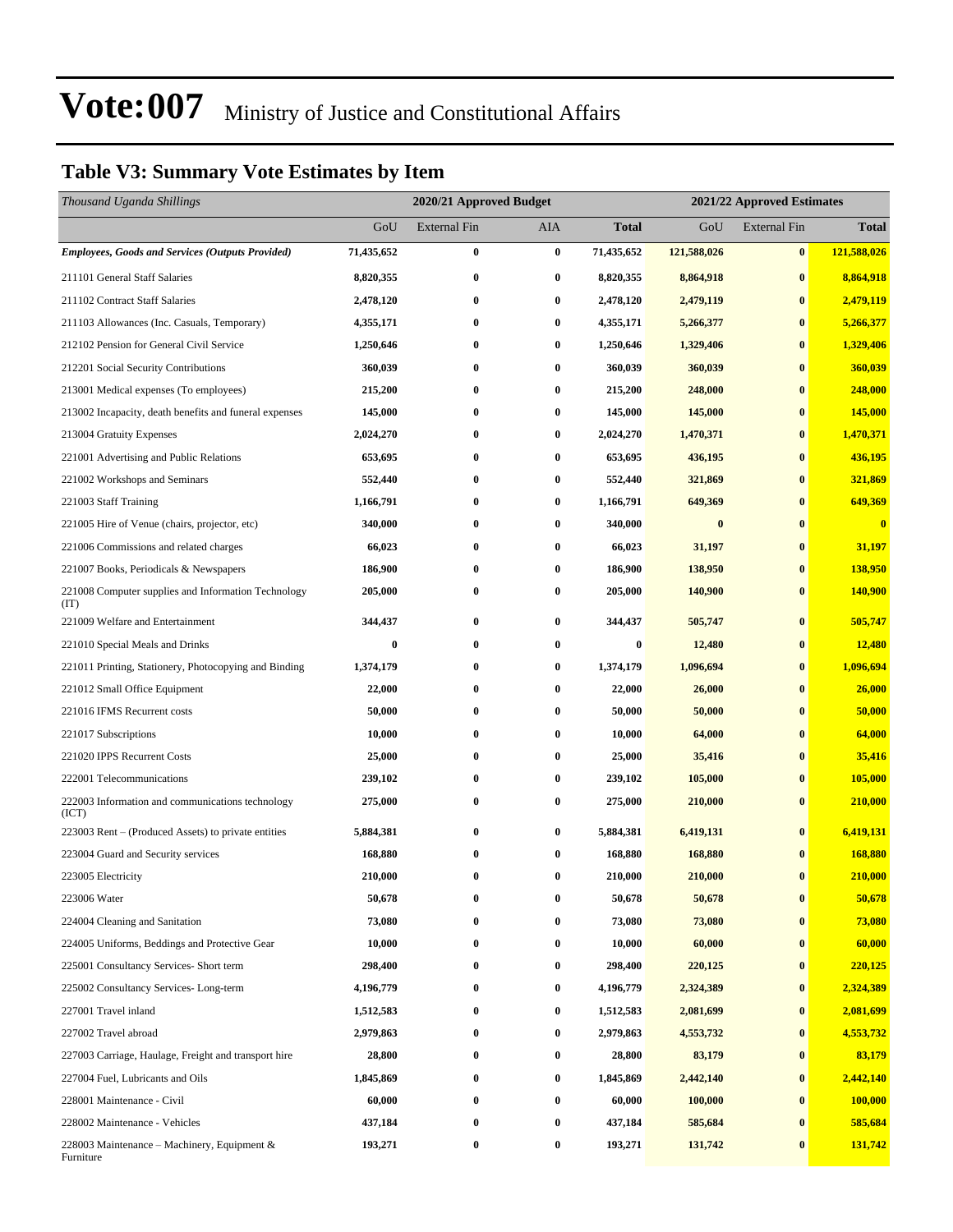### **Table V3: Summary Vote Estimates by Item**

| Thousand Uganda Shillings                                   | 2020/21 Approved Budget<br>2021/22 Approved Estimates |              |                  |              |             |                     |              |
|-------------------------------------------------------------|-------------------------------------------------------|--------------|------------------|--------------|-------------|---------------------|--------------|
|                                                             | GoU                                                   | External Fin | AIA              | <b>Total</b> | GoU         | <b>External Fin</b> | <b>Total</b> |
| <b>Employees, Goods and Services (Outputs Provided)</b>     | 71,435,652                                            | $\bf{0}$     | $\bf{0}$         | 71,435,652   | 121,588,026 | $\bf{0}$            | 121,588,026  |
| 211101 General Staff Salaries                               | 8,820,355                                             | $\bf{0}$     | $\bf{0}$         | 8,820,355    | 8,864,918   | $\bf{0}$            | 8,864,918    |
| 211102 Contract Staff Salaries                              | 2,478,120                                             | $\bf{0}$     | $\boldsymbol{0}$ | 2,478,120    | 2,479,119   | $\bf{0}$            | 2,479,119    |
| 211103 Allowances (Inc. Casuals, Temporary)                 | 4,355,171                                             | $\bf{0}$     | $\bf{0}$         | 4,355,171    | 5,266,377   | $\bf{0}$            | 5,266,377    |
| 212102 Pension for General Civil Service                    | 1,250,646                                             | $\bf{0}$     | $\bf{0}$         | 1,250,646    | 1,329,406   | $\bf{0}$            | 1,329,406    |
| 212201 Social Security Contributions                        | 360,039                                               | $\bf{0}$     | $\bf{0}$         | 360,039      | 360,039     | $\bf{0}$            | 360,039      |
| 213001 Medical expenses (To employees)                      | 215,200                                               | $\bf{0}$     | $\bf{0}$         | 215,200      | 248,000     | $\bf{0}$            | 248,000      |
| 213002 Incapacity, death benefits and funeral expenses      | 145,000                                               | $\bf{0}$     | $\bf{0}$         | 145,000      | 145,000     | $\bf{0}$            | 145,000      |
| 213004 Gratuity Expenses                                    | 2,024,270                                             | $\bf{0}$     | $\bf{0}$         | 2,024,270    | 1,470,371   | $\bf{0}$            | 1,470,371    |
| 221001 Advertising and Public Relations                     | 653,695                                               | $\bf{0}$     | $\bf{0}$         | 653,695      | 436,195     | $\bf{0}$            | 436,195      |
| 221002 Workshops and Seminars                               | 552,440                                               | $\bf{0}$     | $\bf{0}$         | 552,440      | 321,869     | $\bf{0}$            | 321,869      |
| 221003 Staff Training                                       | 1,166,791                                             | $\bf{0}$     | $\bf{0}$         | 1,166,791    | 649,369     | $\bf{0}$            | 649,369      |
| 221005 Hire of Venue (chairs, projector, etc)               | 340,000                                               | $\bf{0}$     | $\bf{0}$         | 340,000      | $\bf{0}$    | $\bf{0}$            | $\bf{0}$     |
| 221006 Commissions and related charges                      | 66,023                                                | $\bf{0}$     | $\bf{0}$         | 66,023       | 31,197      | $\bf{0}$            | 31,197       |
| 221007 Books, Periodicals & Newspapers                      | 186,900                                               | $\bf{0}$     | $\bf{0}$         | 186,900      | 138,950     | $\bf{0}$            | 138,950      |
| 221008 Computer supplies and Information Technology<br>(TT) | 205,000                                               | $\bf{0}$     | $\bf{0}$         | 205,000      | 140,900     | $\bf{0}$            | 140,900      |
| 221009 Welfare and Entertainment                            | 344,437                                               | $\bf{0}$     | $\bf{0}$         | 344,437      | 505,747     | $\bf{0}$            | 505,747      |
| 221010 Special Meals and Drinks                             | $\bf{0}$                                              | $\bf{0}$     | $\bf{0}$         | $\bf{0}$     | 12,480      | $\bf{0}$            | 12,480       |
| 221011 Printing, Stationery, Photocopying and Binding       | 1,374,179                                             | $\bf{0}$     | $\bf{0}$         | 1,374,179    | 1,096,694   | $\bf{0}$            | 1,096,694    |
| 221012 Small Office Equipment                               | 22,000                                                | $\bf{0}$     | 0                | 22,000       | 26,000      | $\bf{0}$            | 26,000       |
| 221016 IFMS Recurrent costs                                 | 50,000                                                | $\bf{0}$     | $\bf{0}$         | 50,000       | 50,000      | $\bf{0}$            | 50,000       |
| 221017 Subscriptions                                        | 10,000                                                | $\bf{0}$     | $\bf{0}$         | 10,000       | 64,000      | $\bf{0}$            | 64,000       |
| 221020 IPPS Recurrent Costs                                 | 25,000                                                | $\bf{0}$     | $\bf{0}$         | 25,000       | 35,416      | $\bf{0}$            | 35,416       |
| 222001 Telecommunications                                   | 239,102                                               | $\bf{0}$     | $\bf{0}$         | 239,102      | 105,000     | $\bf{0}$            | 105,000      |
| 222003 Information and communications technology<br>(ICT)   | 275,000                                               | $\bf{0}$     | 0                | 275,000      | 210,000     | $\bf{0}$            | 210,000      |
| 223003 Rent – (Produced Assets) to private entities         | 5,884,381                                             | $\bf{0}$     | 0                | 5,884,381    | 6,419,131   | $\bf{0}$            | 6,419,131    |
| 223004 Guard and Security services                          | 168,880                                               | $\bf{0}$     | $\bf{0}$         | 168,880      | 168,880     | $\bf{0}$            | 168,880      |
| 223005 Electricity                                          | 210,000                                               | $\bf{0}$     | $\bf{0}$         | 210,000      | 210,000     | $\bf{0}$            | 210,000      |
| 223006 Water                                                | 50,678                                                | $\bf{0}$     | $\bf{0}$         | 50,678       | 50,678      | $\bf{0}$            | 50,678       |
| 224004 Cleaning and Sanitation                              | 73,080                                                | $\bf{0}$     | 0                | 73,080       | 73,080      | $\bf{0}$            | 73,080       |
| 224005 Uniforms, Beddings and Protective Gear               | 10,000                                                | $\bf{0}$     | 0                | 10,000       | 60,000      | $\bf{0}$            | 60,000       |
| 225001 Consultancy Services- Short term                     | 298,400                                               | $\bf{0}$     | $\bf{0}$         | 298,400      | 220,125     | $\bf{0}$            | 220,125      |
| 225002 Consultancy Services-Long-term                       | 4,196,779                                             | $\bf{0}$     | $\bf{0}$         | 4,196,779    | 2,324,389   | $\bf{0}$            | 2,324,389    |
| 227001 Travel inland                                        | 1,512,583                                             | $\bf{0}$     | $\bf{0}$         | 1,512,583    | 2,081,699   | $\bf{0}$            | 2,081,699    |
| 227002 Travel abroad                                        | 2,979,863                                             | $\bf{0}$     | 0                | 2,979,863    | 4,553,732   | $\bf{0}$            | 4,553,732    |
| 227003 Carriage, Haulage, Freight and transport hire        | 28,800                                                | $\bf{0}$     | $\boldsymbol{0}$ | 28,800       | 83,179      | $\bf{0}$            | 83,179       |
| 227004 Fuel, Lubricants and Oils                            | 1,845,869                                             | $\bf{0}$     | 0                | 1,845,869    | 2,442,140   | $\bf{0}$            | 2,442,140    |
| 228001 Maintenance - Civil                                  | 60,000                                                | $\bf{0}$     | $\bf{0}$         | 60,000       | 100,000     | $\bf{0}$            | 100,000      |
| 228002 Maintenance - Vehicles                               | 437,184                                               | $\bf{0}$     | 0                | 437,184      | 585,684     | $\bf{0}$            | 585,684      |
| 228003 Maintenance – Machinery, Equipment $\&$<br>Furniture | 193,271                                               | $\bf{0}$     | $\boldsymbol{0}$ | 193,271      | 131,742     | $\bf{0}$            | 131,742      |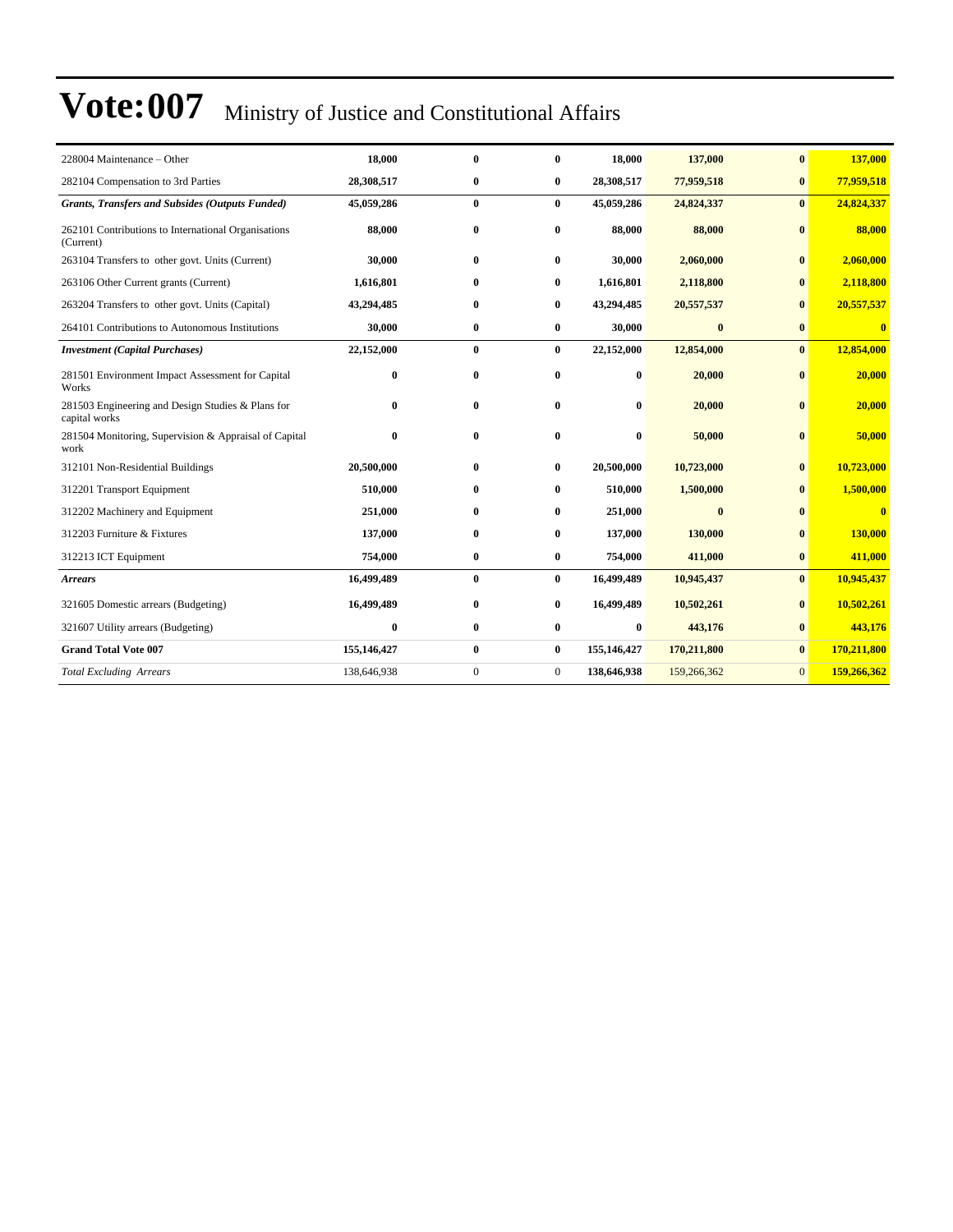| 228004 Maintenance – Other                                         | 18,000      | $\bf{0}$     | 0              | 18,000      | 137,000      | $\bf{0}$       | 137,000                 |
|--------------------------------------------------------------------|-------------|--------------|----------------|-------------|--------------|----------------|-------------------------|
| 282104 Compensation to 3rd Parties                                 | 28,308,517  | $\bf{0}$     | $\bf{0}$       | 28,308,517  | 77,959,518   | $\bf{0}$       | 77,959,518              |
| <b>Grants, Transfers and Subsides (Outputs Funded)</b>             | 45,059,286  | $\bf{0}$     | $\bf{0}$       | 45,059,286  | 24,824,337   | $\bf{0}$       | 24,824,337              |
| 262101 Contributions to International Organisations<br>(Current)   | 88,000      | $\bf{0}$     | 0              | 88,000      | 88,000       | $\mathbf{0}$   | 88,000                  |
| 263104 Transfers to other govt. Units (Current)                    | 30,000      | $\bf{0}$     | $\bf{0}$       | 30,000      | 2,060,000    | $\bf{0}$       | 2,060,000               |
| 263106 Other Current grants (Current)                              | 1,616,801   | $\bf{0}$     | $\bf{0}$       | 1,616,801   | 2,118,800    | $\mathbf{0}$   | 2,118,800               |
| 263204 Transfers to other govt. Units (Capital)                    | 43,294,485  | $\bf{0}$     | 0              | 43,294,485  | 20,557,537   | $\mathbf{0}$   | 20,557,537              |
| 264101 Contributions to Autonomous Institutions                    | 30,000      | $\bf{0}$     | 0              | 30,000      | $\bf{0}$     | $\bf{0}$       | $\overline{\mathbf{0}}$ |
| <b>Investment</b> (Capital Purchases)                              | 22,152,000  | $\bf{0}$     | $\bf{0}$       | 22,152,000  | 12,854,000   | $\bf{0}$       | 12,854,000              |
| 281501 Environment Impact Assessment for Capital<br>Works          | $\bf{0}$    | $\bf{0}$     | 0              | $\bf{0}$    | 20,000       | $\bf{0}$       | 20,000                  |
| 281503 Engineering and Design Studies & Plans for<br>capital works | $\bf{0}$    | $\bf{0}$     | 0              | 0           | 20,000       | $\mathbf{0}$   | 20,000                  |
| 281504 Monitoring, Supervision & Appraisal of Capital<br>work      | $\bf{0}$    | $\bf{0}$     | 0              | $\bf{0}$    | 50,000       | $\bf{0}$       | 50,000                  |
| 312101 Non-Residential Buildings                                   | 20,500,000  | $\bf{0}$     | $\bf{0}$       | 20,500,000  | 10,723,000   | $\bf{0}$       | 10,723,000              |
| 312201 Transport Equipment                                         | 510,000     | $\bf{0}$     | 0              | 510,000     | 1,500,000    | $\mathbf{0}$   | 1,500,000               |
| 312202 Machinery and Equipment                                     | 251,000     | $\bf{0}$     | 0              | 251,000     | $\mathbf{0}$ | $\mathbf{0}$   | $\overline{\mathbf{0}}$ |
| 312203 Furniture & Fixtures                                        | 137,000     | $\bf{0}$     | 0              | 137,000     | 130,000      | $\mathbf{0}$   | 130,000                 |
| 312213 ICT Equipment                                               | 754,000     | $\bf{0}$     | $\bf{0}$       | 754,000     | 411,000      | $\bf{0}$       | 411,000                 |
| <b>Arrears</b>                                                     | 16,499,489  | $\bf{0}$     | $\bf{0}$       | 16,499,489  | 10,945,437   | $\bf{0}$       | 10,945,437              |
| 321605 Domestic arrears (Budgeting)                                | 16,499,489  | $\bf{0}$     | $\bf{0}$       | 16,499,489  | 10,502,261   | $\bf{0}$       | 10,502,261              |
| 321607 Utility arrears (Budgeting)                                 | $\bf{0}$    | $\bf{0}$     | 0              | $\bf{0}$    | 443,176      | $\bf{0}$       | 443,176                 |
| <b>Grand Total Vote 007</b>                                        | 155,146,427 | $\bf{0}$     | $\bf{0}$       | 155,146,427 | 170,211,800  | $\bf{0}$       | 170,211,800             |
| <b>Total Excluding Arrears</b>                                     | 138,646,938 | $\mathbf{0}$ | $\overline{0}$ | 138,646,938 | 159,266,362  | $\overline{0}$ | 159,266,362             |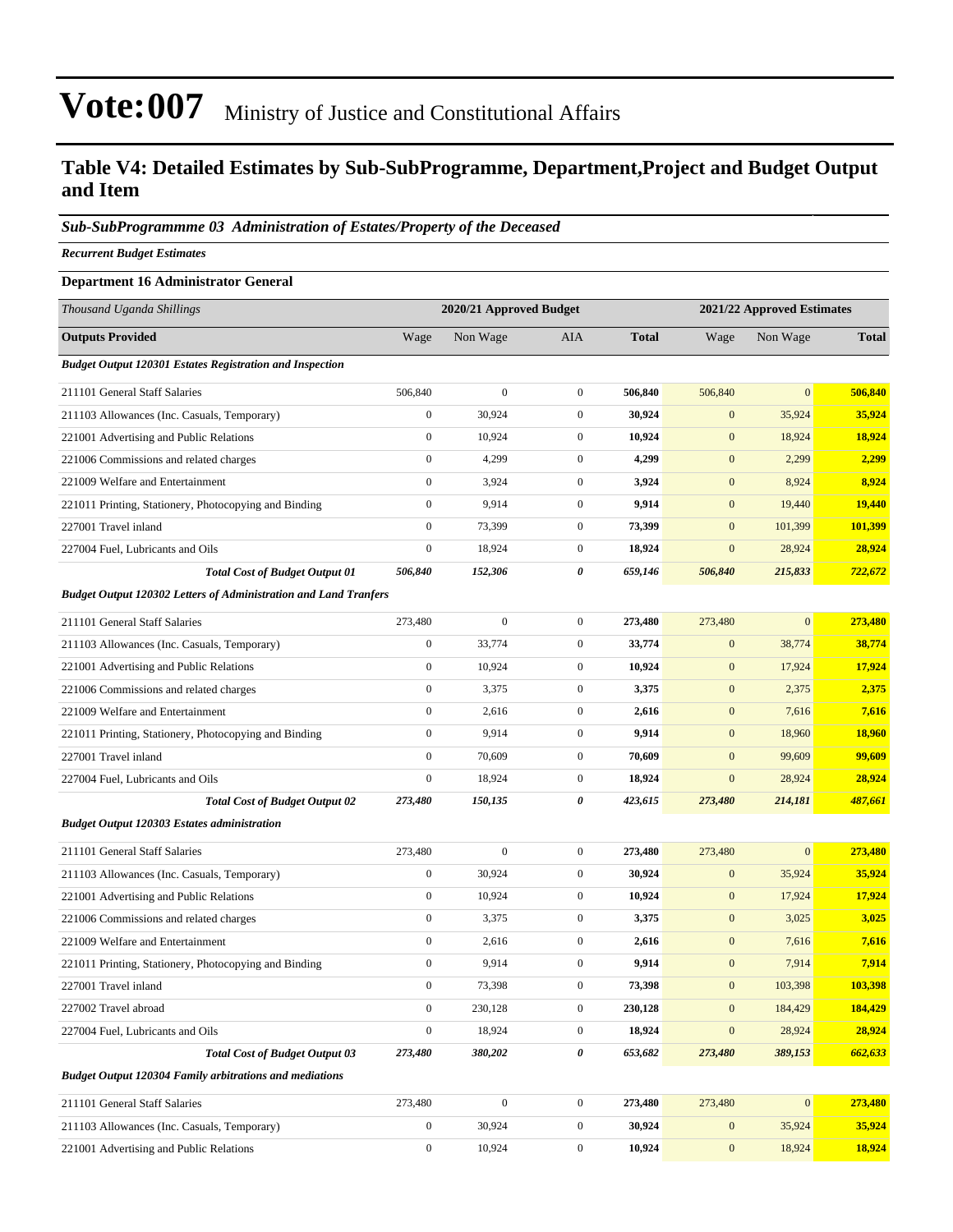### **Table V4: Detailed Estimates by Sub-SubProgramme, Department,Project and Budget Output and Item**

#### *Sub-SubProgrammme 03 Administration of Estates/Property of the Deceased*

*Recurrent Budget Estimates*

### **Department 16 Administrator General** *Thousand Uganda Shillings* **2020/21 Approved Budget 2021/22 Approved Estimates Outputs Provided** Wage Non Wage AIA **Total** Wage Non Wage **Total** *Budget Output 120301 Estates Registration and Inspection* 211101 General Staff Salaries 506,840 0 0 **506,840** 506,840 0 **506,840** 211103 Allowances (Inc. Casuals, Temporary) 0 30,924 0 **30,924** 0 35,924 **35,924** 221001 Advertising and Public Relations 0 10,924 0 **10,924** 0 18,924 **18,924** 221006 Commissions and related charges 0 4,299 0 **4,299** 0 2,299 **2,299** 221009 Welfare and Entertainment 0 3,924 0 **3,924** 0 8,924 **8,924** 221011 Printing, Stationery, Photocopying and Binding 0 9,914 0 **9,914** 0 19,440 **19,440** 227001 Travel inland 0 73,399 0 **73,399** 0 101,399 **101,399** 227004 Fuel, Lubricants and Oils 0 18,924 0 **18,924** 0 28,924 **28,924** *Total Cost of Budget Output 01 506,840 152,306 0 659,146 506,840 215,833 722,672 Budget Output 120302 Letters of Administration and Land Tranfers* 211101 General Staff Salaries 273,480 0 0 **273,480** 273,480 0 **273,480** 211103 Allowances (Inc. Casuals, Temporary) 0 33,774 0 **33,774** 0 38,774 **38,774** 221001 Advertising and Public Relations 0 10,924 0 **10,924** 0 17,924 **17,924** 221006 Commissions and related charges 0 3,375 0 **3,375** 0 2,375 **2,375** 221009 Welfare and Entertainment 0 2,616 0 **2,616** 0 7,616 **7,616** 221011 Printing, Stationery, Photocopying and Binding 0 9,914 0 **9,914** 0 18,960 **18,960** 227001 Travel inland 0 70,609 0 **70,609** 0 99,609 **99,609** 227004 Fuel, Lubricants and Oils 0 18,924 0 **18,924** 0 28,924 **28,924** *Total Cost of Budget Output 02 273,480 150,135 0 423,615 273,480 214,181 487,661 Budget Output 120303 Estates administration* 211101 General Staff Salaries 273,480 0 0 **273,480** 273,480 0 **273,480** 211103 Allowances (Inc. Casuals, Temporary) 0 30,924 0 **30,924** 0 35,924 **35,924** 221001 Advertising and Public Relations 0 10,924 0 **10,924** 0 17,924 **17,924** 221006 Commissions and related charges 0 3,375 0 **3,375** 0 3,025 **3,025** 221009 Welfare and Entertainment 0 2,616 0 **2,616** 0 7,616 **7,616** 221011 Printing, Stationery, Photocopying and Binding 0 9,914 0 **9,914** 0 7,914 **7,914** 227001 Travel inland 0 73,398 0 **73,398** 0 103,398 **103,398** 227002 Travel abroad 0 230,128 0 **230,128** 0 184,429 **184,429** 227004 Fuel, Lubricants and Oils 0 18,924 0 **18,924** 0 28,924 **28,924** *Total Cost of Budget Output 03 273,480 380,202 0 653,682 273,480 389,153 662,633 Budget Output 120304 Family arbitrations and mediations*

| 211101 General Staff Salaries               | 273.480 |        | 273.480 | 273,480 |        | 273.480 |
|---------------------------------------------|---------|--------|---------|---------|--------|---------|
| 211103 Allowances (Inc. Casuals, Temporary) |         | 30.924 | 30.924  |         | 35.924 | 35.924  |
| 221001 Advertising and Public Relations     |         | 10.924 | 10,924  |         | 18.924 | 18,924  |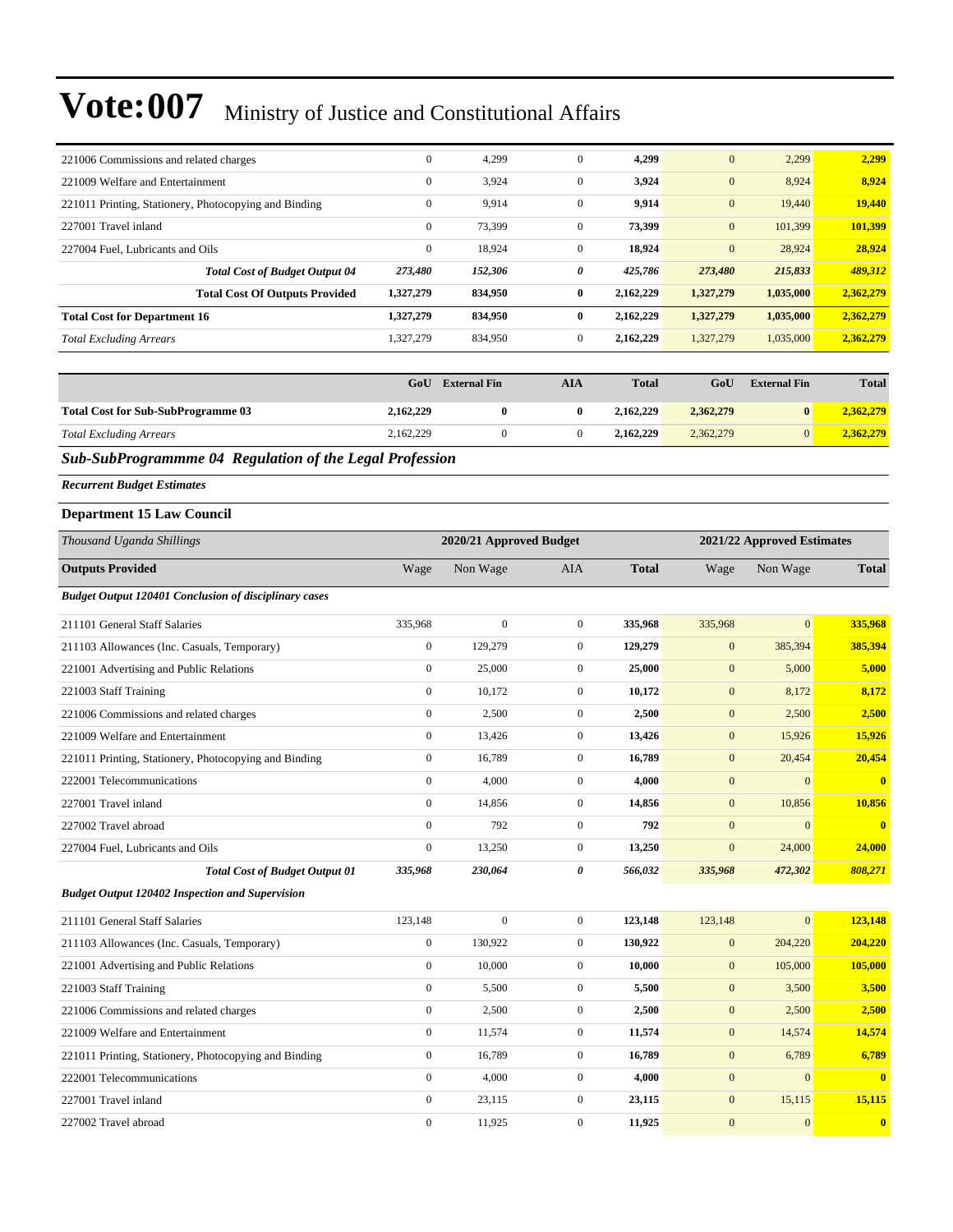| 221006 Commissions and related charges                | $\mathbf{0}$ | 4,299   | $\mathbf{0}$ | 4,299     | $\mathbf{0}$ | 2,299     | 2,299     |
|-------------------------------------------------------|--------------|---------|--------------|-----------|--------------|-----------|-----------|
| 221009 Welfare and Entertainment                      | $\mathbf{0}$ | 3,924   | $\mathbf{0}$ | 3,924     | $\mathbf{0}$ | 8,924     | 8,924     |
| 221011 Printing, Stationery, Photocopying and Binding | $\mathbf{0}$ | 9,914   | $\mathbf{0}$ | 9,914     | $\mathbf{0}$ | 19,440    | 19,440    |
| 227001 Travel inland                                  | $\mathbf{0}$ | 73,399  | $\mathbf{0}$ | 73,399    | $\mathbf{0}$ | 101.399   | 101,399   |
| 227004 Fuel. Lubricants and Oils                      | $\mathbf{0}$ | 18,924  | $\mathbf{0}$ | 18,924    | $\mathbf{0}$ | 28,924    | 28,924    |
| <b>Total Cost of Budget Output 04</b>                 | 273,480      | 152,306 | 0            | 425,786   | 273,480      | 215,833   | 489,312   |
| <b>Total Cost Of Outputs Provided</b>                 | 1,327,279    | 834,950 | $\mathbf{0}$ | 2.162.229 | 1,327,279    | 1,035,000 | 2,362,279 |
| <b>Total Cost for Department 16</b>                   | 1,327,279    | 834,950 | $\mathbf{0}$ | 2,162,229 | 1,327,279    | 1,035,000 | 2,362,279 |
| <b>Total Excluding Arrears</b>                        | 1,327,279    | 834,950 | $\mathbf{0}$ | 2,162,229 | 1,327,279    | 1,035,000 | 2,362,279 |

|                                           | GoU       | <b>External Fin</b> | AIA | <b>Total</b> | GoU       | <b>External Fin</b> | <b>Total</b> |
|-------------------------------------------|-----------|---------------------|-----|--------------|-----------|---------------------|--------------|
| <b>Total Cost for Sub-SubProgramme 03</b> | 2,162,229 |                     |     | 2,162,229    | 2,362,279 | $\mathbf{0}$        | 2,362,279    |
| <b>Total Excluding Arrears</b>            | 2,162,229 |                     |     | 2.162.229    | 2,362,279 |                     | 2.362.279    |

### *Sub-SubProgrammme 04 Regulation of the Legal Profession*

*Recurrent Budget Estimates*

#### **Department 15 Law Council**

| Thousand Uganda Shillings                                    |                  | 2020/21 Approved Budget |                | 2021/22 Approved Estimates |                  |                |                         |
|--------------------------------------------------------------|------------------|-------------------------|----------------|----------------------------|------------------|----------------|-------------------------|
| <b>Outputs Provided</b>                                      | Wage             | Non Wage                | <b>AIA</b>     | <b>Total</b>               | Wage             | Non Wage       | <b>Total</b>            |
| <b>Budget Output 120401 Conclusion of disciplinary cases</b> |                  |                         |                |                            |                  |                |                         |
| 211101 General Staff Salaries                                | 335,968          | $\overline{0}$          | $\overline{0}$ | 335,968                    | 335,968          | $\overline{0}$ | 335,968                 |
| 211103 Allowances (Inc. Casuals, Temporary)                  | $\boldsymbol{0}$ | 129,279                 | $\overline{0}$ | 129,279                    | $\mathbf{0}$     | 385,394        | 385,394                 |
| 221001 Advertising and Public Relations                      | $\boldsymbol{0}$ | 25,000                  | $\overline{0}$ | 25,000                     | $\mathbf{0}$     | 5,000          | 5,000                   |
| 221003 Staff Training                                        | $\mathbf{0}$     | 10,172                  | $\overline{0}$ | 10,172                     | $\mathbf{0}$     | 8,172          | 8,172                   |
| 221006 Commissions and related charges                       | $\mathbf{0}$     | 2,500                   | $\overline{0}$ | 2,500                      | $\boldsymbol{0}$ | 2,500          | 2,500                   |
| 221009 Welfare and Entertainment                             | $\mathbf{0}$     | 13,426                  | $\overline{0}$ | 13,426                     | $\mathbf{0}$     | 15,926         | 15,926                  |
| 221011 Printing, Stationery, Photocopying and Binding        | $\boldsymbol{0}$ | 16,789                  | $\mathbf{0}$   | 16,789                     | $\mathbf{0}$     | 20,454         | 20,454                  |
| 222001 Telecommunications                                    | $\boldsymbol{0}$ | 4,000                   | $\overline{0}$ | 4,000                      | $\mathbf{0}$     | $\mathbf{0}$   | $\overline{0}$          |
| 227001 Travel inland                                         | $\mathbf{0}$     | 14,856                  | $\overline{0}$ | 14,856                     | $\mathbf{0}$     | 10,856         | 10,856                  |
| 227002 Travel abroad                                         | $\mathbf{0}$     | 792                     | $\overline{0}$ | 792                        | $\mathbf{0}$     | $\mathbf{0}$   | $\mathbf{0}$            |
| 227004 Fuel, Lubricants and Oils                             | $\mathbf{0}$     | 13,250                  | $\overline{0}$ | 13,250                     | $\mathbf{0}$     | 24,000         | 24,000                  |
| <b>Total Cost of Budget Output 01</b>                        | 335,968          | 230,064                 | 0              | 566,032                    | 335,968          | 472,302        | 808,271                 |
| <b>Budget Output 120402 Inspection and Supervision</b>       |                  |                         |                |                            |                  |                |                         |
| 211101 General Staff Salaries                                | 123,148          | $\overline{0}$          | $\overline{0}$ | 123,148                    | 123,148          | $\overline{0}$ | 123,148                 |
| 211103 Allowances (Inc. Casuals, Temporary)                  | $\boldsymbol{0}$ | 130,922                 | $\overline{0}$ | 130,922                    | $\mathbf{0}$     | 204,220        | 204,220                 |
| 221001 Advertising and Public Relations                      | $\boldsymbol{0}$ | 10,000                  | $\mathbf{0}$   | 10,000                     | $\mathbf{0}$     | 105,000        | 105,000                 |
| 221003 Staff Training                                        | $\overline{0}$   | 5,500                   | $\overline{0}$ | 5,500                      | $\mathbf{0}$     | 3,500          | 3,500                   |
| 221006 Commissions and related charges                       | $\mathbf{0}$     | 2,500                   | $\overline{0}$ | 2,500                      | $\boldsymbol{0}$ | 2,500          | 2,500                   |
| 221009 Welfare and Entertainment                             | $\mathbf{0}$     | 11,574                  | $\overline{0}$ | 11,574                     | $\mathbf{0}$     | 14,574         | 14,574                  |
| 221011 Printing, Stationery, Photocopying and Binding        | $\boldsymbol{0}$ | 16,789                  | $\overline{0}$ | 16,789                     | $\mathbf{0}$     | 6,789          | 6,789                   |
| 222001 Telecommunications                                    | $\mathbf{0}$     | 4,000                   | $\overline{0}$ | 4,000                      | $\mathbf{0}$     | $\mathbf{0}$   | $\overline{\mathbf{0}}$ |
| 227001 Travel inland                                         | $\mathbf{0}$     | 23,115                  | $\mathbf{0}$   | 23,115                     | $\mathbf{0}$     | 15,115         | 15,115                  |
| 227002 Travel abroad                                         | $\mathbf{0}$     | 11,925                  | $\mathbf{0}$   | 11,925                     | $\mathbf{0}$     | $\mathbf{0}$   | $\mathbf{0}$            |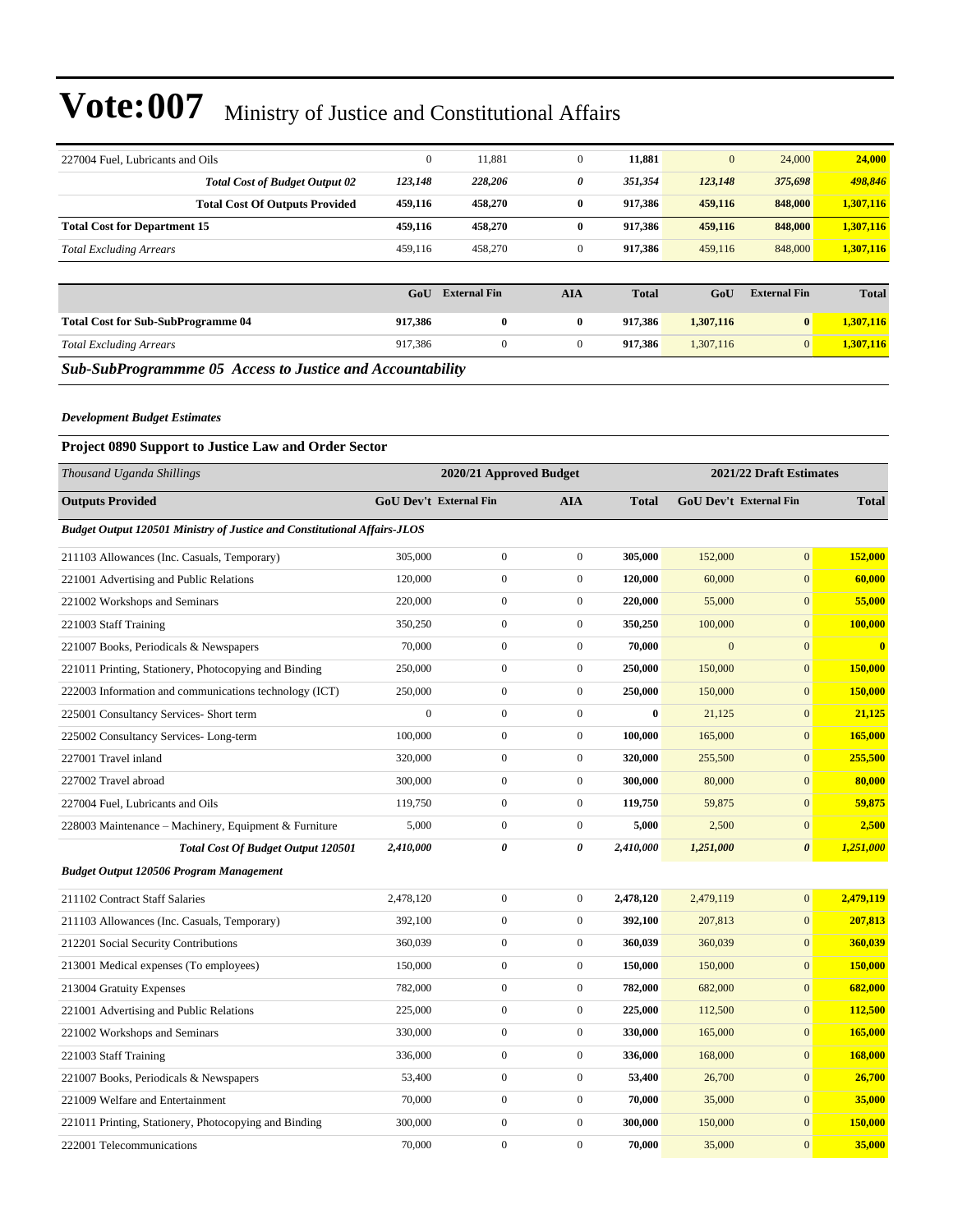| 227004 Fuel, Lubricants and Oils          | $\mathbf{0}$ | 11,881              | $\mathbf{0}$     | 11,881       | $\mathbf{0}$ | 24,000              | 24,000       |
|-------------------------------------------|--------------|---------------------|------------------|--------------|--------------|---------------------|--------------|
| <b>Total Cost of Budget Output 02</b>     | 123,148      | 228,206             | 0                | 351,354      | 123,148      | 375,698             | 498,846      |
| <b>Total Cost Of Outputs Provided</b>     | 459,116      | 458,270             | $\bf{0}$         | 917,386      | 459,116      | 848,000             | 1,307,116    |
| <b>Total Cost for Department 15</b>       | 459,116      | 458,270             | $\bf{0}$         | 917,386      | 459,116      | 848,000             | 1,307,116    |
| <b>Total Excluding Arrears</b>            | 459,116      | 458,270             | $\mathbf{0}$     | 917,386      | 459,116      | 848,000             | 1,307,116    |
|                                           |              |                     |                  |              |              |                     |              |
|                                           | GoU          | <b>External Fin</b> | <b>AIA</b>       | <b>Total</b> | GoU          | <b>External Fin</b> | <b>Total</b> |
| <b>Total Cost for Sub-SubProgramme 04</b> | 917,386      | $\bf{0}$            | $\bf{0}$         | 917.386      | 1,307,116    | $\bf{0}$            | 1,307,116    |
| <b>Total Excluding Arrears</b>            | 917,386      | $\mathbf{0}$        | $\boldsymbol{0}$ | 917,386      | 1,307,116    | $\mathbf{0}$        | 1,307,116    |
|                                           |              |                     |                  |              |              |                     |              |

#### *Development Budget Estimates*

#### **Project 0890 Support to Justice Law and Order Sector**

| Thousand Uganda Shillings                                                       |                        | 2020/21 Approved Budget |                  |              |              | 2021/22 Draft Estimates |              |
|---------------------------------------------------------------------------------|------------------------|-------------------------|------------------|--------------|--------------|-------------------------|--------------|
| <b>Outputs Provided</b>                                                         | GoU Dev't External Fin |                         | <b>AIA</b>       | <b>Total</b> |              | GoU Dev't External Fin  | <b>Total</b> |
| <b>Budget Output 120501 Ministry of Justice and Constitutional Affairs-JLOS</b> |                        |                         |                  |              |              |                         |              |
| 211103 Allowances (Inc. Casuals, Temporary)                                     | 305,000                | $\boldsymbol{0}$        | $\boldsymbol{0}$ | 305,000      | 152,000      | $\boldsymbol{0}$        | 152,000      |
| 221001 Advertising and Public Relations                                         | 120,000                | $\boldsymbol{0}$        | $\boldsymbol{0}$ | 120,000      | 60,000       | $\boldsymbol{0}$        | 60,000       |
| 221002 Workshops and Seminars                                                   | 220,000                | $\boldsymbol{0}$        | $\boldsymbol{0}$ | 220,000      | 55,000       | $\mathbf{0}$            | 55,000       |
| 221003 Staff Training                                                           | 350,250                | $\boldsymbol{0}$        | $\boldsymbol{0}$ | 350,250      | 100,000      | $\mathbf{0}$            | 100,000      |
| 221007 Books, Periodicals & Newspapers                                          | 70,000                 | $\boldsymbol{0}$        | $\boldsymbol{0}$ | 70,000       | $\mathbf{0}$ | $\mathbf{0}$            | $\bf{0}$     |
| 221011 Printing, Stationery, Photocopying and Binding                           | 250,000                | $\boldsymbol{0}$        | $\boldsymbol{0}$ | 250,000      | 150,000      | $\mathbf{0}$            | 150,000      |
| 222003 Information and communications technology (ICT)                          | 250,000                | $\boldsymbol{0}$        | $\boldsymbol{0}$ | 250,000      | 150,000      | $\mathbf{0}$            | 150,000      |
| 225001 Consultancy Services- Short term                                         | $\overline{0}$         | $\boldsymbol{0}$        | $\mathbf{0}$     | $\bf{0}$     | 21,125       | $\mathbf{0}$            | 21,125       |
| 225002 Consultancy Services-Long-term                                           | 100,000                | $\boldsymbol{0}$        | $\boldsymbol{0}$ | 100,000      | 165,000      | $\mathbf{0}$            | 165,000      |
| 227001 Travel inland                                                            | 320,000                | $\boldsymbol{0}$        | $\boldsymbol{0}$ | 320,000      | 255,500      | $\mathbf{0}$            | 255,500      |
| 227002 Travel abroad                                                            | 300,000                | $\boldsymbol{0}$        | $\boldsymbol{0}$ | 300,000      | 80,000       | $\mathbf{0}$            | 80,000       |
| 227004 Fuel, Lubricants and Oils                                                | 119,750                | $\boldsymbol{0}$        | $\boldsymbol{0}$ | 119,750      | 59,875       | $\mathbf{0}$            | 59,875       |
| 228003 Maintenance – Machinery, Equipment & Furniture                           | 5,000                  | $\boldsymbol{0}$        | $\boldsymbol{0}$ | 5,000        | 2,500        | $\mathbf{0}$            | 2,500        |
| Total Cost Of Budget Output 120501                                              | 2,410,000              | 0                       | 0                | 2,410,000    | 1,251,000    | $\boldsymbol{\theta}$   | 1,251,000    |
| Budget Output 120506 Program Management                                         |                        |                         |                  |              |              |                         |              |
| 211102 Contract Staff Salaries                                                  | 2,478,120              | $\boldsymbol{0}$        | $\boldsymbol{0}$ | 2,478,120    | 2,479,119    | $\mathbf{0}$            | 2,479,119    |
| 211103 Allowances (Inc. Casuals, Temporary)                                     | 392,100                | $\boldsymbol{0}$        | $\mathbf{0}$     | 392,100      | 207,813      | $\mathbf{0}$            | 207,813      |
| 212201 Social Security Contributions                                            | 360,039                | $\boldsymbol{0}$        | $\boldsymbol{0}$ | 360,039      | 360,039      | $\mathbf{0}$            | 360,039      |
| 213001 Medical expenses (To employees)                                          | 150,000                | $\boldsymbol{0}$        | $\mathbf{0}$     | 150,000      | 150,000      | $\mathbf{0}$            | 150,000      |
| 213004 Gratuity Expenses                                                        | 782,000                | $\boldsymbol{0}$        | $\boldsymbol{0}$ | 782,000      | 682,000      | $\mathbf{0}$            | 682,000      |
| 221001 Advertising and Public Relations                                         | 225,000                | $\boldsymbol{0}$        | $\mathbf{0}$     | 225,000      | 112,500      | $\mathbf{0}$            | 112,500      |
| 221002 Workshops and Seminars                                                   | 330,000                | $\boldsymbol{0}$        | $\boldsymbol{0}$ | 330,000      | 165,000      | $\mathbf{0}$            | 165,000      |
| 221003 Staff Training                                                           | 336,000                | $\boldsymbol{0}$        | $\mathbf{0}$     | 336,000      | 168,000      | $\mathbf{0}$            | 168,000      |
| 221007 Books, Periodicals & Newspapers                                          | 53,400                 | $\boldsymbol{0}$        | $\boldsymbol{0}$ | 53,400       | 26,700       | $\mathbf{0}$            | 26,700       |
| 221009 Welfare and Entertainment                                                | 70,000                 | $\boldsymbol{0}$        | $\boldsymbol{0}$ | 70,000       | 35,000       | $\boldsymbol{0}$        | 35,000       |
| 221011 Printing, Stationery, Photocopying and Binding                           | 300,000                | $\boldsymbol{0}$        | $\boldsymbol{0}$ | 300,000      | 150,000      | $\mathbf{0}$            | 150,000      |
| 222001 Telecommunications                                                       | 70,000                 | $\boldsymbol{0}$        | $\mathbf{0}$     | 70,000       | 35,000       | $\mathbf{0}$            | 35,000       |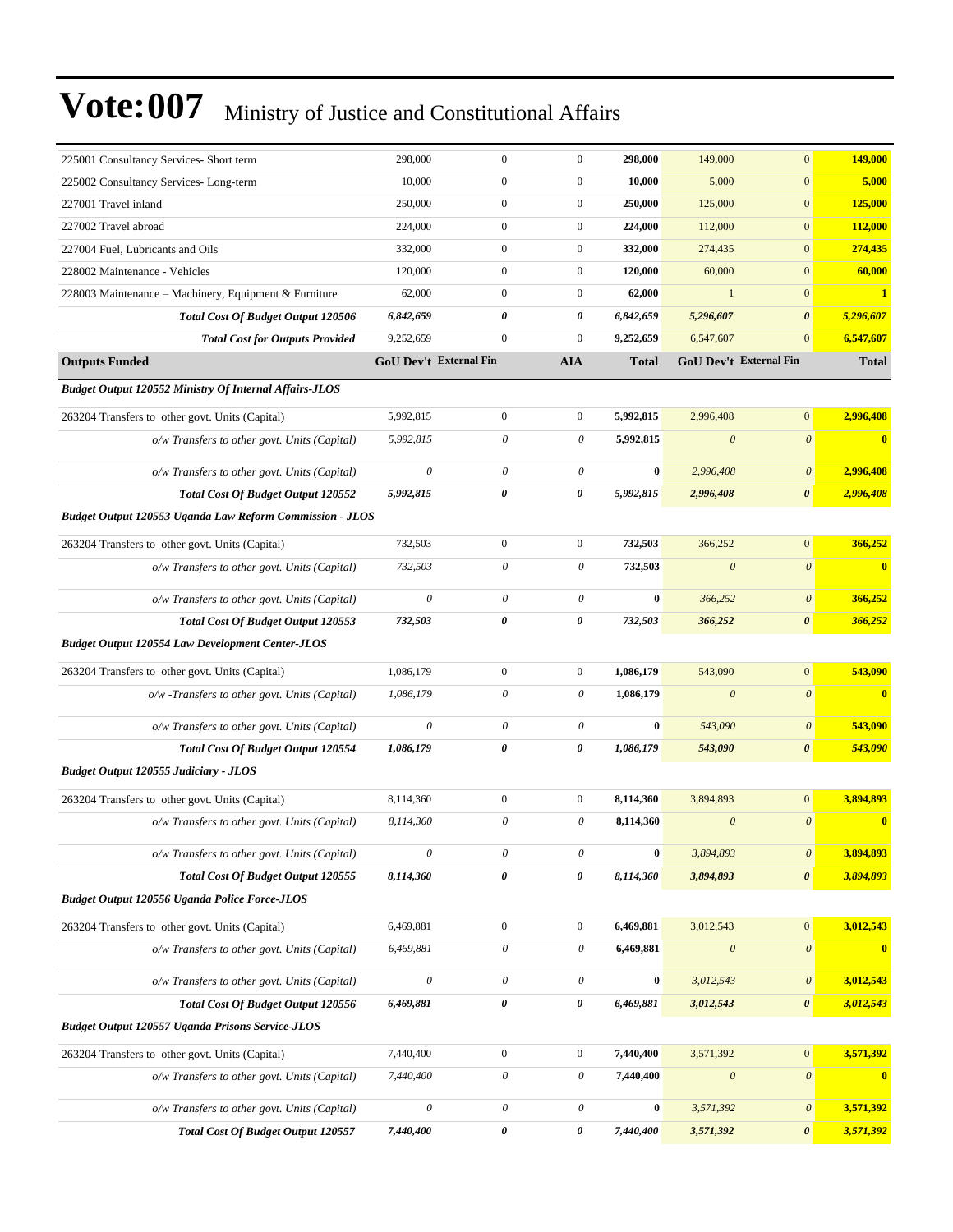| 225001 Consultancy Services- Short term                         | 298,000                   | $\boldsymbol{0}$          | $\boldsymbol{0}$          | 298,000          | 149,000               | $\mathbf{0}$              | 149,000                 |
|-----------------------------------------------------------------|---------------------------|---------------------------|---------------------------|------------------|-----------------------|---------------------------|-------------------------|
| 225002 Consultancy Services-Long-term                           | 10,000                    | $\boldsymbol{0}$          | $\boldsymbol{0}$          | 10,000           | 5,000                 | $\boldsymbol{0}$          | 5,000                   |
| 227001 Travel inland                                            | 250,000                   | $\mathbf{0}$              | $\boldsymbol{0}$          | 250,000          | 125,000               | $\mathbf{0}$              | 125,000                 |
| 227002 Travel abroad                                            | 224,000                   | $\boldsymbol{0}$          | $\overline{0}$            | 224,000          | 112,000               | $\mathbf{0}$              | 112,000                 |
| 227004 Fuel, Lubricants and Oils                                | 332,000                   | $\boldsymbol{0}$          | $\boldsymbol{0}$          | 332,000          | 274,435               | $\mathbf{0}$              | 274,435                 |
| 228002 Maintenance - Vehicles                                   | 120,000                   | $\mathbf{0}$              | $\boldsymbol{0}$          | 120,000          | 60,000                | $\mathbf{0}$              | 60,000                  |
| 228003 Maintenance - Machinery, Equipment & Furniture           | 62,000                    | $\boldsymbol{0}$          | $\boldsymbol{0}$          | 62,000           | $\mathbf{1}$          | $\mathbf{0}$              | $\mathbf{1}$            |
| <b>Total Cost Of Budget Output 120506</b>                       | 6,842,659                 | 0                         | 0                         | 6,842,659        | 5,296,607             | $\boldsymbol{\theta}$     | 5,296,607               |
| <b>Total Cost for Outputs Provided</b>                          | 9,252,659                 | $\boldsymbol{0}$          | $\boldsymbol{0}$          | 9,252,659        | 6,547,607             | $\mathbf{0}$              | 6,547,607               |
| <b>Outputs Funded</b>                                           | GoU Dev't External Fin    |                           | <b>AIA</b>                | <b>Total</b>     |                       | GoU Dev't External Fin    | <b>Total</b>            |
| <b>Budget Output 120552 Ministry Of Internal Affairs-JLOS</b>   |                           |                           |                           |                  |                       |                           |                         |
| 263204 Transfers to other govt. Units (Capital)                 | 5,992,815                 | $\boldsymbol{0}$          | $\overline{0}$            | 5,992,815        | 2,996,408             | $\mathbf{0}$              | 2,996,408               |
| o/w Transfers to other govt. Units (Capital)                    | 5,992,815                 | 0                         | 0                         | 5,992,815        | $\boldsymbol{\theta}$ | $\boldsymbol{\theta}$     | $\bf{0}$                |
| o/w Transfers to other govt. Units (Capital)                    | $\boldsymbol{\theta}$     | $\boldsymbol{\theta}$     | $\boldsymbol{\theta}$     | $\bf{0}$         | 2,996,408             | $\boldsymbol{\theta}$     | 2,996,408               |
| <b>Total Cost Of Budget Output 120552</b>                       | 5,992,815                 | $\pmb{\theta}$            | 0                         | 5,992,815        | 2,996,408             | $\boldsymbol{\theta}$     | 2,996,408               |
| <b>Budget Output 120553 Uganda Law Reform Commission - JLOS</b> |                           |                           |                           |                  |                       |                           |                         |
| 263204 Transfers to other govt. Units (Capital)                 | 732,503                   | $\boldsymbol{0}$          | $\overline{0}$            | 732,503          | 366,252               | $\boldsymbol{0}$          | 366,252                 |
| o/w Transfers to other govt. Units (Capital)                    | 732,503                   | $\boldsymbol{\theta}$     | $\theta$                  | 732,503          | $\theta$              | $\boldsymbol{\theta}$     | $\bf{0}$                |
| o/w Transfers to other govt. Units (Capital)                    | $\boldsymbol{\theta}$     | $\boldsymbol{\theta}$     | $\theta$                  | $\bf{0}$         | 366,252               | $\boldsymbol{\theta}$     | 366,252                 |
| <b>Total Cost Of Budget Output 120553</b>                       | 732,503                   | 0                         | 0                         | 732,503          | 366,252               | $\boldsymbol{\theta}$     | 366,252                 |
| <b>Budget Output 120554 Law Development Center-JLOS</b>         |                           |                           |                           |                  |                       |                           |                         |
| 263204 Transfers to other govt. Units (Capital)                 | 1,086,179                 | $\boldsymbol{0}$          | $\overline{0}$            | 1,086,179        | 543,090               | $\mathbf{0}$              | 543,090                 |
| o/w -Transfers to other govt. Units (Capital)                   | 1,086,179                 | $\boldsymbol{\theta}$     | 0                         | 1,086,179        | $\theta$              | $\mathcal{O}$             | $\bf{0}$                |
| o/w Transfers to other govt. Units (Capital)                    | $\boldsymbol{\theta}$     | $\boldsymbol{\theta}$     | $\boldsymbol{\theta}$     | $\bf{0}$         | 543,090               | $\boldsymbol{\theta}$     | 543,090                 |
| Total Cost Of Budget Output 120554                              | 1,086,179                 | $\pmb{\theta}$            | 0                         | 1,086,179        | 543,090               | $\boldsymbol{\theta}$     | 543,090                 |
| <b>Budget Output 120555 Judiciary - JLOS</b>                    |                           |                           |                           |                  |                       |                           |                         |
| 263204 Transfers to other govt. Units (Capital)                 | 8,114,360                 | $\boldsymbol{0}$          | $\boldsymbol{0}$          | 8,114,360        | 3,894,893             | $\mathbf{0}$              | 3,894,893               |
| o/w Transfers to other govt. Units (Capital)                    | 8,114,360                 | 0                         | 0                         | 8,114,360        | $\boldsymbol{\theta}$ | $\theta$                  | $\overline{\mathbf{0}}$ |
| o/w Transfers to other govt. Units (Capital)                    | $\boldsymbol{\theta}$     | $\boldsymbol{\mathit{0}}$ | $\boldsymbol{\mathit{0}}$ | $\boldsymbol{0}$ | 3,894,893             | $\theta$                  | 3,894,893               |
| Total Cost Of Budget Output 120555                              | 8,114,360                 | $\pmb{\theta}$            | $\pmb{\theta}$            | 8,114,360        | 3,894,893             | $\boldsymbol{\theta}$     | 3,894,893               |
| <b>Budget Output 120556 Uganda Police Force-JLOS</b>            |                           |                           |                           |                  |                       |                           |                         |
| 263204 Transfers to other govt. Units (Capital)                 | 6,469,881                 | $\boldsymbol{0}$          | $\boldsymbol{0}$          | 6,469,881        | 3,012,543             | $\boldsymbol{0}$          | 3,012,543               |
| o/w Transfers to other govt. Units (Capital)                    | 6,469,881                 | $\boldsymbol{\mathit{0}}$ | $\theta$                  | 6,469,881        | $\boldsymbol{\theta}$ | $\boldsymbol{\mathit{0}}$ | $\mathbf{0}$            |
| o/w Transfers to other govt. Units (Capital)                    | $\boldsymbol{\mathit{0}}$ | $\boldsymbol{\mathit{0}}$ | $\theta$                  | $\boldsymbol{0}$ | 3,012,543             | $\boldsymbol{\theta}$     | 3,012,543               |
| Total Cost Of Budget Output 120556                              | 6,469,881                 | $\pmb{\theta}$            | 0                         | 6,469,881        | 3,012,543             | $\boldsymbol{\theta}$     | 3,012,543               |
| <b>Budget Output 120557 Uganda Prisons Service-JLOS</b>         |                           |                           |                           |                  |                       |                           |                         |
| 263204 Transfers to other govt. Units (Capital)                 | 7,440,400                 | $\boldsymbol{0}$          | $\boldsymbol{0}$          | 7,440,400        | 3,571,392             | $\mathbf{0}$              | 3,571,392               |
| o/w Transfers to other govt. Units (Capital)                    | 7,440,400                 | $\boldsymbol{\mathit{0}}$ | $\theta$                  | 7,440,400        | $\boldsymbol{\theta}$ | $\boldsymbol{\theta}$     | $\mathbf{0}$            |
| o/w Transfers to other govt. Units (Capital)                    | $\boldsymbol{\theta}$     | $\boldsymbol{\mathit{0}}$ | $\theta$                  | $\bf{0}$         | 3,571,392             | $\boldsymbol{\theta}$     | 3,571,392               |
| Total Cost Of Budget Output 120557                              | 7,440,400                 | $\pmb{\theta}$            | 0                         | 7,440,400        | 3,571,392             | $\boldsymbol{\theta}$     | 3,571,392               |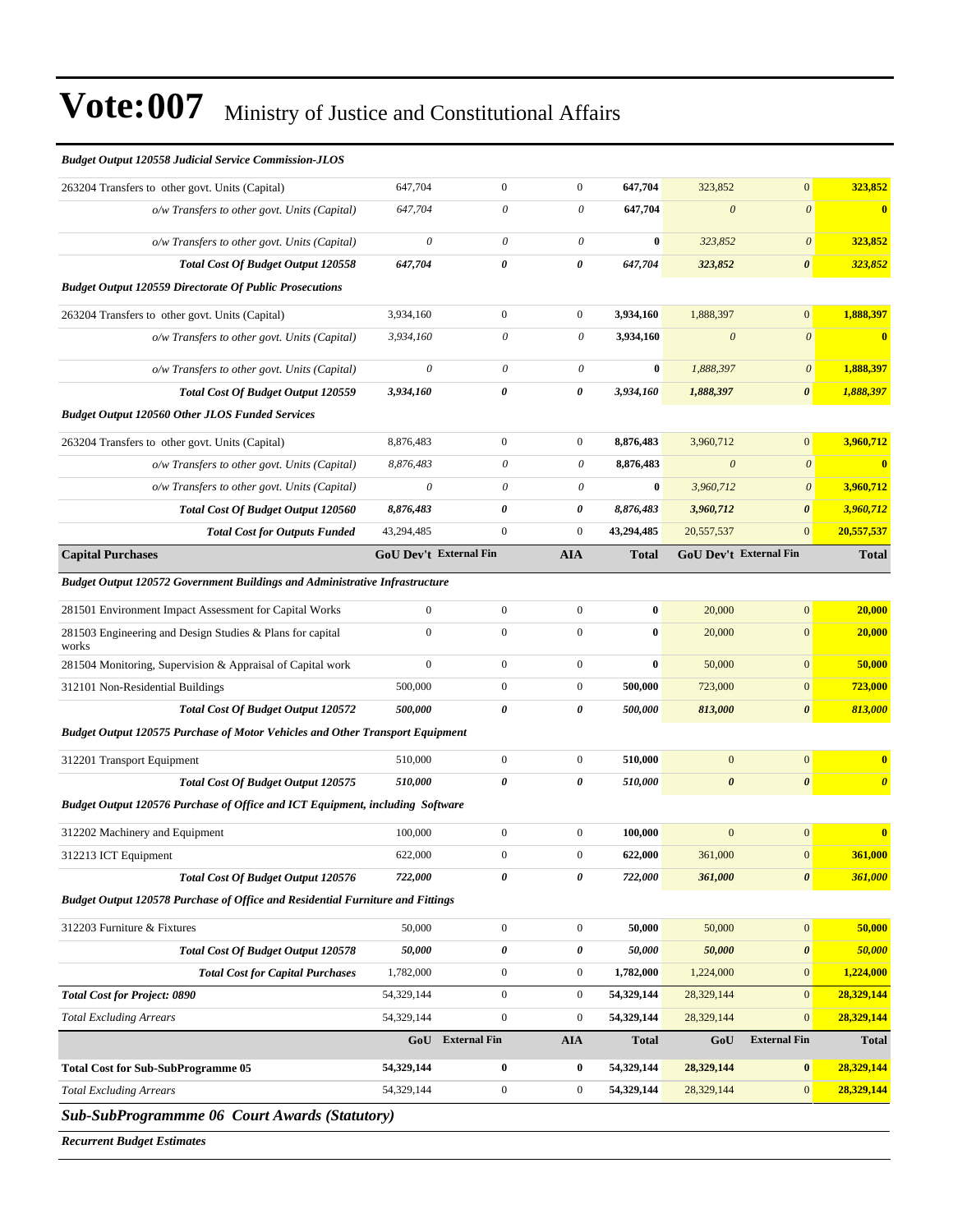| <b>Budget Output 120558 Judicial Service Commission-JLOS</b>                                                                                                                                                                                                                                                                                                  |                           |                               |                  |              |                               |                       |                       |
|---------------------------------------------------------------------------------------------------------------------------------------------------------------------------------------------------------------------------------------------------------------------------------------------------------------------------------------------------------------|---------------------------|-------------------------------|------------------|--------------|-------------------------------|-----------------------|-----------------------|
| 263204 Transfers to other govt. Units (Capital)                                                                                                                                                                                                                                                                                                               | 647,704                   | $\mathbf{0}$                  | $\boldsymbol{0}$ | 647,704      | 323,852                       | $\mathbf{0}$          | 323,852               |
| o/w Transfers to other govt. Units (Capital)                                                                                                                                                                                                                                                                                                                  | 647,704                   | 0                             | 0                | 647,704      | $\boldsymbol{\theta}$         | $\boldsymbol{\theta}$ | $\bf{0}$              |
| o/w Transfers to other govt. Units (Capital)                                                                                                                                                                                                                                                                                                                  | $\boldsymbol{\mathit{0}}$ | $\theta$                      | $\theta$         | $\bf{0}$     | 323,852                       | $\boldsymbol{\theta}$ | 323,852               |
| Total Cost Of Budget Output 120558                                                                                                                                                                                                                                                                                                                            | 647,704                   | 0                             | 0                | 647,704      | 323,852                       | $\boldsymbol{\theta}$ | 323,852               |
| <b>Budget Output 120559 Directorate Of Public Prosecutions</b>                                                                                                                                                                                                                                                                                                |                           |                               |                  |              |                               |                       |                       |
| 263204 Transfers to other govt. Units (Capital)                                                                                                                                                                                                                                                                                                               | 3,934,160                 | $\mathbf{0}$                  | $\boldsymbol{0}$ | 3,934,160    | 1,888,397                     | $\boldsymbol{0}$      | 1,888,397             |
| o/w Transfers to other govt. Units (Capital)                                                                                                                                                                                                                                                                                                                  | 3,934,160                 | 0                             | 0                | 3,934,160    | $\boldsymbol{\theta}$         | $\boldsymbol{\theta}$ | $\bf{0}$              |
| o/w Transfers to other govt. Units (Capital)                                                                                                                                                                                                                                                                                                                  | $\boldsymbol{\mathit{0}}$ | 0                             | 0                | $\bf{0}$     | 1,888,397                     | $\boldsymbol{\theta}$ | 1,888,397             |
| Total Cost Of Budget Output 120559                                                                                                                                                                                                                                                                                                                            | 3,934,160                 | 0                             | 0                | 3,934,160    | 1,888,397                     | $\boldsymbol{\theta}$ | 1,888,397             |
| <b>Budget Output 120560 Other JLOS Funded Services</b>                                                                                                                                                                                                                                                                                                        |                           |                               |                  |              |                               |                       |                       |
| 263204 Transfers to other govt. Units (Capital)                                                                                                                                                                                                                                                                                                               | 8,876,483                 | $\boldsymbol{0}$              | $\mathbf{0}$     | 8,876,483    | 3,960,712                     | $\mathbf{0}$          | 3,960,712             |
| o/w Transfers to other govt. Units (Capital)                                                                                                                                                                                                                                                                                                                  | 8,876,483                 | $\boldsymbol{\theta}$         | 0                | 8,876,483    | $\boldsymbol{\theta}$         | $\boldsymbol{\theta}$ | $\bf{0}$              |
| o/w Transfers to other govt. Units (Capital)                                                                                                                                                                                                                                                                                                                  | $\boldsymbol{\mathit{0}}$ | $\theta$                      | 0                | $\bf{0}$     | 3,960,712                     | $\boldsymbol{\theta}$ | 3,960,712             |
| Total Cost Of Budget Output 120560                                                                                                                                                                                                                                                                                                                            | 8,876,483                 | 0                             | 0                | 8,876,483    | 3,960,712                     | $\boldsymbol{\theta}$ | 3,960,712             |
| <b>Total Cost for Outputs Funded</b>                                                                                                                                                                                                                                                                                                                          | 43,294,485                | $\boldsymbol{0}$              | $\mathbf{0}$     | 43,294,485   | 20,557,537                    | $\mathbf{0}$          | 20,557,537            |
| <b>Capital Purchases</b>                                                                                                                                                                                                                                                                                                                                      |                           | <b>GoU Dev't External Fin</b> | <b>AIA</b>       | <b>Total</b> | <b>GoU Dev't External Fin</b> |                       | <b>Total</b>          |
| Budget Output 120572 Government Buildings and Administrative Infrastructure                                                                                                                                                                                                                                                                                   |                           |                               |                  |              |                               |                       |                       |
| 281501 Environment Impact Assessment for Capital Works                                                                                                                                                                                                                                                                                                        | $\overline{0}$            | $\boldsymbol{0}$              | $\boldsymbol{0}$ | $\bf{0}$     | 20,000                        | $\mathbf{0}$          | 20,000                |
| 281503 Engineering and Design Studies & Plans for capital<br>works                                                                                                                                                                                                                                                                                            | $\overline{0}$            | $\mathbf{0}$                  | $\mathbf{0}$     | $\bf{0}$     | 20,000                        | $\mathbf{0}$          | 20,000                |
| 281504 Monitoring, Supervision & Appraisal of Capital work                                                                                                                                                                                                                                                                                                    | $\boldsymbol{0}$          | $\boldsymbol{0}$              | $\boldsymbol{0}$ | $\bf{0}$     | 50,000                        | $\boldsymbol{0}$      | 50,000                |
| 312101 Non-Residential Buildings                                                                                                                                                                                                                                                                                                                              | 500,000                   | $\boldsymbol{0}$              | $\mathbf{0}$     | 500,000      | 723,000                       | $\boldsymbol{0}$      | 723,000               |
| <b>Total Cost Of Budget Output 120572</b>                                                                                                                                                                                                                                                                                                                     | 500,000                   | 0                             | 0                | 500,000      | 813,000                       | $\boldsymbol{\theta}$ | 813,000               |
| <b>Budget Output 120575 Purchase of Motor Vehicles and Other Transport Equipment</b>                                                                                                                                                                                                                                                                          |                           |                               |                  |              |                               |                       |                       |
| 312201 Transport Equipment                                                                                                                                                                                                                                                                                                                                    | 510,000                   | $\mathbf{0}$                  | $\boldsymbol{0}$ | 510,000      | $\mathbf{0}$                  | $\boldsymbol{0}$      | $\bf{0}$              |
| <b>Total Cost Of Budget Output 120575</b>                                                                                                                                                                                                                                                                                                                     | 510,000                   | 0                             | 0                | 510,000      | $\boldsymbol{\theta}$         | $\boldsymbol{\theta}$ | $\boldsymbol{\theta}$ |
| Budget Output 120576 Purchase of Office and ICT Equipment, including Software                                                                                                                                                                                                                                                                                 |                           |                               |                  |              |                               |                       |                       |
| 312202 Machinery and Equipment                                                                                                                                                                                                                                                                                                                                | 100,000                   | $\boldsymbol{0}$              | $\mathbf{0}$     | 100.000      | $\overline{0}$                | $\boldsymbol{0}$      | $\bf{0}$              |
| 312213 ICT Equipment                                                                                                                                                                                                                                                                                                                                          | 622,000                   | 0                             | $\mathbf{0}$     | 622,000      | 361,000                       | $\bf{0}$              | <b>361,000</b>        |
| <b>Total Cost Of Budget Output 120576</b>                                                                                                                                                                                                                                                                                                                     | 722,000                   | 0                             | 0                | 722,000      | 361,000                       | 0                     | 361,000               |
| Budget Output 120578 Purchase of Office and Residential Furniture and Fittings                                                                                                                                                                                                                                                                                |                           |                               |                  |              |                               |                       |                       |
| 312203 Furniture & Fixtures                                                                                                                                                                                                                                                                                                                                   | 50,000                    | $\boldsymbol{0}$              | $\mathbf{0}$     | 50,000       | 50,000                        | $\boldsymbol{0}$      | 50,000                |
| Total Cost Of Budget Output 120578                                                                                                                                                                                                                                                                                                                            | 50,000                    | $\pmb{\theta}$                | 0                | 50,000       | 50,000                        | $\pmb{\theta}$        | 50,000                |
| <b>Total Cost for Capital Purchases</b>                                                                                                                                                                                                                                                                                                                       | 1,782,000                 | $\boldsymbol{0}$              | $\boldsymbol{0}$ | 1,782,000    | 1,224,000                     | $\boldsymbol{0}$      | 1,224,000             |
| <b>Total Cost for Project: 0890</b>                                                                                                                                                                                                                                                                                                                           | 54,329,144                | $\boldsymbol{0}$              | $\boldsymbol{0}$ | 54,329,144   | 28,329,144                    | $\mathbf{0}$          | 28,329,144            |
| <b>Total Excluding Arrears</b>                                                                                                                                                                                                                                                                                                                                | 54,329,144                | $\mathbf{0}$                  | $\mathbf{0}$     | 54,329,144   | 28,329,144                    | $\mathbf{0}$          | 28,329,144            |
|                                                                                                                                                                                                                                                                                                                                                               |                           | <b>GoU</b> External Fin       | AIA              | <b>Total</b> | GoU                           | <b>External Fin</b>   | <b>Total</b>          |
| <b>Total Cost for Sub-SubProgramme 05</b>                                                                                                                                                                                                                                                                                                                     | 54,329,144                | $\bf{0}$                      | $\bf{0}$         | 54,329,144   | 28,329,144                    | $\bf{0}$              | 28,329,144            |
| <b>Total Excluding Arrears</b>                                                                                                                                                                                                                                                                                                                                | 54,329,144                | $\boldsymbol{0}$              | $\mathbf{0}$     | 54,329,144   | 28,329,144                    | $\overline{0}$        | 28,329,144            |
| $S_{ab}$ $S_{ab}$ $D_{u\alpha\alpha\gamma\gamma}$ $D_{u\alpha}$ $D_{u\alpha}$ $D_{u\alpha}$ $D_{u\alpha}$ $D_{u\alpha}$ $D_{u\alpha}$ $D_{u\alpha}$ $D_{u\alpha}$ $D_{u\alpha}$ $D_{u\alpha}$ $D_{u\alpha}$ $D_{u\alpha}$ $D_{u\alpha}$ $D_{u\alpha}$ $D_{u\alpha}$ $D_{u\alpha}$ $D_{u\alpha}$ $D_{u\alpha}$ $D_{u\alpha}$ $D_{u\alpha}$ $D_{u\alpha}$ $D_{$ |                           |                               |                  |              |                               |                       |                       |

*Sub-SubProgrammme 06 Court Awards (Statutory)*

*Recurrent Budget Estimates*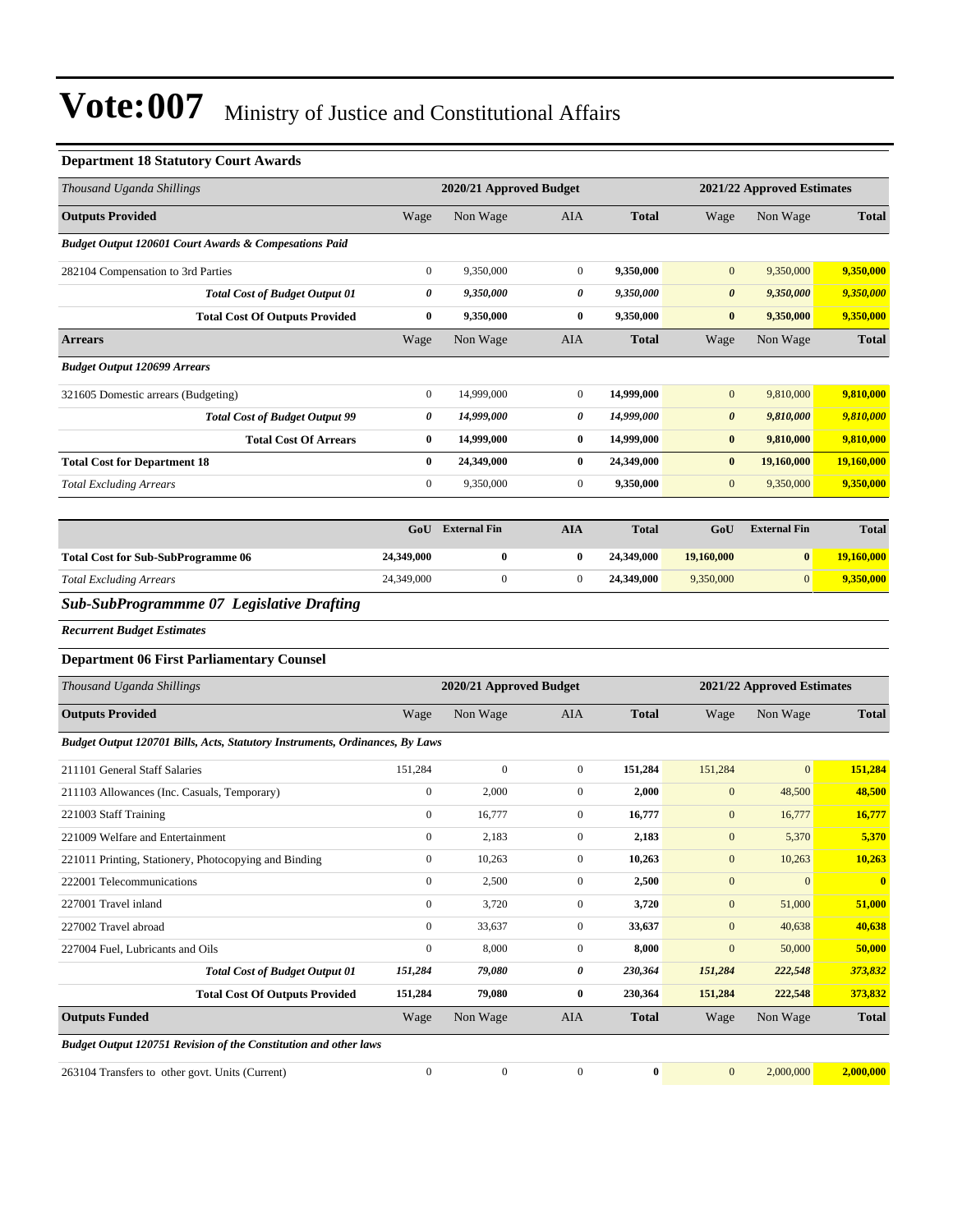### **Department 18 Statutory Court Awards**

| Thousand Uganda Shillings                                                           |                  | 2020/21 Approved Budget |                  |                  |                       | 2021/22 Approved Estimates |              |  |  |
|-------------------------------------------------------------------------------------|------------------|-------------------------|------------------|------------------|-----------------------|----------------------------|--------------|--|--|
| <b>Outputs Provided</b>                                                             | Wage             | Non Wage                | AIA              | <b>Total</b>     | Wage                  | Non Wage                   | <b>Total</b> |  |  |
| Budget Output 120601 Court Awards & Compesations Paid                               |                  |                         |                  |                  |                       |                            |              |  |  |
| 282104 Compensation to 3rd Parties                                                  | $\boldsymbol{0}$ | 9,350,000               | $\boldsymbol{0}$ | 9,350,000        | $\boldsymbol{0}$      | 9,350,000                  | 9,350,000    |  |  |
| <b>Total Cost of Budget Output 01</b>                                               | $\pmb{\theta}$   | 9,350,000               | 0                | 9,350,000        | $\boldsymbol{\theta}$ | 9,350,000                  | 9,350,000    |  |  |
| <b>Total Cost Of Outputs Provided</b>                                               | $\bf{0}$         | 9,350,000               | $\bf{0}$         | 9,350,000        | $\bf{0}$              | 9,350,000                  | 9,350,000    |  |  |
| <b>Arrears</b>                                                                      | Wage             | Non Wage                | AIA              | <b>Total</b>     | Wage                  | Non Wage                   | <b>Total</b> |  |  |
| <b>Budget Output 120699 Arrears</b>                                                 |                  |                         |                  |                  |                       |                            |              |  |  |
| 321605 Domestic arrears (Budgeting)                                                 | $\boldsymbol{0}$ | 14,999,000              | $\boldsymbol{0}$ | 14,999,000       | $\mathbf{0}$          | 9,810,000                  | 9,810,000    |  |  |
| <b>Total Cost of Budget Output 99</b>                                               | 0                | 14,999,000              | 0                | 14,999,000       | 0                     | 9,810,000                  | 9,810,000    |  |  |
| <b>Total Cost Of Arrears</b>                                                        | $\bf{0}$         | 14,999,000              | $\bf{0}$         | 14,999,000       | $\bf{0}$              | 9,810,000                  | 9,810,000    |  |  |
| <b>Total Cost for Department 18</b>                                                 | $\bf{0}$         | 24,349,000              | $\bf{0}$         | 24,349,000       | $\bf{0}$              | 19,160,000                 | 19,160,000   |  |  |
| <b>Total Excluding Arrears</b>                                                      | $\boldsymbol{0}$ | 9,350,000               | $\boldsymbol{0}$ | 9,350,000        | $\mathbf{0}$          | 9,350,000                  | 9,350,000    |  |  |
|                                                                                     |                  |                         |                  |                  |                       |                            |              |  |  |
|                                                                                     | GoU              | <b>External Fin</b>     | <b>AIA</b>       | <b>Total</b>     | GoU                   | <b>External Fin</b>        | <b>Total</b> |  |  |
| <b>Total Cost for Sub-SubProgramme 06</b>                                           | 24,349,000       | $\bf{0}$                | $\bf{0}$         | 24,349,000       | 19,160,000            | $\bf{0}$                   | 19,160,000   |  |  |
| <b>Total Excluding Arrears</b>                                                      | 24,349,000       | $\boldsymbol{0}$        | $\boldsymbol{0}$ | 24,349,000       | 9,350,000             | $\mathbf{0}$               | 9,350,000    |  |  |
| Sub-SubProgrammme 07 Legislative Drafting                                           |                  |                         |                  |                  |                       |                            |              |  |  |
| <b>Recurrent Budget Estimates</b>                                                   |                  |                         |                  |                  |                       |                            |              |  |  |
| <b>Department 06 First Parliamentary Counsel</b>                                    |                  |                         |                  |                  |                       |                            |              |  |  |
| Thousand Uganda Shillings                                                           |                  | 2020/21 Approved Budget |                  |                  |                       | 2021/22 Approved Estimates |              |  |  |
| <b>Outputs Provided</b>                                                             | Wage             | Non Wage                | AIA              | <b>Total</b>     | Wage                  | Non Wage                   | <b>Total</b> |  |  |
| <b>Budget Output 120701 Bills, Acts, Statutory Instruments, Ordinances, By Laws</b> |                  |                         |                  |                  |                       |                            |              |  |  |
| 211101 General Staff Salaries                                                       | 151,284          | $\boldsymbol{0}$        | $\boldsymbol{0}$ | 151,284          | 151,284               | $\boldsymbol{0}$           | 151,284      |  |  |
| 211103 Allowances (Inc. Casuals, Temporary)                                         | $\boldsymbol{0}$ | 2,000                   | $\boldsymbol{0}$ | 2,000            | $\mathbf{0}$          | 48,500                     | 48,500       |  |  |
| 221003 Staff Training                                                               | $\boldsymbol{0}$ | 16,777                  | $\boldsymbol{0}$ | 16,777           | $\mathbf{0}$          | 16,777                     | 16,777       |  |  |
| 221009 Welfare and Entertainment                                                    | $\boldsymbol{0}$ | 2,183                   | $\boldsymbol{0}$ | 2,183            | $\mathbf{0}$          | 5,370                      | 5,370        |  |  |
| 221011 Printing, Stationery, Photocopying and Binding                               | $\boldsymbol{0}$ | 10,263                  | $\boldsymbol{0}$ | 10,263           | $\mathbf{0}$          | 10,263                     | 10,263       |  |  |
| 222001 Telecommunications                                                           | $\boldsymbol{0}$ | 2,500                   | $\boldsymbol{0}$ | 2,500            | $\boldsymbol{0}$      | $\boldsymbol{0}$           | $\bf{0}$     |  |  |
| 227001 Travel inland                                                                | $\boldsymbol{0}$ | 3,720                   | $\boldsymbol{0}$ | 3,720            | $\boldsymbol{0}$      | 51,000                     | 51,000       |  |  |
| 227002 Travel abroad                                                                | $\boldsymbol{0}$ | 33,637                  | $\boldsymbol{0}$ | 33,637           | $\boldsymbol{0}$      | 40,638                     | 40,638       |  |  |
| 227004 Fuel, Lubricants and Oils                                                    | $\boldsymbol{0}$ | 8,000                   | $\boldsymbol{0}$ | 8,000            | $\mathbf{0}$          | 50,000                     | 50,000       |  |  |
| <b>Total Cost of Budget Output 01</b>                                               | 151,284          | 79,080                  | $\pmb{\theta}$   | 230,364          | 151,284               | 222,548                    | 373,832      |  |  |
| <b>Total Cost Of Outputs Provided</b>                                               | 151,284          | 79,080                  | $\bf{0}$         | 230,364          | 151,284               | 222,548                    | 373,832      |  |  |
| <b>Outputs Funded</b>                                                               | Wage             | Non Wage                | <b>AIA</b>       | <b>Total</b>     | Wage                  | Non Wage                   | <b>Total</b> |  |  |
| Budget Output 120751 Revision of the Constitution and other laws                    |                  |                         |                  |                  |                       |                            |              |  |  |
| 263104 Transfers to other govt. Units (Current)                                     | $\boldsymbol{0}$ | $\boldsymbol{0}$        | $\boldsymbol{0}$ | $\boldsymbol{0}$ | $\boldsymbol{0}$      | 2,000,000                  | 2,000,000    |  |  |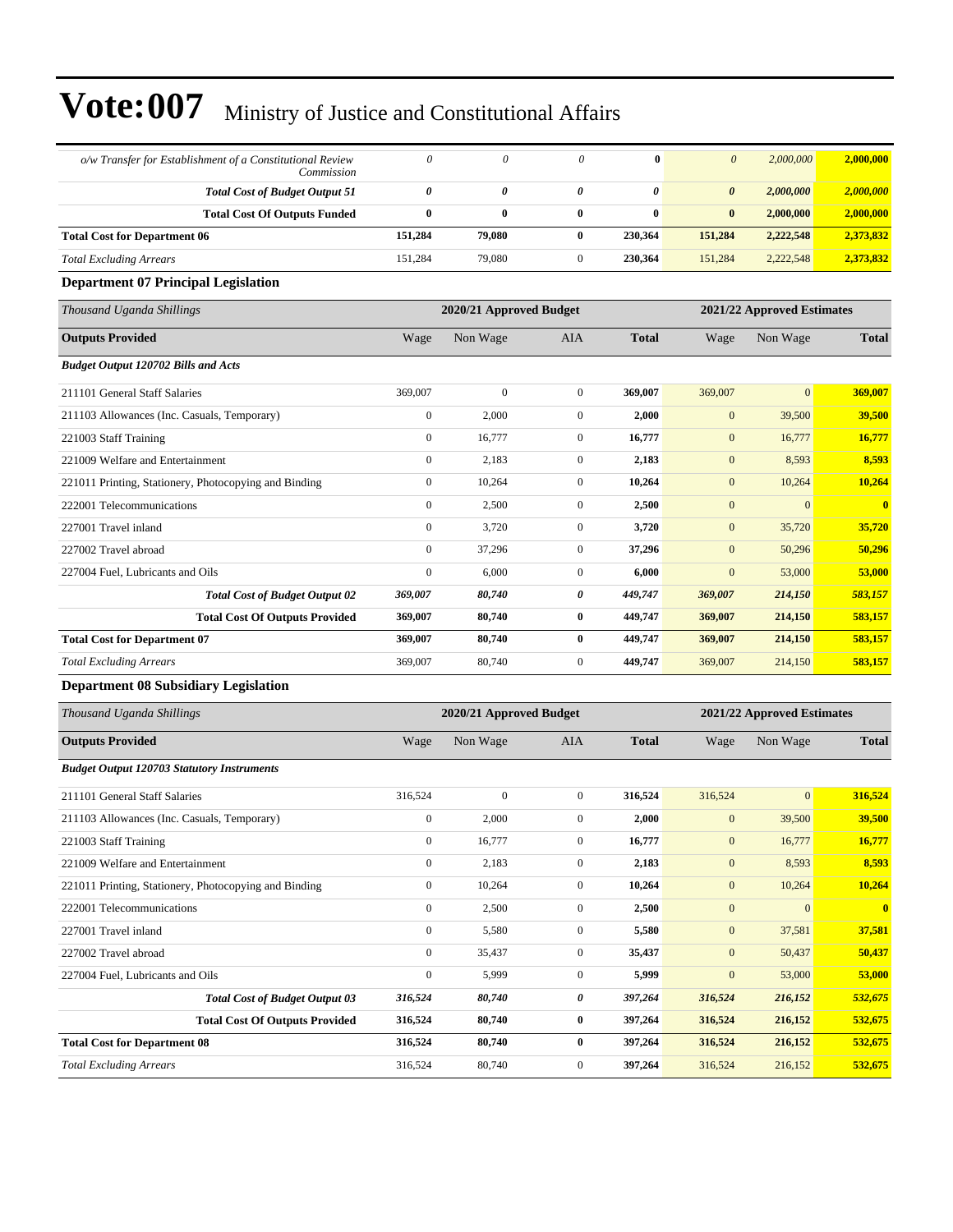| o/w Transfer for Establishment of a Constitutional Review<br>Commission | $\boldsymbol{\theta}$ | $\theta$                | $\theta$         | $\bf{0}$              | $\boldsymbol{\theta}$ | 2,000,000                  | 2,000,000    |
|-------------------------------------------------------------------------|-----------------------|-------------------------|------------------|-----------------------|-----------------------|----------------------------|--------------|
| <b>Total Cost of Budget Output 51</b>                                   | 0                     | $\boldsymbol{\theta}$   | 0                | $\boldsymbol{\theta}$ | $\boldsymbol{\theta}$ | 2,000,000                  | 2,000,000    |
| <b>Total Cost Of Outputs Funded</b>                                     | $\bf{0}$              | $\bf{0}$                | $\bf{0}$         | $\bf{0}$              | $\bf{0}$              | 2,000,000                  | 2,000,000    |
| <b>Total Cost for Department 06</b>                                     | 151,284               | 79,080                  | $\bf{0}$         | 230,364               | 151,284               | 2,222,548                  | 2,373,832    |
| <b>Total Excluding Arrears</b>                                          | 151,284               | 79,080                  | $\mathbf{0}$     | 230,364               | 151,284               | 2,222,548                  | 2,373,832    |
| <b>Department 07 Principal Legislation</b>                              |                       |                         |                  |                       |                       |                            |              |
| Thousand Uganda Shillings                                               |                       | 2020/21 Approved Budget |                  |                       |                       | 2021/22 Approved Estimates |              |
| <b>Outputs Provided</b>                                                 | Wage                  | Non Wage                | AIA              | <b>Total</b>          | Wage                  | Non Wage                   | <b>Total</b> |
| <b>Budget Output 120702 Bills and Acts</b>                              |                       |                         |                  |                       |                       |                            |              |
| 211101 General Staff Salaries                                           | 369,007               | $\boldsymbol{0}$        | $\mathbf{0}$     | 369,007               | 369,007               | $\mathbf{0}$               | 369,007      |
| 211103 Allowances (Inc. Casuals, Temporary)                             | $\boldsymbol{0}$      | 2,000                   | $\mathbf{0}$     | 2,000                 | $\mathbf{0}$          | 39,500                     | 39,500       |
| 221003 Staff Training                                                   | $\boldsymbol{0}$      | 16,777                  | $\mathbf{0}$     | 16,777                | $\mathbf{0}$          | 16,777                     | 16,777       |
| 221009 Welfare and Entertainment                                        | $\boldsymbol{0}$      | 2,183                   | $\mathbf{0}$     | 2,183                 | $\mathbf{0}$          | 8,593                      | 8,593        |
| 221011 Printing, Stationery, Photocopying and Binding                   | $\boldsymbol{0}$      | 10,264                  | $\mathbf{0}$     | 10,264                | $\mathbf{0}$          | 10,264                     | 10,264       |
| 222001 Telecommunications                                               | $\boldsymbol{0}$      | 2,500                   | $\mathbf{0}$     | 2,500                 | $\mathbf{0}$          | $\boldsymbol{0}$           | $\bf{0}$     |
| 227001 Travel inland                                                    | $\boldsymbol{0}$      | 3,720                   | $\mathbf{0}$     | 3,720                 | $\mathbf{0}$          | 35,720                     | 35,720       |
| 227002 Travel abroad                                                    | $\overline{0}$        | 37,296                  | $\mathbf{0}$     | 37,296                | $\mathbf{0}$          | 50,296                     | 50,296       |
| 227004 Fuel, Lubricants and Oils                                        | $\boldsymbol{0}$      | 6,000                   | $\mathbf{0}$     | 6,000                 | $\mathbf{0}$          | 53,000                     | 53,000       |
| <b>Total Cost of Budget Output 02</b>                                   | 369,007               | 80,740                  | 0                | 449,747               | 369,007               | 214,150                    | 583,157      |
| <b>Total Cost Of Outputs Provided</b>                                   | 369,007               | 80,740                  | $\bf{0}$         | 449,747               | 369,007               | 214,150                    | 583,157      |
| <b>Total Cost for Department 07</b>                                     | 369,007               | 80,740                  | $\bf{0}$         | 449,747               | 369,007               | 214,150                    | 583,157      |
| <b>Total Excluding Arrears</b>                                          | 369,007               | 80,740                  | $\mathbf{0}$     | 449,747               | 369,007               | 214,150                    | 583,157      |
| <b>Department 08 Subsidiary Legislation</b>                             |                       |                         |                  |                       |                       |                            |              |
| Thousand Uganda Shillings                                               |                       | 2020/21 Approved Budget |                  |                       |                       | 2021/22 Approved Estimates |              |
| <b>Outputs Provided</b>                                                 | Wage                  | Non Wage                | AIA              | <b>Total</b>          | Wage                  | Non Wage                   | <b>Total</b> |
| <b>Budget Output 120703 Statutory Instruments</b>                       |                       |                         |                  |                       |                       |                            |              |
| 211101 General Staff Salaries                                           | 316,524               | $\boldsymbol{0}$        | $\mathbf{0}$     | 316,524               | 316,524               | $\boldsymbol{0}$           | 316,524      |
| 211103 Allowances (Inc. Casuals, Temporary)                             | $\boldsymbol{0}$      | 2,000                   | $\mathbf{0}$     | 2,000                 | $\boldsymbol{0}$      | 39,500                     | 39,500       |
| 221003 Staff Training                                                   | 0                     | 16,777                  | 0                | 16,777                | $\mathbf{0}$          | 16,777                     | 16,777       |
| 221009 Welfare and Entertainment                                        | $\boldsymbol{0}$      | 2,183                   | $\boldsymbol{0}$ | 2,183                 | $\boldsymbol{0}$      | 8,593                      | 8,593        |
| 221011 Printing, Stationery, Photocopying and Binding                   | $\boldsymbol{0}$      | 10,264                  | $\boldsymbol{0}$ | 10,264                | $\boldsymbol{0}$      | 10,264                     | 10,264       |
| 222001 Telecommunications                                               | $\boldsymbol{0}$      | 2,500                   | $\boldsymbol{0}$ | 2,500                 | $\boldsymbol{0}$      | $\boldsymbol{0}$           | $\bf{0}$     |
| 227001 Travel inland                                                    | $\boldsymbol{0}$      | 5,580                   | $\boldsymbol{0}$ | 5,580                 | $\boldsymbol{0}$      | 37,581                     | 37,581       |
| 227002 Travel abroad                                                    | $\boldsymbol{0}$      | 35,437                  | $\boldsymbol{0}$ | 35,437                | $\mathbf{0}$          | 50,437                     | 50,437       |
| 227004 Fuel, Lubricants and Oils                                        | $\boldsymbol{0}$      | 5,999                   | $\boldsymbol{0}$ | 5,999                 | $\boldsymbol{0}$      | 53,000                     | 53,000       |
| <b>Total Cost of Budget Output 03</b>                                   | 316,524               | 80,740                  | 0                | 397,264               | 316,524               | 216,152                    | 532,675      |
| <b>Total Cost Of Outputs Provided</b>                                   | 316,524               | 80,740                  | $\bf{0}$         | 397,264               | 316,524               | 216,152                    | 532,675      |
| <b>Total Cost for Department 08</b>                                     | 316,524               | 80,740                  | $\bf{0}$         | 397,264               | 316,524               | 216,152                    | 532,675      |
| <b>Total Excluding Arrears</b>                                          | 316,524               | 80,740                  | $\boldsymbol{0}$ | 397,264               | 316,524               | 216,152                    | 532,675      |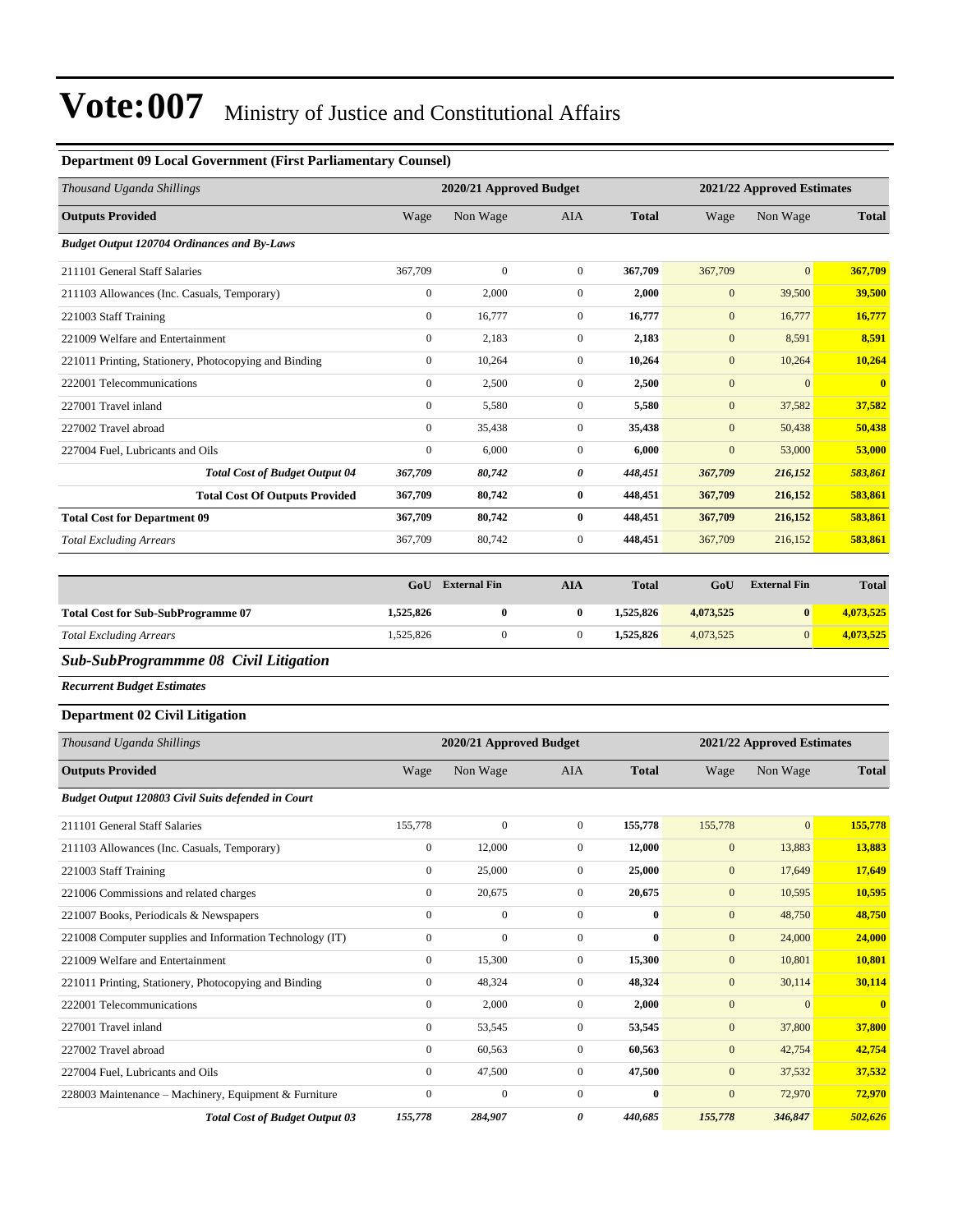### **Department 09 Local Government (First Parliamentary Counsel)**

| Thousand Uganda Shillings                                |                  | 2020/21 Approved Budget |                  |                  |                  | 2021/22 Approved Estimates |                         |  |
|----------------------------------------------------------|------------------|-------------------------|------------------|------------------|------------------|----------------------------|-------------------------|--|
| <b>Outputs Provided</b>                                  | Wage             | Non Wage                | AIA              | <b>Total</b>     | Wage             | Non Wage                   | <b>Total</b>            |  |
| <b>Budget Output 120704 Ordinances and By-Laws</b>       |                  |                         |                  |                  |                  |                            |                         |  |
| 211101 General Staff Salaries                            | 367,709          | $\boldsymbol{0}$        | $\mathbf{0}$     | 367,709          | 367,709          | $\mathbf{0}$               | 367,709                 |  |
| 211103 Allowances (Inc. Casuals, Temporary)              | $\boldsymbol{0}$ | 2,000                   | $\mathbf{0}$     | 2,000            | $\boldsymbol{0}$ | 39,500                     | 39,500                  |  |
| 221003 Staff Training                                    | $\boldsymbol{0}$ | 16,777                  | $\mathbf{0}$     | 16,777           | $\boldsymbol{0}$ | 16,777                     | 16,777                  |  |
| 221009 Welfare and Entertainment                         | $\boldsymbol{0}$ | 2,183                   | $\mathbf{0}$     | 2,183            | $\boldsymbol{0}$ | 8,591                      | 8,591                   |  |
| 221011 Printing, Stationery, Photocopying and Binding    | $\boldsymbol{0}$ | 10,264                  | $\boldsymbol{0}$ | 10,264           | $\mathbf{0}$     | 10,264                     | 10,264                  |  |
| 222001 Telecommunications                                | $\boldsymbol{0}$ | 2,500                   | $\boldsymbol{0}$ | 2,500            | $\boldsymbol{0}$ | $\mathbf{0}$               | $\overline{\mathbf{0}}$ |  |
| 227001 Travel inland                                     | $\boldsymbol{0}$ | 5,580                   | $\mathbf{0}$     | 5,580            | $\mathbf{0}$     | 37,582                     | 37,582                  |  |
| 227002 Travel abroad                                     | $\boldsymbol{0}$ | 35,438                  | $\mathbf{0}$     | 35,438           | $\boldsymbol{0}$ | 50,438                     | 50,438                  |  |
| 227004 Fuel, Lubricants and Oils                         | $\boldsymbol{0}$ | 6,000                   | $\mathbf{0}$     | 6,000            | $\mathbf{0}$     | 53,000                     | 53,000                  |  |
| <b>Total Cost of Budget Output 04</b>                    | 367,709          | 80,742                  | 0                | 448,451          | 367,709          | 216,152                    | 583,861                 |  |
| <b>Total Cost Of Outputs Provided</b>                    | 367,709          | 80,742                  | $\bf{0}$         | 448,451          | 367,709          | 216,152                    | 583,861                 |  |
| <b>Total Cost for Department 09</b>                      | 367,709          | 80,742                  | $\bf{0}$         | 448,451          | 367,709          | 216,152                    | 583,861                 |  |
| <b>Total Excluding Arrears</b>                           | 367,709          | 80,742                  | $\mathbf{0}$     | 448,451          | 367,709          | 216,152                    | 583,861                 |  |
|                                                          |                  |                         |                  |                  |                  |                            |                         |  |
|                                                          | GoU              | <b>External Fin</b>     | <b>AIA</b>       | <b>Total</b>     | GoU              | <b>External Fin</b>        | <b>Total</b>            |  |
| <b>Total Cost for Sub-SubProgramme 07</b>                | 1,525,826        | $\bf{0}$                | $\bf{0}$         | 1,525,826        | 4,073,525        | $\bf{0}$                   | 4,073,525               |  |
| <b>Total Excluding Arrears</b>                           | 1,525,826        | $\mathbf{0}$            | $\mathbf{0}$     | 1,525,826        | 4,073,525        | $\mathbf{0}$               | 4,073,525               |  |
| Sub-SubProgrammme 08 Civil Litigation                    |                  |                         |                  |                  |                  |                            |                         |  |
| <b>Recurrent Budget Estimates</b>                        |                  |                         |                  |                  |                  |                            |                         |  |
| <b>Department 02 Civil Litigation</b>                    |                  |                         |                  |                  |                  |                            |                         |  |
| Thousand Uganda Shillings                                |                  | 2020/21 Approved Budget |                  |                  |                  | 2021/22 Approved Estimates |                         |  |
| <b>Outputs Provided</b>                                  | Wage             | Non Wage                | AIA              | <b>Total</b>     | Wage             | Non Wage                   | <b>Total</b>            |  |
| Budget Output 120803 Civil Suits defended in Court       |                  |                         |                  |                  |                  |                            |                         |  |
| 211101 General Staff Salaries                            | 155,778          | $\boldsymbol{0}$        | $\mathbf{0}$     | 155,778          | 155,778          | $\mathbf{0}$               | 155,778                 |  |
| 211103 Allowances (Inc. Casuals, Temporary)              | $\boldsymbol{0}$ | 12,000                  | $\mathbf{0}$     | 12,000           | $\mathbf{0}$     | 13,883                     | 13,883                  |  |
| 221003 Staff Training                                    | $\mathbf{0}$     | 25,000                  | $\overline{0}$   | 25,000           | $\mathbf{0}$     | 17,649                     | 17,649                  |  |
| 221006 Commissions and related charges                   | $\boldsymbol{0}$ | 20,675                  | $\mathbf{0}$     | 20,675           | $\mathbf{0}$     | 10,595                     | 10,595                  |  |
| 221007 Books, Periodicals & Newspapers                   | $\boldsymbol{0}$ | $\boldsymbol{0}$        | $\boldsymbol{0}$ | $\bf{0}$         | $\boldsymbol{0}$ | 48,750                     | 48,750                  |  |
| 221008 Computer supplies and Information Technology (IT) | $\boldsymbol{0}$ | $\boldsymbol{0}$        | $\boldsymbol{0}$ | $\boldsymbol{0}$ | $\boldsymbol{0}$ | 24,000                     | 24,000                  |  |
| 221009 Welfare and Entertainment                         | $\boldsymbol{0}$ | 15,300                  | $\boldsymbol{0}$ | 15,300           | $\boldsymbol{0}$ | 10,801                     | <b>10,801</b>           |  |
| 221011 Printing, Stationery, Photocopying and Binding    | $\boldsymbol{0}$ | 48,324                  | $\boldsymbol{0}$ | 48,324           | $\boldsymbol{0}$ | 30,114                     | 30,114                  |  |
| 222001 Telecommunications                                | $\boldsymbol{0}$ | 2,000                   | $\boldsymbol{0}$ | 2,000            | $\mathbf{0}$     | $\mathbf{0}$               | $\mathbf{0}$            |  |
| 227001 Travel inland                                     | $\boldsymbol{0}$ | 53,545                  | $\boldsymbol{0}$ | 53,545           | $\boldsymbol{0}$ | 37,800                     | 37,800                  |  |
| 227002 Travel abroad                                     | $\boldsymbol{0}$ | 60,563                  | $\boldsymbol{0}$ | 60,563           | $\boldsymbol{0}$ | 42,754                     | 42,754                  |  |
| 227004 Fuel. Lubricants and Oils                         | $\mathbf{0}$     | 47.500                  | $\mathbf{0}$     | 47,500           | $\mathbf{0}$     | 37,532                     | 37,532                  |  |

227004 Fuel, Lubricants and Oils 0 47,500 0 **47,500** 0 37,532 **37,532** 228003 Maintenance – Machinery, Equipment & Furniture 0 0 0 0 0 0 0 0 72,970 72,970 72,970 *Total Cost of Budget Output 03 155,778 284,907 0 440,685 155,778 346,847 502,626*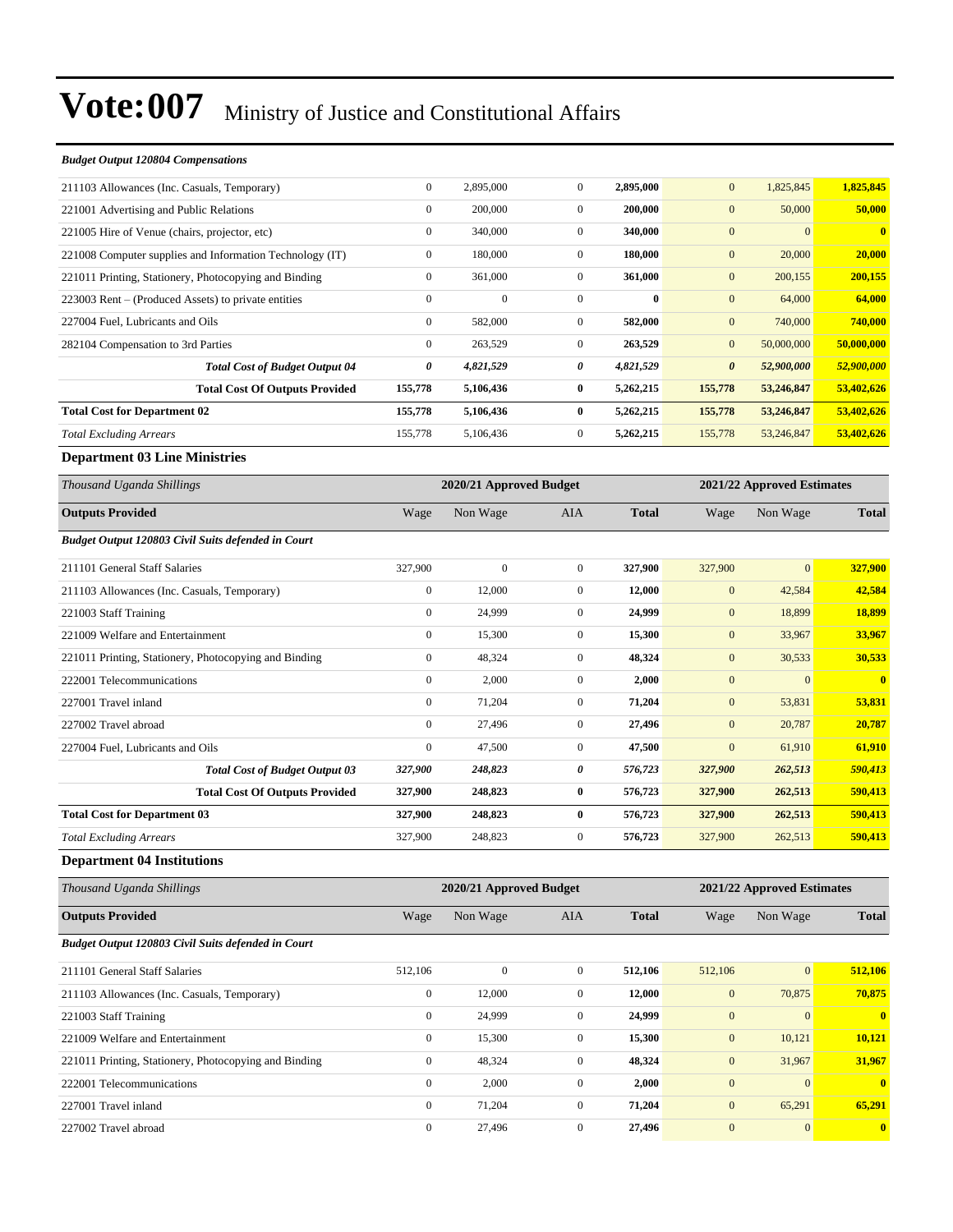| <b>Budget Output 120804 Compensations</b>                |                  |                         |                  |              |                       |                            |              |
|----------------------------------------------------------|------------------|-------------------------|------------------|--------------|-----------------------|----------------------------|--------------|
| 211103 Allowances (Inc. Casuals, Temporary)              | $\boldsymbol{0}$ | 2,895,000               | $\mathbf{0}$     | 2,895,000    | $\mathbf{0}$          | 1,825,845                  | 1,825,845    |
| 221001 Advertising and Public Relations                  | $\boldsymbol{0}$ | 200,000                 | $\boldsymbol{0}$ | 200,000      | $\mathbf{0}$          | 50,000                     | 50,000       |
| 221005 Hire of Venue (chairs, projector, etc)            | $\boldsymbol{0}$ | 340,000                 | $\mathbf{0}$     | 340,000      | $\boldsymbol{0}$      | $\mathbf{0}$               | $\bf{0}$     |
| 221008 Computer supplies and Information Technology (IT) | $\boldsymbol{0}$ | 180,000                 | $\mathbf{0}$     | 180,000      | $\boldsymbol{0}$      | 20,000                     | 20,000       |
| 221011 Printing, Stationery, Photocopying and Binding    | $\boldsymbol{0}$ | 361,000                 | $\mathbf{0}$     | 361,000      | $\boldsymbol{0}$      | 200,155                    | 200,155      |
| 223003 Rent – (Produced Assets) to private entities      | $\boldsymbol{0}$ | $\boldsymbol{0}$        | $\mathbf{0}$     | $\bf{0}$     | $\boldsymbol{0}$      | 64,000                     | 64,000       |
| 227004 Fuel, Lubricants and Oils                         | $\boldsymbol{0}$ | 582,000                 | $\mathbf{0}$     | 582,000      | $\boldsymbol{0}$      | 740,000                    | 740,000      |
| 282104 Compensation to 3rd Parties                       | $\boldsymbol{0}$ | 263,529                 | $\mathbf{0}$     | 263,529      | $\boldsymbol{0}$      | 50,000,000                 | 50,000,000   |
| <b>Total Cost of Budget Output 04</b>                    | 0                | 4,821,529               | 0                | 4,821,529    | $\boldsymbol{\theta}$ | 52,900,000                 | 52,900,000   |
| <b>Total Cost Of Outputs Provided</b>                    | 155,778          | 5,106,436               | $\bf{0}$         | 5,262,215    | 155,778               | 53,246,847                 | 53,402,626   |
| <b>Total Cost for Department 02</b>                      | 155,778          | 5,106,436               | $\bf{0}$         | 5,262,215    | 155,778               | 53,246,847                 | 53,402,626   |
| <b>Total Excluding Arrears</b>                           | 155,778          | 5,106,436               | $\mathbf{0}$     | 5,262,215    | 155,778               | 53,246,847                 | 53,402,626   |
| <b>Department 03 Line Ministries</b>                     |                  |                         |                  |              |                       |                            |              |
| Thousand Uganda Shillings                                |                  | 2020/21 Approved Budget |                  |              |                       | 2021/22 Approved Estimates |              |
| <b>Outputs Provided</b>                                  | Wage             | Non Wage                | AIA              | <b>Total</b> | Wage                  | Non Wage                   | <b>Total</b> |
| Budget Output 120803 Civil Suits defended in Court       |                  |                         |                  |              |                       |                            |              |
| 211101 General Staff Salaries                            | 327,900          | $\boldsymbol{0}$        | $\mathbf{0}$     | 327,900      | 327,900               | $\mathbf{0}$               | 327,900      |
| 211103 Allowances (Inc. Casuals, Temporary)              | $\boldsymbol{0}$ | 12,000                  | $\mathbf{0}$     | 12,000       | $\boldsymbol{0}$      | 42,584                     | 42,584       |
| 221003 Staff Training                                    | $\boldsymbol{0}$ | 24,999                  | $\mathbf{0}$     | 24,999       | $\mathbf{0}$          | 18,899                     | 18,899       |
| 221009 Welfare and Entertainment                         | $\boldsymbol{0}$ | 15,300                  | $\mathbf{0}$     | 15,300       | $\boldsymbol{0}$      | 33,967                     | 33,967       |
| 221011 Printing, Stationery, Photocopying and Binding    | $\boldsymbol{0}$ | 48,324                  | $\boldsymbol{0}$ | 48,324       | $\boldsymbol{0}$      | 30,533                     | 30,533       |
| 222001 Telecommunications                                | $\boldsymbol{0}$ | 2,000                   | $\mathbf{0}$     | 2,000        | $\boldsymbol{0}$      | $\mathbf{0}$               | $\bf{0}$     |
| 227001 Travel inland                                     | $\boldsymbol{0}$ | 71,204                  | $\mathbf{0}$     | 71,204       | $\boldsymbol{0}$      | 53,831                     | 53,831       |
| 227002 Travel abroad                                     | $\boldsymbol{0}$ | 27,496                  | $\mathbf{0}$     | 27,496       | $\boldsymbol{0}$      | 20,787                     | 20,787       |
| 227004 Fuel, Lubricants and Oils                         | $\boldsymbol{0}$ | 47,500                  | $\mathbf{0}$     | 47,500       | $\mathbf{0}$          | 61,910                     | 61,910       |
| <b>Total Cost of Budget Output 03</b>                    | 327,900          | 248,823                 | 0                | 576,723      | 327,900               | 262,513                    | 590,413      |
| <b>Total Cost Of Outputs Provided</b>                    | 327,900          | 248,823                 | $\bf{0}$         | 576,723      | 327,900               | 262,513                    | 590,413      |
| <b>Total Cost for Department 03</b>                      | 327,900          | 248,823                 | $\bf{0}$         | 576,723      | 327,900               | 262,513                    | 590,413      |
| <b>Total Excluding Arrears</b>                           | 327,900          | 248,823                 | $\mathbf{0}$     | 576,723      | 327,900               | 262,513                    | 590,413      |
| <b>Department 04 Institutions</b>                        |                  |                         |                  |              |                       |                            |              |
| Thousand Uganda Shillings                                |                  | 2020/21 Approved Budget |                  |              |                       | 2021/22 Approved Estimates |              |
| <b>Outputs Provided</b>                                  | Wage             | Non Wage                | AIA              | <b>Total</b> | Wage                  | Non Wage                   | <b>Total</b> |
| Budget Output 120803 Civil Suits defended in Court       |                  |                         |                  |              |                       |                            |              |
| 211101 General Staff Salaries                            | 512,106          | $\boldsymbol{0}$        | $\boldsymbol{0}$ | 512,106      | 512,106               | $\boldsymbol{0}$           | 512,106      |
| 211103 Allowances (Inc. Casuals, Temporary)              | $\boldsymbol{0}$ | 12,000                  | $\boldsymbol{0}$ | 12,000       | $\boldsymbol{0}$      | 70,875                     | 70,875       |
| 221003 Staff Training                                    | $\boldsymbol{0}$ | 24,999                  | $\boldsymbol{0}$ | 24,999       | $\boldsymbol{0}$      | $\mathbf{0}$               | $\mathbf{0}$ |
| 221009 Welfare and Entertainment                         | $\boldsymbol{0}$ | 15,300                  | $\boldsymbol{0}$ | 15,300       | $\boldsymbol{0}$      | 10,121                     | 10,121       |

221011 Printing, Stationery, Photocopying and Binding 0 48,324 0 **48,324** 0 31,967 **31,967** 222001 Telecommunications 0 2,000 0 **2,000** 0 0 **0** 227001 Travel inland 0 71,204 0 **71,204** 0 65,291 **65,291** 227002 Travel abroad 0 27,496 0 **27,496** 0 0 **0**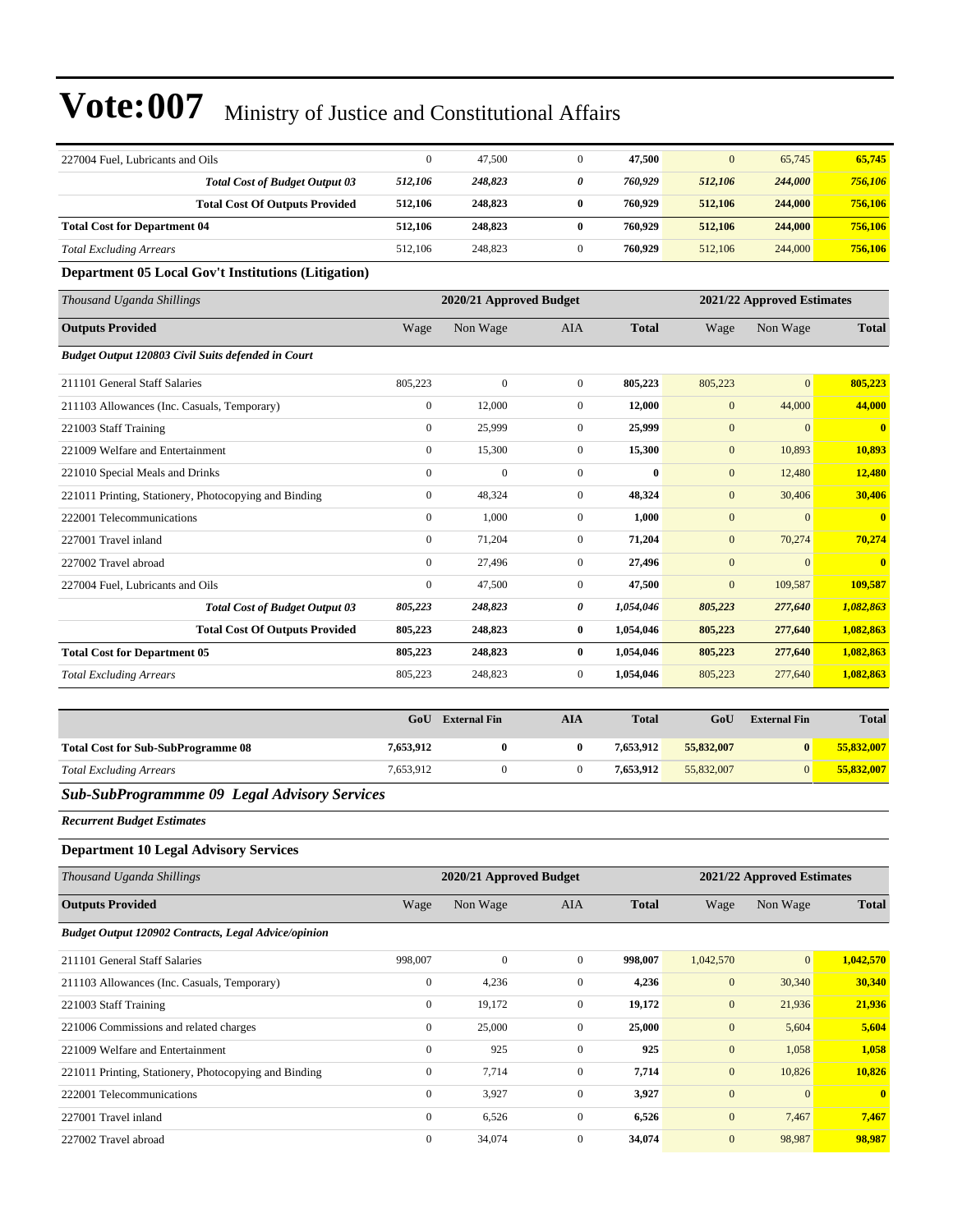| 227004 Fuel, Lubricants and Oils                            | $\boldsymbol{0}$ | 47,500                  | $\mathbf{0}$          | 47,500       | $\mathbf{0}$   | 65,745                     | 65,745         |
|-------------------------------------------------------------|------------------|-------------------------|-----------------------|--------------|----------------|----------------------------|----------------|
| <b>Total Cost of Budget Output 03</b>                       | 512,106          | 248,823                 | $\boldsymbol{\theta}$ | 760,929      | 512,106        | 244,000                    | 756,106        |
| <b>Total Cost Of Outputs Provided</b>                       | 512,106          | 248,823                 | $\bf{0}$              | 760,929      | 512,106        | 244,000                    | 756,106        |
| <b>Total Cost for Department 04</b>                         | 512,106          | 248,823                 | $\bf{0}$              | 760,929      | 512,106        | 244,000                    | 756,106        |
| <b>Total Excluding Arrears</b>                              | 512,106          | 248,823                 | $\mathbf{0}$          | 760,929      | 512,106        | 244,000                    | 756,106        |
| <b>Department 05 Local Gov't Institutions (Litigation)</b>  |                  |                         |                       |              |                |                            |                |
| Thousand Uganda Shillings                                   |                  | 2020/21 Approved Budget |                       |              |                | 2021/22 Approved Estimates |                |
| <b>Outputs Provided</b>                                     | Wage             | Non Wage                | AIA                   | <b>Total</b> | Wage           | Non Wage                   | <b>Total</b>   |
| Budget Output 120803 Civil Suits defended in Court          |                  |                         |                       |              |                |                            |                |
| 211101 General Staff Salaries                               | 805,223          | $\boldsymbol{0}$        | $\mathbf{0}$          | 805,223      | 805,223        | $\mathbf{0}$               | 805,223        |
| 211103 Allowances (Inc. Casuals, Temporary)                 | $\boldsymbol{0}$ | 12,000                  | $\mathbf{0}$          | 12,000       | $\mathbf{0}$   | 44,000                     | 44,000         |
| 221003 Staff Training                                       | $\overline{0}$   | 25,999                  | $\mathbf{0}$          | 25,999       | $\mathbf{0}$   | $\overline{0}$             | $\mathbf{0}$   |
| 221009 Welfare and Entertainment                            | $\boldsymbol{0}$ | 15,300                  | $\mathbf{0}$          | 15,300       | $\overline{0}$ | 10,893                     | 10,893         |
| 221010 Special Meals and Drinks                             | $\overline{0}$   | $\mathbf{0}$            | $\mathbf{0}$          | $\bf{0}$     | $\overline{0}$ | 12,480                     | 12,480         |
| 221011 Printing, Stationery, Photocopying and Binding       | $\overline{0}$   | 48,324                  | $\mathbf{0}$          | 48,324       | $\mathbf{0}$   | 30,406                     | 30,406         |
| 222001 Telecommunications                                   | $\boldsymbol{0}$ | 1,000                   | $\mathbf{0}$          | 1,000        | $\overline{0}$ | $\mathbf{0}$               | $\bf{0}$       |
| 227001 Travel inland                                        | $\overline{0}$   | 71,204                  | $\mathbf{0}$          | 71,204       | $\overline{0}$ | 70,274                     | 70,274         |
| 227002 Travel abroad                                        | $\overline{0}$   | 27,496                  | $\mathbf{0}$          | 27,496       | $\overline{0}$ | $\overline{0}$             | $\overline{0}$ |
| 227004 Fuel, Lubricants and Oils                            | $\boldsymbol{0}$ | 47,500                  | $\mathbf{0}$          | 47,500       | $\mathbf{0}$   | 109,587                    | 109,587        |
| <b>Total Cost of Budget Output 03</b>                       | 805,223          | 248,823                 | 0                     | 1,054,046    | 805,223        | 277,640                    | 1,082,863      |
| <b>Total Cost Of Outputs Provided</b>                       | 805,223          | 248,823                 | $\bf{0}$              | 1,054,046    | 805,223        | 277,640                    | 1,082,863      |
| <b>Total Cost for Department 05</b>                         | 805,223          | 248,823                 | $\bf{0}$              | 1,054,046    | 805,223        | 277,640                    | 1,082,863      |
| <b>Total Excluding Arrears</b>                              | 805,223          | 248,823                 | $\mathbf{0}$          | 1,054,046    | 805,223        | 277,640                    | 1,082,863      |
|                                                             | GoU              | <b>External Fin</b>     | <b>AIA</b>            | <b>Total</b> | GoU            | <b>External Fin</b>        | <b>Total</b>   |
|                                                             |                  |                         |                       |              |                |                            |                |
| <b>Total Cost for Sub-SubProgramme 08</b>                   | 7,653,912        | $\bf{0}$                | $\bf{0}$              | 7,653,912    | 55,832,007     | $\bf{0}$                   | 55,832,007     |
| <b>Total Excluding Arrears</b>                              | 7,653,912        | $\boldsymbol{0}$        | $\boldsymbol{0}$      | 7,653,912    | 55,832,007     | $\overline{0}$             | 55,832,007     |
| <b>Sub-SubProgrammme 09 Legal Advisory Services</b>         |                  |                         |                       |              |                |                            |                |
| <b>Recurrent Budget Estimates</b>                           |                  |                         |                       |              |                |                            |                |
| <b>Department 10 Legal Advisory Services</b>                |                  |                         |                       |              |                |                            |                |
| Thousand Uganda Shillings                                   |                  | 2020/21 Approved Budget |                       |              |                | 2021/22 Approved Estimates |                |
| <b>Outputs Provided</b>                                     | Wage             | Non Wage                | AIA                   | <b>Total</b> | Wage           | Non Wage                   | <b>Total</b>   |
| <b>Budget Output 120902 Contracts, Legal Advice/opinion</b> |                  |                         |                       |              |                |                            |                |

| 211101 General Staff Salaries                         | 998,007        | $\mathbf{0}$ | $\Omega$     | 998.007 | 1,042,570      | $\vert 0 \vert$ | 1,042,570    |
|-------------------------------------------------------|----------------|--------------|--------------|---------|----------------|-----------------|--------------|
| 211103 Allowances (Inc. Casuals, Temporary)           | $\mathbf{0}$   | 4,236        | 0            | 4,236   | $\overline{0}$ | 30,340          | 30,340       |
| 221003 Staff Training                                 | $\mathbf{0}$   | 19,172       | $\mathbf{0}$ | 19,172  | $\overline{0}$ | 21,936          | 21,936       |
| 221006 Commissions and related charges                | $\mathbf{0}$   | 25,000       | $\mathbf{0}$ | 25,000  | $\overline{0}$ | 5,604           | 5,604        |
| 221009 Welfare and Entertainment                      | $\Omega$       | 925          | $\Omega$     | 925     | $\mathbf{0}$   | 1,058           | 1,058        |
| 221011 Printing, Stationery, Photocopying and Binding | $\mathbf{0}$   | 7,714        | $\Omega$     | 7,714   | $\overline{0}$ | 10.826          | 10.826       |
| 222001 Telecommunications                             | $\mathbf{0}$   | 3.927        | $\Omega$     | 3,927   | $\mathbf{0}$   | $\Omega$        | $\mathbf{0}$ |
| 227001 Travel inland                                  | $\overline{0}$ | 6,526        | $\mathbf{0}$ | 6,526   | $\overline{0}$ | 7,467           | 7,467        |
| 227002 Travel abroad                                  | $\Omega$       | 34,074       | $\Omega$     | 34.074  | $\Omega$       | 98,987          | 98.987       |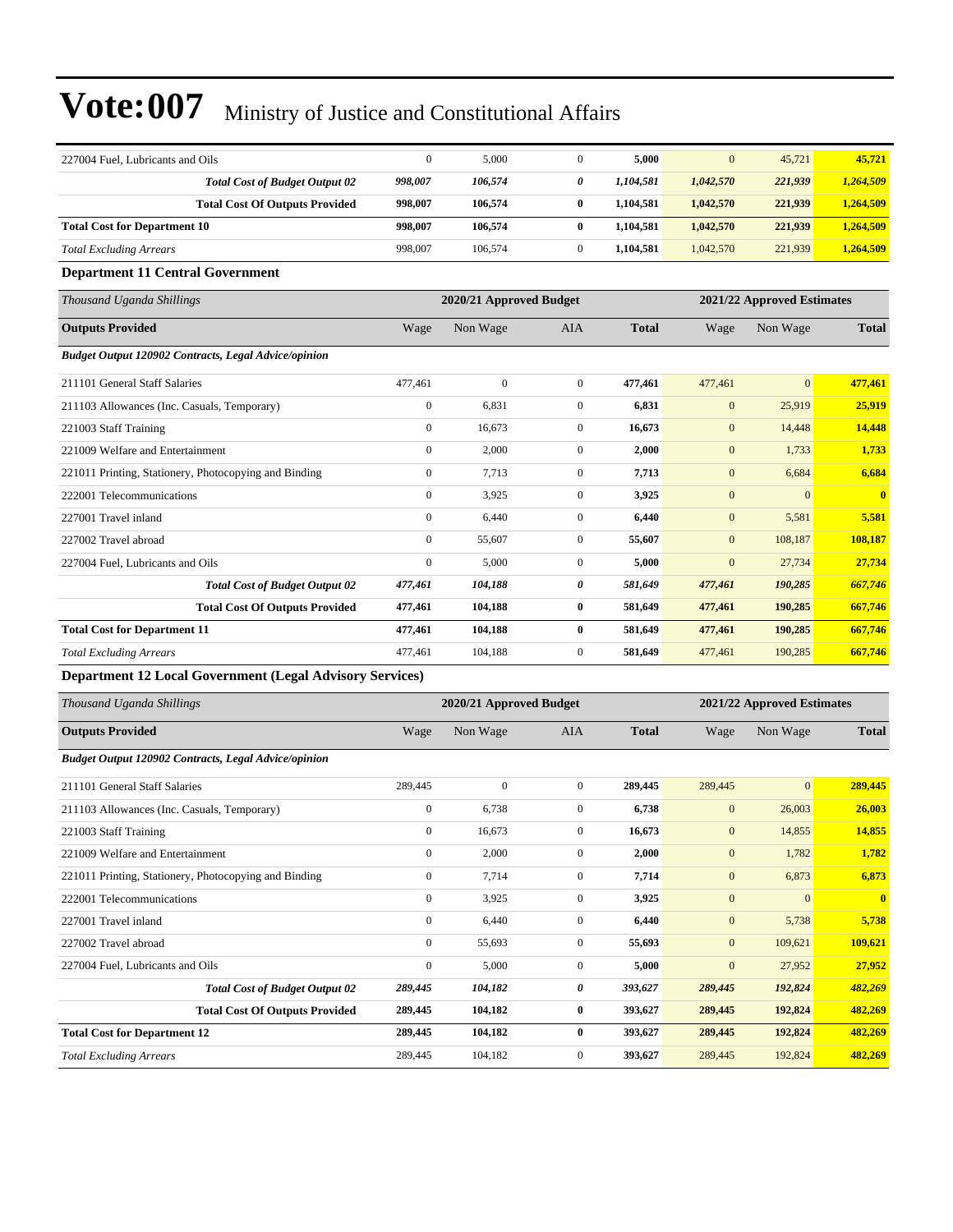| 227004 Fuel, Lubricants and Oils                      | $\mathbf{0}$     | 5,000                   | $\overline{0}$ | 5,000        | $\mathbf{0}$   | 45,721                     | 45,721       |
|-------------------------------------------------------|------------------|-------------------------|----------------|--------------|----------------|----------------------------|--------------|
| <b>Total Cost of Budget Output 02</b>                 | 998,007          | 106,574                 | 0              | 1,104,581    | 1,042,570      | 221,939                    | 1,264,509    |
| <b>Total Cost Of Outputs Provided</b>                 | 998,007          | 106,574                 | $\bf{0}$       | 1,104,581    | 1,042,570      | 221,939                    | 1,264,509    |
| <b>Total Cost for Department 10</b>                   | 998,007          | 106,574                 | $\bf{0}$       | 1,104,581    | 1,042,570      | 221,939                    | 1,264,509    |
| <b>Total Excluding Arrears</b>                        | 998,007          | 106,574                 | $\overline{0}$ | 1,104,581    | 1,042,570      | 221,939                    | 1,264,509    |
| <b>Department 11 Central Government</b>               |                  |                         |                |              |                |                            |              |
| Thousand Uganda Shillings                             |                  | 2020/21 Approved Budget |                |              |                | 2021/22 Approved Estimates |              |
| <b>Outputs Provided</b>                               | Wage             | Non Wage                | <b>AIA</b>     | <b>Total</b> | Wage           | Non Wage                   | <b>Total</b> |
| Budget Output 120902 Contracts, Legal Advice/opinion  |                  |                         |                |              |                |                            |              |
| 211101 General Staff Salaries                         | 477,461          | $\mathbf{0}$            | $\overline{0}$ | 477,461      | 477,461        | $\mathbf{0}$               | 477,461      |
| 211103 Allowances (Inc. Casuals, Temporary)           | $\boldsymbol{0}$ | 6,831                   | $\overline{0}$ | 6,831        | $\mathbf{0}$   | 25,919                     | 25,919       |
| 221003 Staff Training                                 | $\mathbf{0}$     | 16,673                  | $\mathbf{0}$   | 16,673       | $\mathbf{0}$   | 14,448                     | 14,448       |
| 221009 Welfare and Entertainment                      | $\mathbf{0}$     | 2,000                   | $\overline{0}$ | 2,000        | $\mathbf{0}$   | 1,733                      | 1,733        |
| 221011 Printing, Stationery, Photocopying and Binding | $\boldsymbol{0}$ | 7,713                   | $\overline{0}$ | 7,713        | $\mathbf{0}$   | 6,684                      | 6,684        |
| 222001 Telecommunications                             | $\mathbf{0}$     | 3,925                   | $\overline{0}$ | 3,925        | $\mathbf{0}$   | $\mathbf{0}$               | $\mathbf{0}$ |
| 227001 Travel inland                                  | $\mathbf{0}$     | 6,440                   | $\mathbf{0}$   | 6,440        | $\mathbf{0}$   | 5,581                      | 5,581        |
| 227002 Travel abroad                                  | $\mathbf{0}$     | 55,607                  | $\overline{0}$ | 55,607       | $\mathbf{0}$   | 108,187                    | 108,187      |
| 227004 Fuel, Lubricants and Oils                      | $\mathbf{0}$     | 5,000                   | $\overline{0}$ | 5,000        | $\overline{0}$ | 27,734                     | 27,734       |
| <b>Total Cost of Budget Output 02</b>                 | 477,461          | 104,188                 | 0              | 581,649      | 477,461        | 190,285                    | 667,746      |
| <b>Total Cost Of Outputs Provided</b>                 | 477,461          | 104,188                 | $\bf{0}$       | 581,649      | 477,461        | 190,285                    | 667,746      |
| <b>Total Cost for Department 11</b>                   | 477,461          | 104,188                 | $\bf{0}$       | 581,649      | 477,461        | 190,285                    | 667,746      |
| <b>Total Excluding Arrears</b>                        | 477,461          | 104,188                 | $\mathbf{0}$   | 581,649      | 477,461        | 190,285                    | 667,746      |
| Department 12 Leon Communicat (Leon) Advisory Courses |                  |                         |                |              |                |                            |              |

#### **Department 12 Local Government (Legal Advisory Services)**

| Thousand Uganda Shillings                                   |                  | 2020/21 Approved Budget |                |              |              | 2021/22 Approved Estimates |              |  |
|-------------------------------------------------------------|------------------|-------------------------|----------------|--------------|--------------|----------------------------|--------------|--|
| <b>Outputs Provided</b>                                     | Wage             | Non Wage                | <b>AIA</b>     | <b>Total</b> | Wage         | Non Wage                   | <b>Total</b> |  |
| <b>Budget Output 120902 Contracts, Legal Advice/opinion</b> |                  |                         |                |              |              |                            |              |  |
| 211101 General Staff Salaries                               | 289,445          | $\mathbf{0}$            | $\overline{0}$ | 289,445      | 289,445      | $\overline{0}$             | 289,445      |  |
| 211103 Allowances (Inc. Casuals, Temporary)                 | $\boldsymbol{0}$ | 6,738                   | $\mathbf{0}$   | 6,738        | $\mathbf{0}$ | 26,003                     | 26,003       |  |
| 221003 Staff Training                                       | $\bf{0}$         | 16,673                  | $\overline{0}$ | 16,673       | $\mathbf{0}$ | 14,855                     | 14,855       |  |
| 221009 Welfare and Entertainment                            | $\bf{0}$         | 2,000                   | $\mathbf{0}$   | 2,000        | $\mathbf{0}$ | 1,782                      | 1,782        |  |
| 221011 Printing, Stationery, Photocopying and Binding       | $\mathbf{0}$     | 7,714                   | $\mathbf{0}$   | 7,714        | $\mathbf{0}$ | 6,873                      | 6,873        |  |
| 222001 Telecommunications                                   | $\boldsymbol{0}$ | 3,925                   | $\mathbf{0}$   | 3,925        | $\mathbf{0}$ | $\overline{0}$             | $\mathbf{0}$ |  |
| 227001 Travel inland                                        | $\bf{0}$         | 6,440                   | 0              | 6,440        | $\mathbf{0}$ | 5,738                      | 5,738        |  |
| 227002 Travel abroad                                        | $\mathbf{0}$     | 55,693                  | $\mathbf{0}$   | 55,693       | $\mathbf{0}$ | 109,621                    | 109,621      |  |
| 227004 Fuel, Lubricants and Oils                            | $\mathbf{0}$     | 5,000                   | $\overline{0}$ | 5.000        | $\mathbf{0}$ | 27,952                     | 27,952       |  |
| <b>Total Cost of Budget Output 02</b>                       | 289,445          | 104,182                 | 0              | 393,627      | 289,445      | 192,824                    | 482,269      |  |
| <b>Total Cost Of Outputs Provided</b>                       | 289,445          | 104,182                 | $\bf{0}$       | 393,627      | 289,445      | 192,824                    | 482,269      |  |
| <b>Total Cost for Department 12</b>                         | 289,445          | 104,182                 | $\bf{0}$       | 393,627      | 289,445      | 192,824                    | 482,269      |  |
| <b>Total Excluding Arrears</b>                              | 289,445          | 104,182                 | $\mathbf{0}$   | 393,627      | 289,445      | 192,824                    | 482,269      |  |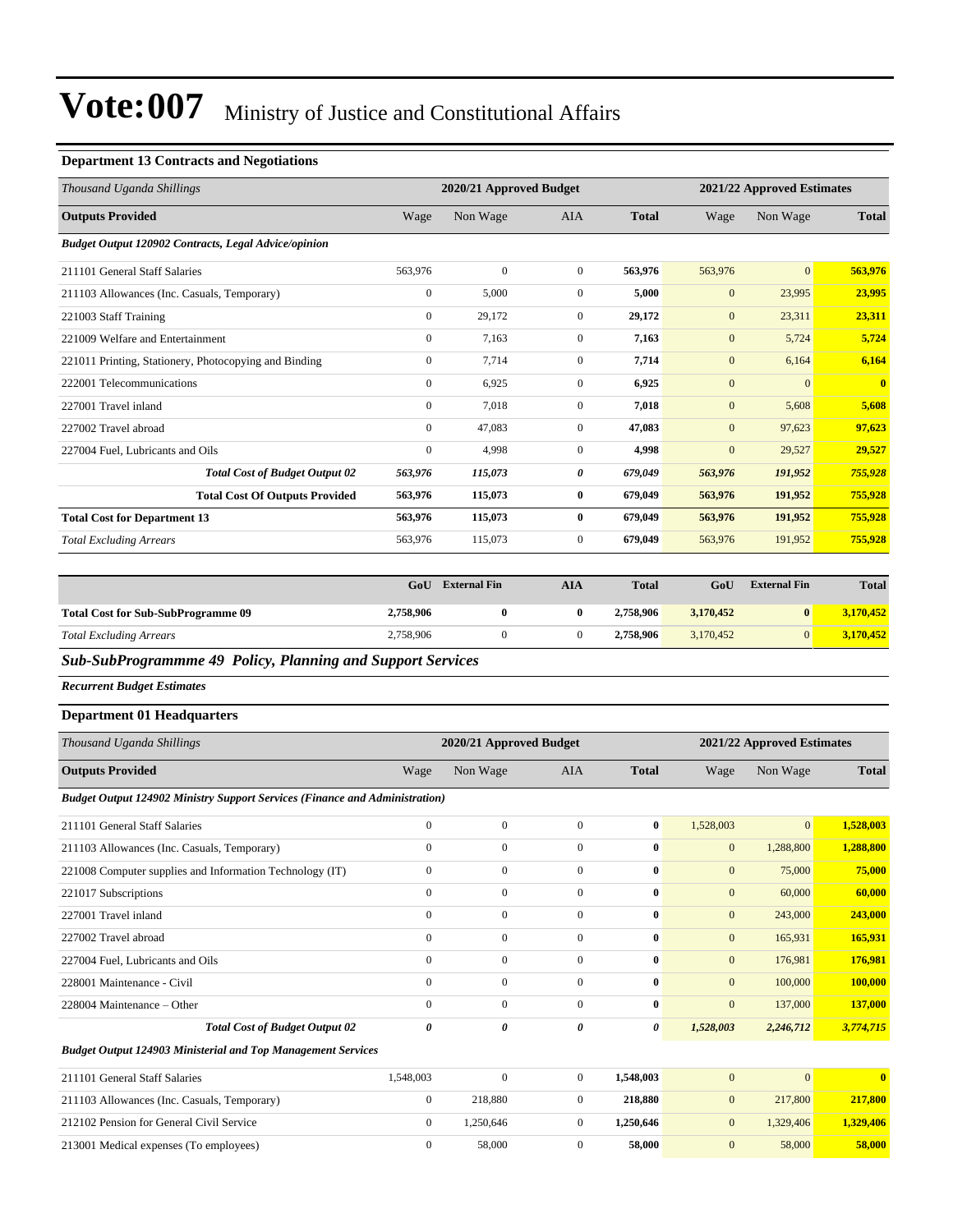### **Department 13 Contracts and Negotiations**

| Thousand Uganda Shillings                                   |                  | 2020/21 Approved Budget |                |              |              | 2021/22 Approved Estimates |                         |  |  |
|-------------------------------------------------------------|------------------|-------------------------|----------------|--------------|--------------|----------------------------|-------------------------|--|--|
| <b>Outputs Provided</b>                                     | Wage             | Non Wage                | <b>AIA</b>     | <b>Total</b> | Wage         | Non Wage                   | <b>Total</b>            |  |  |
| <b>Budget Output 120902 Contracts, Legal Advice/opinion</b> |                  |                         |                |              |              |                            |                         |  |  |
| 211101 General Staff Salaries                               | 563,976          | $\mathbf{0}$            | $\overline{0}$ | 563,976      | 563,976      | $\mathbf{0}$               | 563,976                 |  |  |
| 211103 Allowances (Inc. Casuals, Temporary)                 | $\boldsymbol{0}$ | 5,000                   | $\overline{0}$ | 5,000        | $\mathbf{0}$ | 23,995                     | 23,995                  |  |  |
| 221003 Staff Training                                       | $\mathbf{0}$     | 29,172                  | $\overline{0}$ | 29,172       | $\mathbf{0}$ | 23,311                     | 23,311                  |  |  |
| 221009 Welfare and Entertainment                            | $\overline{0}$   | 7.163                   | $\overline{0}$ | 7,163        | $\mathbf{0}$ | 5,724                      | 5,724                   |  |  |
| 221011 Printing, Stationery, Photocopying and Binding       | $\mathbf{0}$     | 7,714                   | $\Omega$       | 7,714        | $\mathbf{0}$ | 6,164                      | 6,164                   |  |  |
| 222001 Telecommunications                                   | $\mathbf{0}$     | 6.925                   | $\overline{0}$ | 6.925        | $\mathbf{0}$ | $\mathbf{0}$               | $\overline{\mathbf{0}}$ |  |  |
| 227001 Travel inland                                        | $\mathbf{0}$     | 7,018                   | $\mathbf{0}$   | 7,018        | $\mathbf{0}$ | 5,608                      | 5,608                   |  |  |
| 227002 Travel abroad                                        | $\mathbf{0}$     | 47,083                  | $\mathbf{0}$   | 47,083       | $\mathbf{0}$ | 97,623                     | 97,623                  |  |  |
| 227004 Fuel, Lubricants and Oils                            | $\mathbf{0}$     | 4,998                   | $\mathbf{0}$   | 4,998        | $\mathbf{0}$ | 29,527                     | 29,527                  |  |  |
| <b>Total Cost of Budget Output 02</b>                       | 563,976          | 115,073                 | 0              | 679,049      | 563,976      | 191,952                    | 755,928                 |  |  |
| <b>Total Cost Of Outputs Provided</b>                       | 563,976          | 115,073                 | $\bf{0}$       | 679,049      | 563,976      | 191,952                    | 755,928                 |  |  |
| <b>Total Cost for Department 13</b>                         | 563,976          | 115,073                 | $\bf{0}$       | 679,049      | 563,976      | 191,952                    | 755,928                 |  |  |
| <b>Total Excluding Arrears</b>                              | 563,976          | 115,073                 | $\overline{0}$ | 679,049      | 563,976      | 191,952                    | 755,928                 |  |  |
|                                                             |                  |                         |                |              |              |                            |                         |  |  |

|                                           | GoU       | <b>External Fin</b> | AIA | <b>Total</b> | GoU       | <b>External Fin</b> | <b>Total</b> |
|-------------------------------------------|-----------|---------------------|-----|--------------|-----------|---------------------|--------------|
| <b>Total Cost for Sub-SubProgramme 09</b> | 2,758,906 |                     |     | 2.758.906    | 3.170.452 |                     | 3,170,452    |
| <b>Total Excluding Arrears</b>            | 2,758,906 |                     |     | 2.758.906    | 3.170.452 |                     | 3,170,452    |

*Sub-SubProgrammme 49 Policy, Planning and Support Services*

*Recurrent Budget Estimates*

### **Department 01 Headquarters**

| Thousand Uganda Shillings                                                          |              | 2020/21 Approved Budget |              |              |                | 2021/22 Approved Estimates |                         |
|------------------------------------------------------------------------------------|--------------|-------------------------|--------------|--------------|----------------|----------------------------|-------------------------|
| <b>Outputs Provided</b>                                                            | Wage         | Non Wage                | <b>AIA</b>   | <b>Total</b> | Wage           | Non Wage                   | <b>Total</b>            |
| <b>Budget Output 124902 Ministry Support Services (Finance and Administration)</b> |              |                         |              |              |                |                            |                         |
| 211101 General Staff Salaries                                                      | $\mathbf{0}$ | $\mathbf{0}$            | $\Omega$     | $\bf{0}$     | 1,528,003      | $\mathbf{0}$               | 1,528,003               |
| 211103 Allowances (Inc. Casuals, Temporary)                                        | $\mathbf{0}$ | $\mathbf{0}$            | $\Omega$     | $\bf{0}$     | $\mathbf{0}$   | 1,288,800                  | 1,288,800               |
| 221008 Computer supplies and Information Technology (IT)                           | $\mathbf{0}$ | $\mathbf{0}$            | $\Omega$     | $\bf{0}$     | $\mathbf{0}$   | 75,000                     | 75,000                  |
| 221017 Subscriptions                                                               | $\theta$     | $\mathbf{0}$            | $\Omega$     | $\mathbf{0}$ | $\overline{0}$ | 60,000                     | 60,000                  |
| 227001 Travel inland                                                               | $\Omega$     | $\mathbf{0}$            | $\Omega$     | $\mathbf{0}$ | $\overline{0}$ | 243,000                    | 243,000                 |
| 227002 Travel abroad                                                               | $\Omega$     | $\mathbf{0}$            | $\Omega$     | $\mathbf{0}$ | $\mathbf{0}$   | 165,931                    | 165,931                 |
| 227004 Fuel, Lubricants and Oils                                                   | $\Omega$     | $\mathbf{0}$            | $\mathbf{0}$ | $\bf{0}$     | $\overline{0}$ | 176,981                    | 176,981                 |
| 228001 Maintenance - Civil                                                         | $\Omega$     | $\mathbf{0}$            | $\Omega$     | $\mathbf{0}$ | $\overline{0}$ | 100,000                    | 100,000                 |
| 228004 Maintenance - Other                                                         | $\Omega$     | $\mathbf{0}$            | $\Omega$     | $\mathbf{0}$ | $\overline{0}$ | 137,000                    | 137,000                 |
| <b>Total Cost of Budget Output 02</b>                                              | 0            | 0                       | 0            | 0            | 1,528,003      | 2,246,712                  | 3,774,715               |
| <b>Budget Output 124903 Ministerial and Top Management Services</b>                |              |                         |              |              |                |                            |                         |
| 211101 General Staff Salaries                                                      | 1,548,003    | $\mathbf{0}$            | $\mathbf{0}$ | 1,548,003    | $\overline{0}$ | $\mathbf{0}$               | $\overline{\mathbf{0}}$ |
| 211103 Allowances (Inc. Casuals, Temporary)                                        | $\mathbf{0}$ | 218,880                 | $\mathbf{0}$ | 218,880      | $\mathbf{0}$   | 217,800                    | 217,800                 |
| 212102 Pension for General Civil Service                                           | $\mathbf{0}$ | 1,250,646               | $\mathbf{0}$ | 1,250,646    | $\mathbf{0}$   | 1,329,406                  | 1,329,406               |
| 213001 Medical expenses (To employees)                                             | $\Omega$     | 58,000                  | $\Omega$     | 58,000       | $\mathbf{0}$   | 58,000                     | 58,000                  |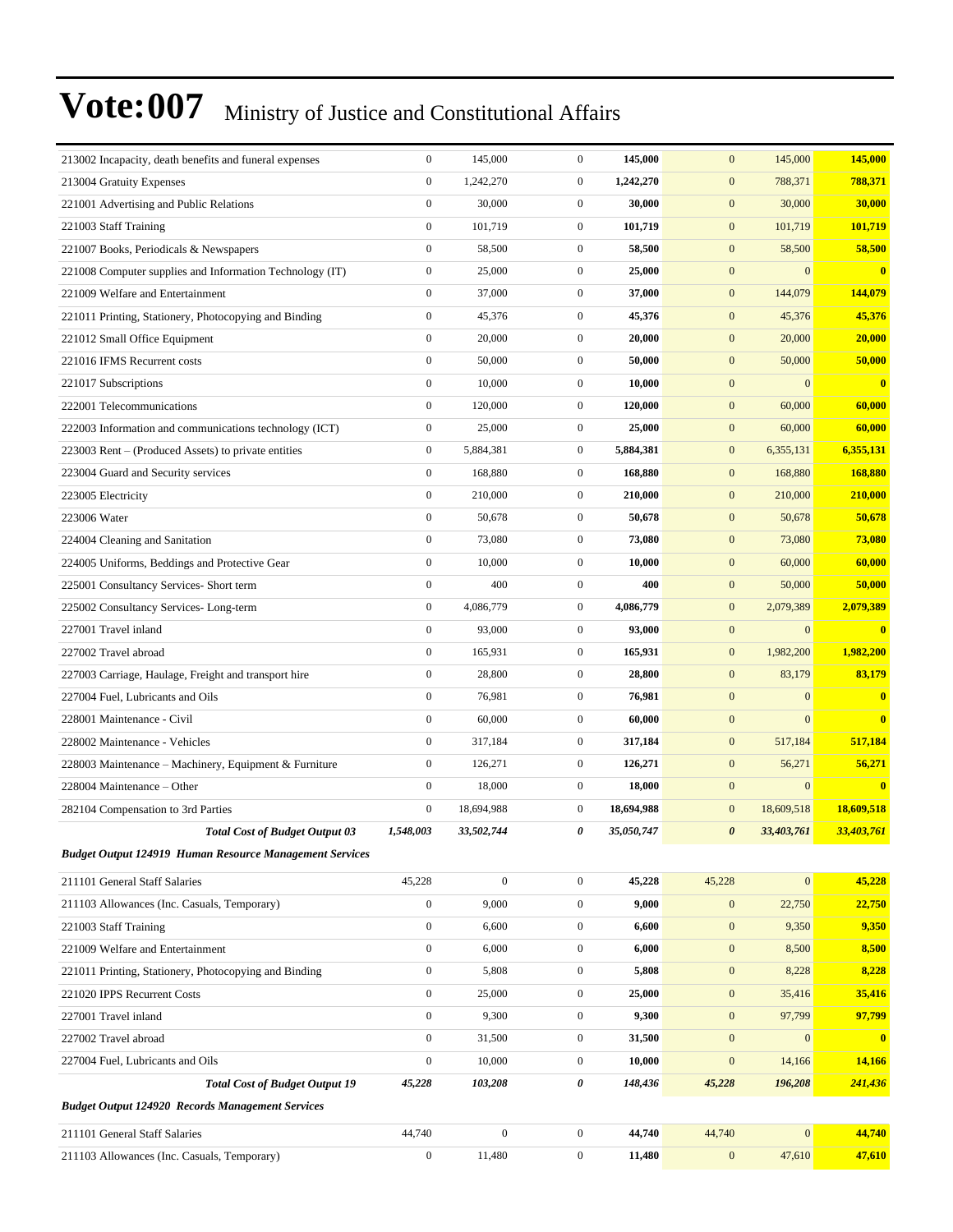| 213002 Incapacity, death benefits and funeral expenses         | $\boldsymbol{0}$ | 145,000          | $\mathbf{0}$     | 145,000    | $\mathbf{0}$          | 145,000          | 145,000    |
|----------------------------------------------------------------|------------------|------------------|------------------|------------|-----------------------|------------------|------------|
| 213004 Gratuity Expenses                                       | $\mathbf{0}$     | 1,242,270        | $\boldsymbol{0}$ | 1,242,270  | $\mathbf{0}$          | 788,371          | 788,371    |
| 221001 Advertising and Public Relations                        | $\mathbf{0}$     | 30,000           | $\mathbf{0}$     | 30,000     | $\mathbf{0}$          | 30,000           | 30,000     |
| 221003 Staff Training                                          | $\boldsymbol{0}$ | 101,719          | $\mathbf{0}$     | 101,719    | $\mathbf{0}$          | 101,719          | 101.719    |
| 221007 Books, Periodicals & Newspapers                         | $\mathbf{0}$     | 58,500           | $\overline{0}$   | 58,500     | $\mathbf{0}$          | 58,500           | 58,500     |
| 221008 Computer supplies and Information Technology (IT)       | $\boldsymbol{0}$ | 25,000           | $\mathbf{0}$     | 25,000     | $\mathbf{0}$          | $\overline{0}$   | $\bf{0}$   |
| 221009 Welfare and Entertainment                               | $\mathbf{0}$     | 37,000           | $\overline{0}$   | 37,000     | $\boldsymbol{0}$      | 144,079          | 144,079    |
| 221011 Printing, Stationery, Photocopying and Binding          | $\mathbf{0}$     | 45,376           | $\mathbf{0}$     | 45,376     | $\mathbf{0}$          | 45,376           | 45,376     |
| 221012 Small Office Equipment                                  | $\boldsymbol{0}$ | 20,000           | $\mathbf{0}$     | 20,000     | $\mathbf{0}$          | 20,000           | 20,000     |
| 221016 IFMS Recurrent costs                                    | $\mathbf{0}$     | 50,000           | $\mathbf{0}$     | 50,000     | $\mathbf{0}$          | 50,000           | 50,000     |
| 221017 Subscriptions                                           | $\boldsymbol{0}$ | 10,000           | $\mathbf{0}$     | 10,000     | $\mathbf{0}$          | $\overline{0}$   | $\bf{0}$   |
| 222001 Telecommunications                                      | $\boldsymbol{0}$ | 120,000          | $\overline{0}$   | 120,000    | $\boldsymbol{0}$      | 60,000           | 60,000     |
| 222003 Information and communications technology (ICT)         | $\mathbf{0}$     | 25,000           | $\mathbf{0}$     | 25,000     | $\boldsymbol{0}$      | 60,000           | 60,000     |
| 223003 Rent – (Produced Assets) to private entities            | $\boldsymbol{0}$ | 5,884,381        | $\mathbf{0}$     | 5,884,381  | $\boldsymbol{0}$      | 6,355,131        | 6,355,131  |
| 223004 Guard and Security services                             | $\mathbf{0}$     | 168,880          | $\mathbf{0}$     | 168,880    | $\mathbf{0}$          | 168,880          | 168,880    |
| 223005 Electricity                                             | $\boldsymbol{0}$ | 210,000          | $\mathbf{0}$     | 210,000    | $\mathbf{0}$          | 210,000          | 210,000    |
| 223006 Water                                                   | $\boldsymbol{0}$ | 50,678           | $\overline{0}$   | 50,678     | $\boldsymbol{0}$      | 50,678           | 50,678     |
| 224004 Cleaning and Sanitation                                 | $\mathbf{0}$     | 73,080           | $\mathbf{0}$     | 73,080     | $\mathbf{0}$          | 73,080           | 73,080     |
| 224005 Uniforms, Beddings and Protective Gear                  | $\boldsymbol{0}$ | 10,000           | $\overline{0}$   | 10,000     | $\mathbf{0}$          | 60,000           | 60,000     |
| 225001 Consultancy Services- Short term                        | $\mathbf{0}$     | 400              | $\overline{0}$   | 400        | $\mathbf{0}$          | 50,000           | 50,000     |
| 225002 Consultancy Services-Long-term                          | $\boldsymbol{0}$ | 4,086,779        | $\overline{0}$   | 4,086,779  | $\mathbf{0}$          | 2,079,389        | 2,079,389  |
| 227001 Travel inland                                           | $\mathbf{0}$     | 93,000           | $\overline{0}$   | 93,000     | $\boldsymbol{0}$      | $\boldsymbol{0}$ | $\bf{0}$   |
| 227002 Travel abroad                                           | $\mathbf{0}$     | 165,931          | $\mathbf{0}$     | 165,931    | $\mathbf{0}$          | 1,982,200        | 1,982,200  |
| 227003 Carriage, Haulage, Freight and transport hire           | $\boldsymbol{0}$ | 28,800           | $\mathbf{0}$     | 28,800     | $\mathbf{0}$          | 83,179           | 83,179     |
| 227004 Fuel, Lubricants and Oils                               | $\mathbf{0}$     | 76,981           | $\mathbf{0}$     | 76,981     | $\mathbf{0}$          | $\boldsymbol{0}$ | $\bf{0}$   |
| 228001 Maintenance - Civil                                     | $\boldsymbol{0}$ | 60,000           | $\mathbf{0}$     | 60,000     | $\mathbf{0}$          | $\overline{0}$   | $\bf{0}$   |
| 228002 Maintenance - Vehicles                                  | $\mathbf{0}$     | 317,184          | $\overline{0}$   | 317,184    | $\boldsymbol{0}$      | 517,184          | 517,184    |
| 228003 Maintenance - Machinery, Equipment & Furniture          | $\mathbf{0}$     | 126,271          | $\mathbf{0}$     | 126,271    | $\mathbf{0}$          | 56,271           | 56,271     |
| 228004 Maintenance - Other                                     | $\boldsymbol{0}$ | 18,000           | $\mathbf{0}$     | 18,000     | $\mathbf{0}$          | $\boldsymbol{0}$ | $\bf{0}$   |
| 282104 Compensation to 3rd Parties                             | $\mathbf{0}$     | 18,694,988       | $\mathbf{0}$     | 18,694,988 | $\mathbf{0}$          | 18,609,518       | 18,609,518 |
| <b>Total Cost of Budget Output 03</b>                          | 1,548,003        | 33,502,744       | 0                | 35,050,747 | $\boldsymbol{\theta}$ | 33,403,761       | 33,403,761 |
| <b>Budget Output 124919 Human Resource Management Services</b> |                  |                  |                  |            |                       |                  |            |
| 211101 General Staff Salaries                                  | 45,228           | $\boldsymbol{0}$ | $\boldsymbol{0}$ | 45,228     | 45,228                | $\boldsymbol{0}$ | 45,228     |
| 211103 Allowances (Inc. Casuals, Temporary)                    | $\boldsymbol{0}$ | 9,000            | $\boldsymbol{0}$ | 9,000      | $\mathbf{0}$          | 22,750           | 22,750     |
| 221003 Staff Training                                          | $\boldsymbol{0}$ | 6,600            | $\boldsymbol{0}$ | 6,600      | $\mathbf{0}$          | 9,350            | 9,350      |
| 221009 Welfare and Entertainment                               | $\boldsymbol{0}$ | 6,000            | $\boldsymbol{0}$ | 6,000      | $\mathbf{0}$          | 8,500            | 8,500      |
| 221011 Printing, Stationery, Photocopying and Binding          | $\boldsymbol{0}$ | 5,808            | $\mathbf{0}$     | 5,808      | $\mathbf{0}$          | 8,228            | 8,228      |
| 221020 IPPS Recurrent Costs                                    | $\boldsymbol{0}$ | 25,000           | $\boldsymbol{0}$ | 25,000     | $\mathbf{0}$          | 35,416           | 35,416     |
| 227001 Travel inland                                           | $\boldsymbol{0}$ | 9,300            | $\boldsymbol{0}$ | 9,300      | $\mathbf{0}$          | 97,799           | 97,799     |
| 227002 Travel abroad                                           | $\boldsymbol{0}$ | 31,500           | $\boldsymbol{0}$ | 31,500     | $\mathbf{0}$          | $\boldsymbol{0}$ | $\bf{0}$   |
| 227004 Fuel, Lubricants and Oils                               | $\boldsymbol{0}$ | 10,000           | $\boldsymbol{0}$ | 10,000     | $\boldsymbol{0}$      | 14,166           | 14,166     |
| <b>Total Cost of Budget Output 19</b>                          | 45,228           | 103,208          | 0                | 148,436    | 45,228                | 196,208          | 241,436    |
| <b>Budget Output 124920 Records Management Services</b>        |                  |                  |                  |            |                       |                  |            |
| 211101 General Staff Salaries                                  | 44,740           | $\boldsymbol{0}$ | $\boldsymbol{0}$ | 44,740     | 44,740                | $\overline{0}$   | 44,740     |
| 211103 Allowances (Inc. Casuals, Temporary)                    | $\boldsymbol{0}$ | 11,480           | $\boldsymbol{0}$ | 11,480     | $\mathbf{0}$          | 47,610           | 47,610     |
|                                                                |                  |                  |                  |            |                       |                  |            |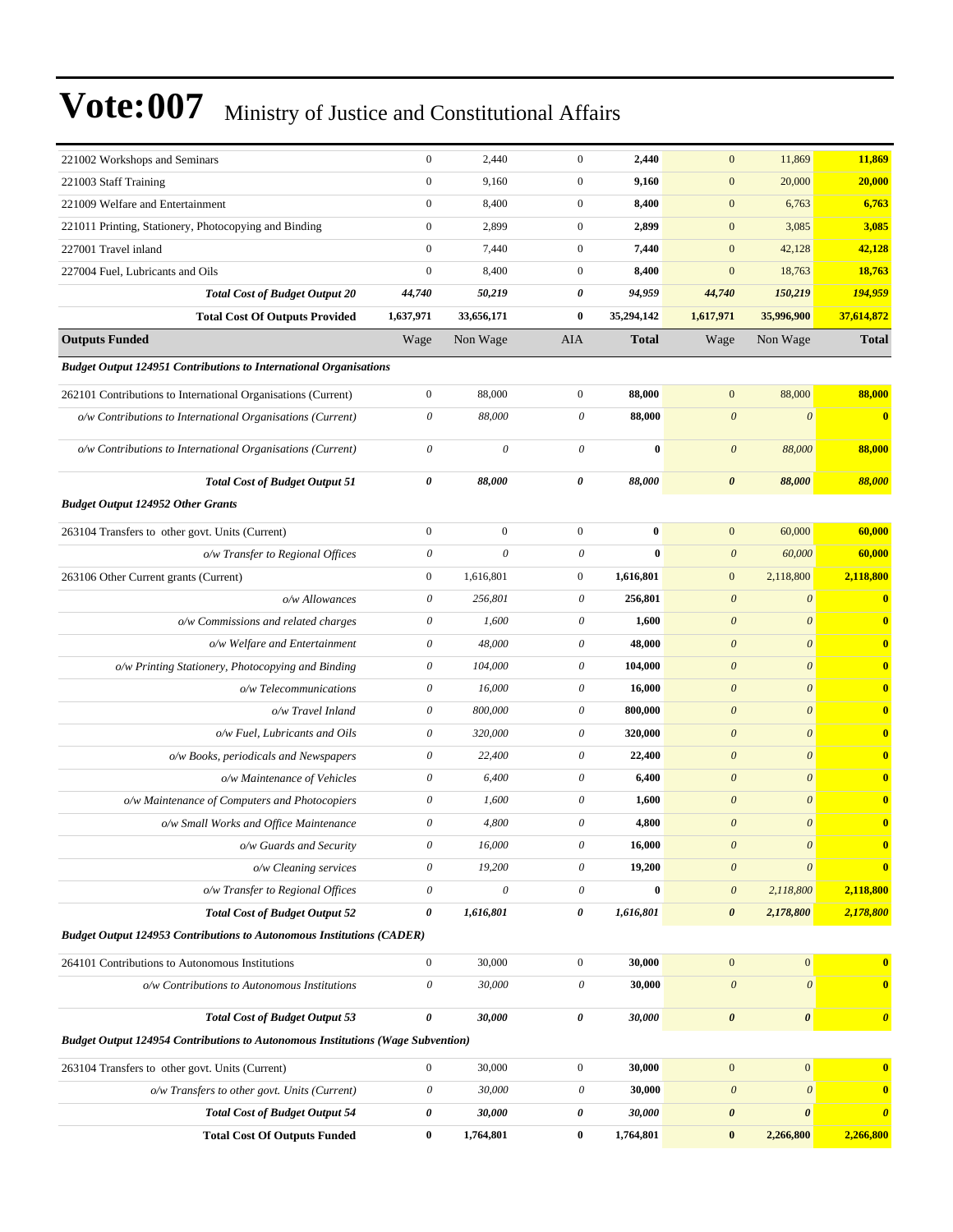| 221002 Workshops and Seminars                                                   | $\boldsymbol{0}$          | 2,440                     | $\mathbf{0}$          | 2,440        | $\mathbf{0}$          | 11,869                | 11,869                |
|---------------------------------------------------------------------------------|---------------------------|---------------------------|-----------------------|--------------|-----------------------|-----------------------|-----------------------|
| 221003 Staff Training                                                           | $\mathbf{0}$              | 9,160                     | $\mathbf{0}$          | 9,160        | $\boldsymbol{0}$      | 20,000                | 20,000                |
| 221009 Welfare and Entertainment                                                | $\mathbf{0}$              | 8,400                     | $\mathbf{0}$          | 8,400        | $\boldsymbol{0}$      | 6,763                 | 6,763                 |
| 221011 Printing, Stationery, Photocopying and Binding                           | $\boldsymbol{0}$          | 2,899                     | $\overline{0}$        | 2,899        | $\boldsymbol{0}$      | 3,085                 | 3,085                 |
| 227001 Travel inland                                                            | $\mathbf{0}$              | 7,440                     | $\mathbf{0}$          | 7,440        | $\boldsymbol{0}$      | 42,128                | 42,128                |
| 227004 Fuel, Lubricants and Oils                                                | $\boldsymbol{0}$          | 8,400                     | $\mathbf{0}$          | 8,400        | $\mathbf{0}$          | 18,763                | 18,763                |
| <b>Total Cost of Budget Output 20</b>                                           | 44,740                    | 50,219                    | 0                     | 94,959       | 44,740                | 150,219               | 194,959               |
| <b>Total Cost Of Outputs Provided</b>                                           | 1,637,971                 | 33,656,171                | $\bf{0}$              | 35,294,142   | 1,617,971             | 35,996,900            | 37,614,872            |
| <b>Outputs Funded</b>                                                           | Wage                      | Non Wage                  | AIA                   | <b>Total</b> | Wage                  | Non Wage              | <b>Total</b>          |
| <b>Budget Output 124951 Contributions to International Organisations</b>        |                           |                           |                       |              |                       |                       |                       |
| 262101 Contributions to International Organisations (Current)                   | $\boldsymbol{0}$          | 88,000                    | $\overline{0}$        | 88,000       | $\mathbf{0}$          | 88,000                | 88,000                |
| o/w Contributions to International Organisations (Current)                      | $\boldsymbol{\mathit{0}}$ | 88,000                    | 0                     | 88,000       | $\boldsymbol{\theta}$ | $\boldsymbol{\theta}$ | $\mathbf{0}$          |
| o/w Contributions to International Organisations (Current)                      | $\boldsymbol{\mathit{0}}$ | $\boldsymbol{\mathit{0}}$ | $\boldsymbol{\theta}$ | $\bf{0}$     | $\theta$              | 88,000                | 88,000                |
| <b>Total Cost of Budget Output 51</b>                                           | 0                         | 88,000                    | 0                     | 88,000       | $\boldsymbol{\theta}$ | 88,000                | 88,000                |
| <b>Budget Output 124952 Other Grants</b>                                        |                           |                           |                       |              |                       |                       |                       |
| 263104 Transfers to other govt. Units (Current)                                 | $\boldsymbol{0}$          | $\boldsymbol{0}$          | $\overline{0}$        | $\bf{0}$     | $\mathbf{0}$          | 60,000                | 60,000                |
| o/w Transfer to Regional Offices                                                | $\boldsymbol{\mathit{0}}$ | $\boldsymbol{\mathit{0}}$ | $\boldsymbol{\theta}$ | $\bf{0}$     | $\boldsymbol{\theta}$ | 60,000                | 60,000                |
| 263106 Other Current grants (Current)                                           | $\mathbf{0}$              | 1,616,801                 | $\boldsymbol{0}$      | 1,616,801    | $\boldsymbol{0}$      | 2,118,800             | 2,118,800             |
| o/w Allowances                                                                  | $\boldsymbol{\mathit{0}}$ | 256,801                   | $\theta$              | 256,801      | $\boldsymbol{\theta}$ | $\boldsymbol{\theta}$ | $\mathbf{0}$          |
| o/w Commissions and related charges                                             | 0                         | 1,600                     | 0                     | 1,600        | $\boldsymbol{\theta}$ | $\boldsymbol{\theta}$ | $\bf{0}$              |
| o/w Welfare and Entertainment                                                   | 0                         | 48,000                    | 0                     | 48,000       | $\boldsymbol{\theta}$ | $\theta$              | $\mathbf{0}$          |
| o/w Printing Stationery, Photocopying and Binding                               | 0                         | 104,000                   | 0                     | 104,000      | $\boldsymbol{\theta}$ | $\boldsymbol{\theta}$ | $\bf{0}$              |
| o/w Telecommunications                                                          | $\boldsymbol{\theta}$     | 16,000                    | 0                     | 16,000       | $\boldsymbol{\theta}$ | $\boldsymbol{\theta}$ | $\mathbf{0}$          |
| o/w Travel Inland                                                               | $\boldsymbol{\mathit{0}}$ | 800,000                   | $\boldsymbol{\theta}$ | 800,000      | $\boldsymbol{\theta}$ | $\boldsymbol{\theta}$ | $\mathbf{0}$          |
| o/w Fuel, Lubricants and Oils                                                   | 0                         | 320,000                   | 0                     | 320,000      | $\boldsymbol{\theta}$ | $\boldsymbol{\theta}$ | $\bf{0}$              |
| o/w Books, periodicals and Newspapers                                           | 0                         | 22,400                    | 0                     | 22,400       | $\boldsymbol{\theta}$ | $\boldsymbol{\theta}$ | $\bf{0}$              |
| o/w Maintenance of Vehicles                                                     | $\boldsymbol{\mathit{0}}$ | 6,400                     | $\boldsymbol{\theta}$ | 6,400        | $\boldsymbol{\theta}$ | $\boldsymbol{\theta}$ | $\bf{0}$              |
| o/w Maintenance of Computers and Photocopiers                                   | $\boldsymbol{\mathit{0}}$ | 1,600                     | $\boldsymbol{\theta}$ | 1,600        | $\boldsymbol{\theta}$ | $\boldsymbol{\theta}$ | $\mathbf{0}$          |
| o/w Small Works and Office Maintenance                                          | $\boldsymbol{\mathit{0}}$ | 4,800                     | $\boldsymbol{\theta}$ | 4,800        | $\boldsymbol{\theta}$ | $\boldsymbol{\theta}$ | $\mathbf{0}$          |
| o/w Guards and Security                                                         | 0                         | 16,000                    | 0                     | 16,000       | $\boldsymbol{\theta}$ | $\boldsymbol{\theta}$ | $\bf{0}$              |
| o/w Cleaning services                                                           | 0                         | 19,200                    | 0                     | 19,200       | $\boldsymbol{\theta}$ | $\boldsymbol{\theta}$ | $\bf{0}$              |
| o/w Transfer to Regional Offices                                                | $\boldsymbol{\mathit{0}}$ | $\boldsymbol{\mathit{0}}$ | $\boldsymbol{\theta}$ | $\bf{0}$     | $\boldsymbol{\theta}$ | 2,118,800             | 2,118,800             |
| <b>Total Cost of Budget Output 52</b>                                           | $\boldsymbol{\theta}$     | 1,616,801                 | 0                     | 1,616,801    | $\boldsymbol{\theta}$ | 2,178,800             | 2,178,800             |
| <b>Budget Output 124953 Contributions to Autonomous Institutions (CADER)</b>    |                           |                           |                       |              |                       |                       |                       |
| 264101 Contributions to Autonomous Institutions                                 | $\boldsymbol{0}$          | 30,000                    | $\boldsymbol{0}$      | 30,000       | $\boldsymbol{0}$      | $\boldsymbol{0}$      | $\bf{0}$              |
| o/w Contributions to Autonomous Institutions                                    | $\boldsymbol{\mathit{0}}$ | 30,000                    | $\boldsymbol{\theta}$ | 30,000       | $\boldsymbol{\theta}$ | $\boldsymbol{\theta}$ | $\mathbf{0}$          |
| <b>Total Cost of Budget Output 53</b>                                           | $\pmb{\theta}$            | 30,000                    | 0                     | 30,000       | $\boldsymbol{\theta}$ | $\boldsymbol{\theta}$ | $\boldsymbol{\theta}$ |
| Budget Output 124954 Contributions to Autonomous Institutions (Wage Subvention) |                           |                           |                       |              |                       |                       |                       |
| 263104 Transfers to other govt. Units (Current)                                 | $\mathbf{0}$              | 30,000                    | $\boldsymbol{0}$      | 30,000       | $\boldsymbol{0}$      | $\boldsymbol{0}$      | $\bf{0}$              |
| o/w Transfers to other govt. Units (Current)                                    | $\boldsymbol{\mathit{0}}$ | 30,000                    | $\theta$              | 30,000       | $\boldsymbol{\theta}$ | $\boldsymbol{\theta}$ | $\mathbf{0}$          |
| <b>Total Cost of Budget Output 54</b>                                           | $\boldsymbol{\theta}$     | 30,000                    | 0                     | 30,000       | $\pmb{\theta}$        | $\boldsymbol{\theta}$ | $\boldsymbol{\theta}$ |
| <b>Total Cost Of Outputs Funded</b>                                             | $\bf{0}$                  | 1,764,801                 | $\bf{0}$              | 1,764,801    | $\pmb{0}$             | 2,266,800             | 2,266,800             |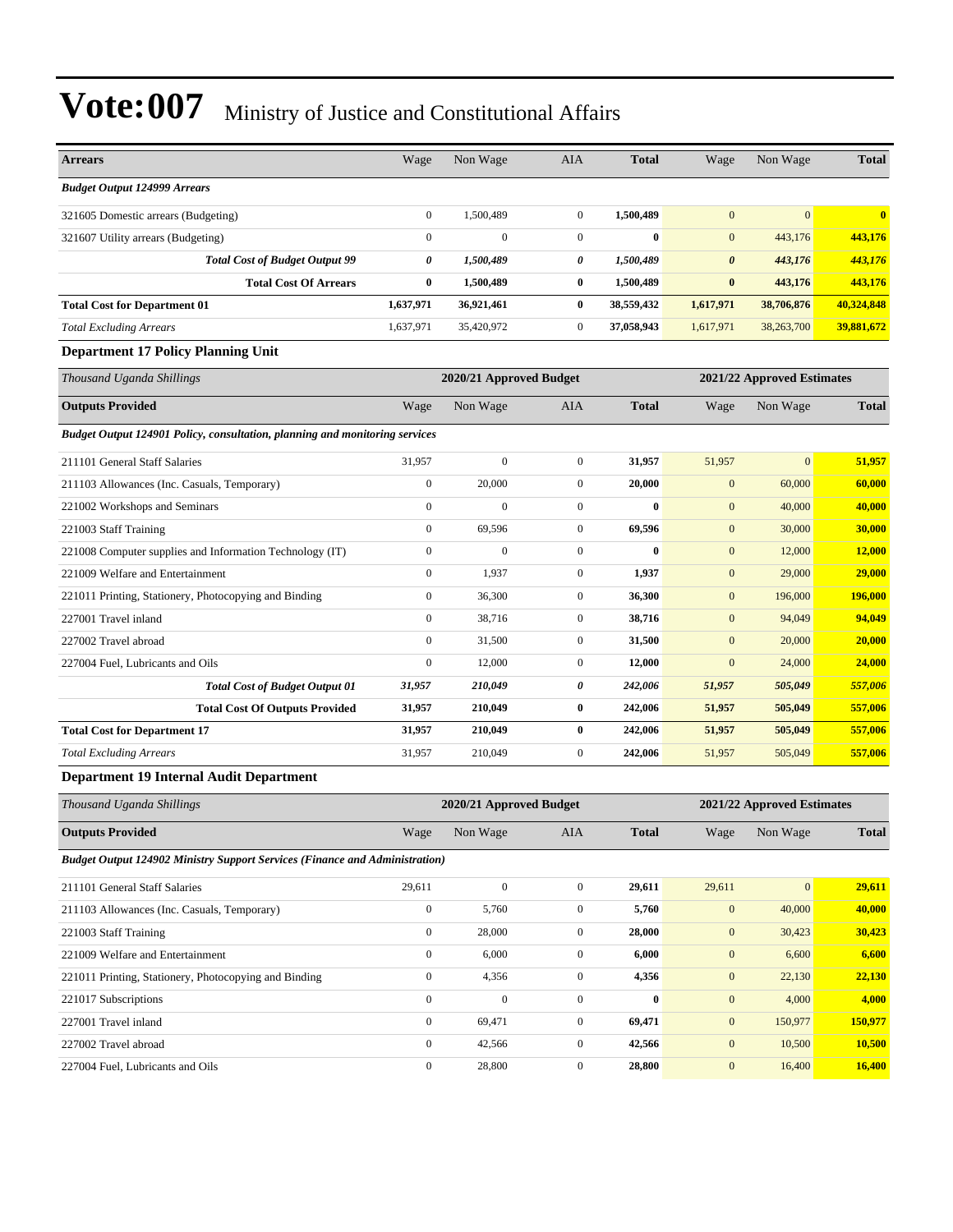| <b>Arrears</b>                                                                     | Wage             | Non Wage                | AIA              | <b>Total</b> | Wage                  | Non Wage                   | <b>Total</b>  |
|------------------------------------------------------------------------------------|------------------|-------------------------|------------------|--------------|-----------------------|----------------------------|---------------|
| <b>Budget Output 124999 Arrears</b>                                                |                  |                         |                  |              |                       |                            |               |
| 321605 Domestic arrears (Budgeting)                                                | $\boldsymbol{0}$ | 1,500,489               | $\boldsymbol{0}$ | 1,500,489    | $\mathbf{0}$          | $\mathbf{0}$               | $\bf{0}$      |
| 321607 Utility arrears (Budgeting)                                                 | $\mathbf{0}$     | $\boldsymbol{0}$        | $\boldsymbol{0}$ | $\bf{0}$     | $\mathbf{0}$          | 443,176                    | 443,176       |
| <b>Total Cost of Budget Output 99</b>                                              | 0                | 1,500,489               | 0                | 1,500,489    | $\boldsymbol{\theta}$ | 443,176                    | 443,176       |
| <b>Total Cost Of Arrears</b>                                                       | $\bf{0}$         | 1,500,489               | 0                | 1,500,489    | $\bf{0}$              | 443,176                    | 443,176       |
| <b>Total Cost for Department 01</b>                                                | 1,637,971        | 36,921,461              | $\bf{0}$         | 38,559,432   | 1,617,971             | 38,706,876                 | 40,324,848    |
| <b>Total Excluding Arrears</b>                                                     | 1,637,971        | 35,420,972              | 0                | 37,058,943   | 1,617,971             | 38,263,700                 | 39,881,672    |
| <b>Department 17 Policy Planning Unit</b>                                          |                  |                         |                  |              |                       |                            |               |
| Thousand Uganda Shillings                                                          |                  | 2020/21 Approved Budget |                  |              |                       | 2021/22 Approved Estimates |               |
| <b>Outputs Provided</b>                                                            | Wage             | Non Wage                | AIA              | <b>Total</b> | Wage                  | Non Wage                   | <b>Total</b>  |
| Budget Output 124901 Policy, consultation, planning and monitoring services        |                  |                         |                  |              |                       |                            |               |
| 211101 General Staff Salaries                                                      | 31,957           | $\boldsymbol{0}$        | $\boldsymbol{0}$ | 31,957       | 51,957                | $\overline{0}$             | 51,957        |
| 211103 Allowances (Inc. Casuals, Temporary)                                        | $\mathbf{0}$     | 20,000                  | $\boldsymbol{0}$ | 20,000       | $\mathbf{0}$          | 60,000                     | 60,000        |
| 221002 Workshops and Seminars                                                      | $\mathbf{0}$     | $\mathbf{0}$            | $\boldsymbol{0}$ | $\bf{0}$     | $\mathbf{0}$          | 40,000                     | 40,000        |
| 221003 Staff Training                                                              | $\mathbf{0}$     | 69,596                  | $\boldsymbol{0}$ | 69,596       | $\boldsymbol{0}$      | 30,000                     | 30,000        |
| 221008 Computer supplies and Information Technology (IT)                           | $\boldsymbol{0}$ | $\boldsymbol{0}$        | $\boldsymbol{0}$ | $\bf{0}$     | $\boldsymbol{0}$      | 12,000                     | <b>12,000</b> |
| 221009 Welfare and Entertainment                                                   | $\mathbf{0}$     | 1,937                   | $\boldsymbol{0}$ | 1,937        | $\boldsymbol{0}$      | 29,000                     | 29,000        |
| 221011 Printing, Stationery, Photocopying and Binding                              | $\mathbf{0}$     | 36,300                  | $\mathbf{0}$     | 36,300       | $\mathbf{0}$          | 196,000                    | 196,000       |
| 227001 Travel inland                                                               | $\mathbf{0}$     | 38,716                  | $\boldsymbol{0}$ | 38,716       | $\mathbf{0}$          | 94,049                     | 94,049        |
| 227002 Travel abroad                                                               | $\mathbf{0}$     | 31,500                  | $\mathbf{0}$     | 31,500       | $\boldsymbol{0}$      | 20,000                     | 20,000        |
| 227004 Fuel, Lubricants and Oils                                                   | $\boldsymbol{0}$ | 12,000                  | $\boldsymbol{0}$ | 12,000       | $\mathbf{0}$          | 24,000                     | 24,000        |
| <b>Total Cost of Budget Output 01</b>                                              | 31,957           | 210,049                 | 0                | 242,006      | 51,957                | 505,049                    | 557,006       |
| <b>Total Cost Of Outputs Provided</b>                                              | 31,957           | 210,049                 | $\bf{0}$         | 242,006      | 51,957                | 505,049                    | 557,006       |
| <b>Total Cost for Department 17</b>                                                | 31,957           | 210,049                 | 0                | 242,006      | 51,957                | 505,049                    | 557,006       |
| <b>Total Excluding Arrears</b>                                                     | 31,957           | 210,049                 | $\boldsymbol{0}$ | 242,006      | 51,957                | 505,049                    | 557,006       |
| <b>Department 19 Internal Audit Department</b>                                     |                  |                         |                  |              |                       |                            |               |
| Thousand Uganda Shillings                                                          |                  | 2020/21 Approved Budget |                  |              |                       | 2021/22 Approved Estimates |               |
| <b>Outputs Provided</b>                                                            | Wage             | Non Wage                | AIA              | <b>Total</b> | Wage                  | Non Wage                   | <b>Total</b>  |
| <b>Budget Output 124902 Ministry Support Services (Finance and Administration)</b> |                  |                         |                  |              |                       |                            |               |
| 211101 General Staff Salaries                                                      | 29,611           | $\boldsymbol{0}$        | $\boldsymbol{0}$ | 29,611       | 29,611                | $\mathbf{0}$               | 29,611        |
| 211103 Allowances (Inc. Casuals, Temporary)                                        | $\boldsymbol{0}$ | 5,760                   | $\boldsymbol{0}$ | 5,760        | $\boldsymbol{0}$      | 40,000                     | 40,000        |
| 221003 Staff Training                                                              | $\boldsymbol{0}$ | 28,000                  | $\boldsymbol{0}$ | 28,000       | $\boldsymbol{0}$      | 30,423                     | 30,423        |
| 221009 Welfare and Entertainment                                                   | $\boldsymbol{0}$ | 6,000                   | $\boldsymbol{0}$ | 6,000        | $\boldsymbol{0}$      | 6,600                      | 6,600         |
| 221011 Printing, Stationery, Photocopying and Binding                              | $\boldsymbol{0}$ | 4,356                   | 0                | 4,356        | $\boldsymbol{0}$      | 22,130                     | 22,130        |
| 221017 Subscriptions                                                               | $\boldsymbol{0}$ | $\boldsymbol{0}$        | $\boldsymbol{0}$ | $\bf{0}$     | $\boldsymbol{0}$      | 4,000                      | 4,000         |
| 227001 Travel inland                                                               | $\boldsymbol{0}$ | 69,471                  | $\boldsymbol{0}$ | 69,471       | $\boldsymbol{0}$      | 150,977                    | 150,977       |
| 227002 Travel abroad                                                               | $\boldsymbol{0}$ | 42,566                  | $\boldsymbol{0}$ | 42,566       | $\boldsymbol{0}$      | 10,500                     | 10,500        |
| 227004 Fuel, Lubricants and Oils                                                   | $\boldsymbol{0}$ | 28,800                  | $\boldsymbol{0}$ | 28,800       | $\boldsymbol{0}$      | 16,400                     | 16,400        |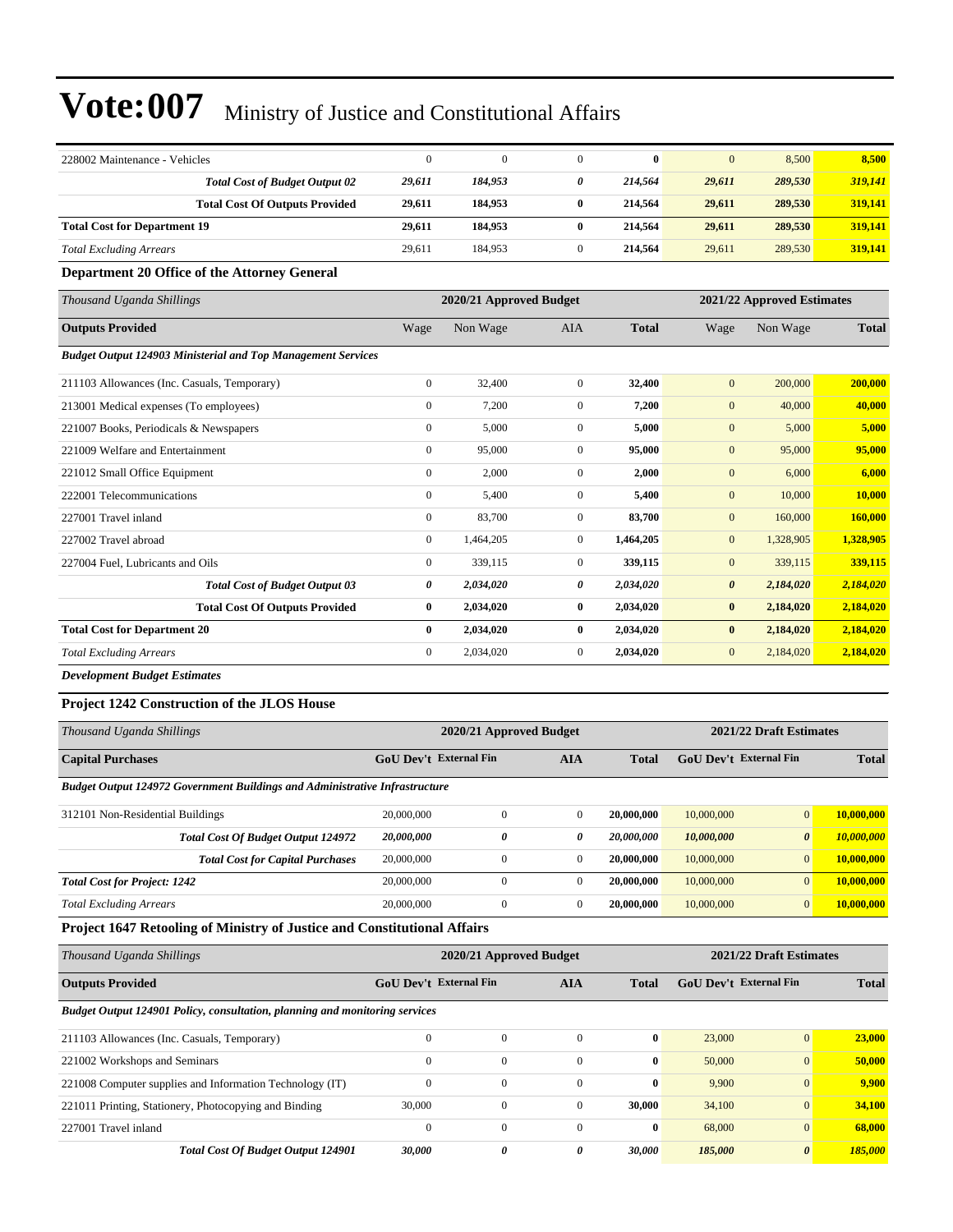| 228002 Maintenance - Vehicles                                       | $\boldsymbol{0}$ | $\overline{0}$          | $\overline{0}$ | $\bf{0}$     | $\mathbf{0}$          | 8,500                      | 8,500        |
|---------------------------------------------------------------------|------------------|-------------------------|----------------|--------------|-----------------------|----------------------------|--------------|
| <b>Total Cost of Budget Output 02</b>                               | 29,611           | 184,953                 | 0              | 214,564      | 29,611                | 289,530                    | 319,141      |
| <b>Total Cost Of Outputs Provided</b>                               | 29,611           | 184,953                 | $\bf{0}$       | 214,564      | 29,611                | 289,530                    | 319,141      |
| <b>Total Cost for Department 19</b>                                 | 29,611           | 184,953                 | $\bf{0}$       | 214,564      | 29,611                | 289,530                    | 319,141      |
| <b>Total Excluding Arrears</b>                                      | 29,611           | 184,953                 | $\mathbf{0}$   | 214,564      | 29,611                | 289,530                    | 319,141      |
| Department 20 Office of the Attorney General                        |                  |                         |                |              |                       |                            |              |
| Thousand Uganda Shillings                                           |                  | 2020/21 Approved Budget |                |              |                       | 2021/22 Approved Estimates |              |
| <b>Outputs Provided</b>                                             | Wage             | Non Wage                | <b>AIA</b>     | <b>Total</b> | Wage                  | Non Wage                   | <b>Total</b> |
| <b>Budget Output 124903 Ministerial and Top Management Services</b> |                  |                         |                |              |                       |                            |              |
| 211103 Allowances (Inc. Casuals, Temporary)                         | $\boldsymbol{0}$ | 32,400                  | $\overline{0}$ | 32,400       | $\mathbf{0}$          | 200,000                    | 200,000      |
| 213001 Medical expenses (To employees)                              | $\mathbf{0}$     | 7,200                   | $\overline{0}$ | 7,200        | $\mathbf{0}$          | 40,000                     | 40,000       |
| 221007 Books, Periodicals & Newspapers                              | $\mathbf{0}$     | 5,000                   | $\Omega$       | 5,000        | $\mathbf{0}$          | 5,000                      | 5,000        |
| 221009 Welfare and Entertainment                                    | $\mathbf{0}$     | 95,000                  | $\Omega$       | 95,000       | $\mathbf{0}$          | 95,000                     | 95,000       |
| 221012 Small Office Equipment                                       | $\mathbf{0}$     | 2,000                   | $\overline{0}$ | 2,000        | $\mathbf{0}$          | 6,000                      | 6,000        |
| 222001 Telecommunications                                           | $\boldsymbol{0}$ | 5,400                   | $\overline{0}$ | 5,400        | $\mathbf{0}$          | 10,000                     | 10,000       |
| 227001 Travel inland                                                | $\mathbf{0}$     | 83,700                  | $\overline{0}$ | 83,700       | $\mathbf{0}$          | 160,000                    | 160,000      |
| 227002 Travel abroad                                                | $\mathbf{0}$     | 1,464,205               | $\overline{0}$ | 1,464,205    | $\mathbf{0}$          | 1,328,905                  | 1,328,905    |
| 227004 Fuel, Lubricants and Oils                                    | $\mathbf{0}$     | 339,115                 | $\overline{0}$ | 339,115      | $\mathbf{0}$          | 339,115                    | 339,115      |
| <b>Total Cost of Budget Output 03</b>                               | 0                | 2,034,020               | 0              | 2,034,020    | $\boldsymbol{\theta}$ | 2,184,020                  | 2,184,020    |
| <b>Total Cost Of Outputs Provided</b>                               | $\bf{0}$         | 2,034,020               | $\bf{0}$       | 2,034,020    | $\bf{0}$              | 2,184,020                  | 2,184,020    |
| <b>Total Cost for Department 20</b>                                 | $\bf{0}$         | 2,034,020               | $\bf{0}$       | 2,034,020    | $\bf{0}$              | 2,184,020                  | 2,184,020    |
| <b>Total Excluding Arrears</b>                                      | $\mathbf{0}$     | 2,034,020               | $\overline{0}$ | 2,034,020    | $\mathbf{0}$          | 2,184,020                  | 2,184,020    |
| <b>Development Budget Estimates</b>                                 |                  |                         |                |              |                       |                            |              |

### **Project 1242 Construction of the JLOS House**

| Thousand Uganda Shillings                                                          |                                                      | 2020/21 Approved Budget | 2021/22 Draft Estimates |            |              |                       |            |
|------------------------------------------------------------------------------------|------------------------------------------------------|-------------------------|-------------------------|------------|--------------|-----------------------|------------|
| <b>Capital Purchases</b>                                                           | <b>GoU Dev't External Fin</b><br>AIA<br><b>Total</b> |                         | GoU Dev't External Fin  |            | <b>Total</b> |                       |            |
| <b>Budget Output 124972 Government Buildings and Administrative Infrastructure</b> |                                                      |                         |                         |            |              |                       |            |
| 312101 Non-Residential Buildings                                                   | 20,000,000                                           | 0                       | $\mathbf{0}$            | 20,000,000 | 10,000,000   | $\overline{0}$        | 10,000,000 |
| <b>Total Cost Of Budget Output 124972</b>                                          | 20,000,000                                           | 0                       | 0                       | 20,000,000 | 10,000,000   | $\boldsymbol{\theta}$ | 10,000,000 |
| <b>Total Cost for Capital Purchases</b>                                            | 20,000,000                                           | $\Omega$                | $\overline{0}$          | 20,000,000 | 10,000,000   | $\mathbf{0}$          | 10.000.000 |
| <b>Total Cost for Project: 1242</b>                                                | 20,000,000                                           | 0                       | $\Omega$                | 20,000,000 | 10,000,000   | $\overline{0}$        | 10,000,000 |
| <b>Total Excluding Arrears</b>                                                     | 20,000,000                                           | 0                       | $\mathbf{0}$            | 20,000,000 | 10,000,000   | $\mathbf{0}$          | 10,000,000 |

### **Project 1647 Retooling of Ministry of Justice and Constitutional Affairs**

| Thousand Uganda Shillings                                                   |                               | 2020/21 Approved Budget |            |              | 2021/22 Draft Estimates       |                 |              |
|-----------------------------------------------------------------------------|-------------------------------|-------------------------|------------|--------------|-------------------------------|-----------------|--------------|
| <b>Outputs Provided</b>                                                     | <b>GoU Dev't External Fin</b> |                         | <b>AIA</b> | <b>Total</b> | <b>GoU</b> Dev't External Fin |                 | <b>Total</b> |
| Budget Output 124901 Policy, consultation, planning and monitoring services |                               |                         |            |              |                               |                 |              |
| 211103 Allowances (Inc. Casuals, Temporary)                                 | $\Omega$                      | $\mathbf{0}$            | $\Omega$   | $\bf{0}$     | 23,000                        | $\overline{0}$  | 23,000       |
| 221002 Workshops and Seminars                                               | $\mathbf{0}$                  | $\mathbf{0}$            | $\Omega$   | $\bf{0}$     | 50,000                        | $\overline{0}$  | 50,000       |
| 221008 Computer supplies and Information Technology (IT)                    | $\Omega$                      | $\mathbf{0}$            | $\Omega$   | $\bf{0}$     | 9,900                         | $\overline{0}$  | 9.900        |
| 221011 Printing, Stationery, Photocopying and Binding                       | 30,000                        | $\mathbf{0}$            | $\Omega$   | 30,000       | 34,100                        | $\overline{0}$  | 34,100       |
| 227001 Travel inland                                                        | $\Omega$                      | $\mathbf{0}$            | $\Omega$   | $\bf{0}$     | 68,000                        | $\vert 0 \vert$ | 68,000       |
| <b>Total Cost Of Budget Output 124901</b>                                   | 30,000                        | $\theta$                | 0          | 30.000       | 185,000                       | $\theta$        | 185,000      |